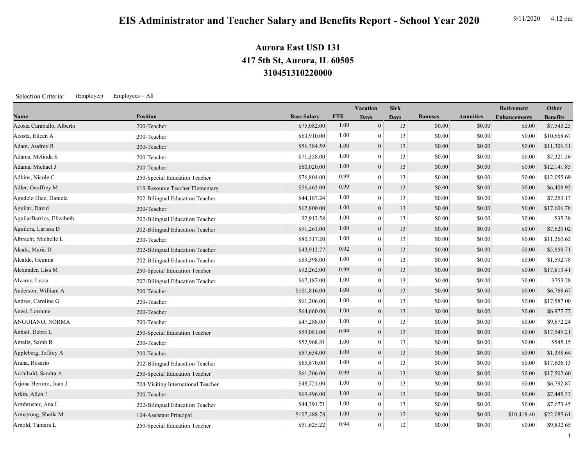## **310451310220000 417 5th St, Aurora, IL 60505 Aurora East USD 131**

Selection Criteria: (Employer) Employees = All

|                           |                                    |                    |            | Vacation         | <b>Sick</b> |                |                  | Retirement          | Other           |
|---------------------------|------------------------------------|--------------------|------------|------------------|-------------|----------------|------------------|---------------------|-----------------|
| Name                      | <b>Position</b>                    | <b>Base Salary</b> | <b>FTE</b> | <b>Days</b>      | <b>Davs</b> | <b>Bonuses</b> | <b>Annuities</b> | <b>Enhancements</b> | <b>Benefits</b> |
| Acosta Caraballo, Alberto | 200-Teacher                        | \$75,082.00        | 1.00       | $\overline{0}$   | 13          | \$0.00         | \$0.00           | \$0.00              | \$7,543.25      |
| Acosta, Eileen A          | 200-Teacher                        | \$63,910.00        | 1.00       | $\theta$         | 13          | \$0.00         | \$0.00           | \$0.00              | \$10,668.67     |
| Adam, Audrey R            | 200-Teacher                        | \$56,384.59        | 1.00       | $\overline{0}$   | 13          | \$0.00         | \$0.00           | \$0.00              | \$11,306.31     |
| Adams, Melinda S          | 200-Teacher                        | \$71,358.00        | 1.00       | $\overline{0}$   | 13          | \$0.00         | \$0.00           | \$0.00              | \$7,321.56      |
| Adams, Michael J          | 200-Teacher                        | \$60,020.00        | 1.00       | $\mathbf{0}$     | 13          | \$0.00         | \$0.00           | \$0.00              | \$12,141.85     |
| Adkins, Nicole C          | 250-Special Education Teacher      | \$76,804.00        | 0.99       | $\overline{0}$   | 13          | \$0.00         | \$0.00           | \$0.00              | \$12,055.69     |
| Adler, Geoffrey M         | 610-Resource Teacher Elementary    | \$56,463.00        | 0.99       | $\mathbf{0}$     | 13          | \$0.00         | \$0.00           | \$0.00              | \$6,408.93      |
| Agudelo Diez, Daniela     | 202-Bilingual Education Teacher    | \$44,187.24        | 1.00       | $\overline{0}$   | 13          | \$0.00         | \$0.00           | \$0.00              | \$7,253.17      |
| Aguilar, David            | 200-Teacher                        | \$62,800.00        | 1.00       | $\boldsymbol{0}$ | 13          | \$0.00         | \$0.00           | \$0.00              | \$17,606.78     |
| AguilarBarrios, Elizabeth | 202-Bilingual Education Teacher    | \$2,912.58         | 1.00       | $\Omega$         | 13          | \$0.00         | \$0.00           | \$0.00              | \$35.38         |
| Aguilera, Larissa D       | 202-Bilingual Education Teacher    | \$91,261.00        | 1.00       | $\overline{0}$   | 13          | \$0.00         | \$0.00           | \$0.00              | \$7,620.02      |
| Albrecht, Michelle L      | 200-Teacher                        | \$80,317.20        | 1.00       | $\overline{0}$   | 13          | \$0.00         | \$0.00           | \$0.00              | \$11,260.62     |
| Alcala, Maria D           | 202-Bilingual Education Teacher    | \$43,913.77        | 0.92       | $\mathbf{0}$     | 13          | \$0.00         | \$0.00           | \$0.00              | \$5,858.71      |
| Alcalde, Gemma            | 202-Bilingual Education Teacher    | \$89,398.00        | 1.00       | $\overline{0}$   | 13          | \$0.00         | \$0.00           | \$0.00              | \$1,592.78      |
| Alexander, Lisa M         | 250-Special Education Teacher      | \$92,262.00        | 0.99       | $\mathbf{0}$     | 13          | \$0.00         | \$0.00           | \$0.00              | \$17,813.41     |
| Alvarez, Lucia            | 202-Bilingual Education Teacher    | \$67,187.00        | 1.00       | $\overline{0}$   | 13          | \$0.00         | \$0.00           | \$0.00              | \$753.28        |
| Anderson, William A       | 200-Teacher                        | \$101,816.00       | 1.00       | $\mathbf{0}$     | 13          | \$0.00         | \$0.00           | \$0.00              | \$6,768.67      |
| Andres, Caroline G        | 200-Teacher                        | \$61,206.00        | 1.00       | $\theta$         | 13          | \$0.00         | \$0.00           | \$0.00              | \$17,587.00     |
| Anesi, Lorraine           | 200-Teacher                        | \$64,660.00        | 1.00       | $\mathbf{0}$     | 13          | \$0.00         | \$0.00           | \$0.00              | \$6,977.77      |
| ANGUIANO, NORMA           | 200-Teacher                        | \$47,288.00        | 1.00       | $\overline{0}$   | 13          | \$0.00         | \$0.00           | \$0.00              | \$9,672.24      |
| Anhalt, Debra L           | 250-Special Education Teacher      | \$59,081.00        | 0.99       | $\mathbf{0}$     | 13          | \$0.00         | \$0.00           | \$0.00              | \$17,549.21     |
| Anteliz, Sarah R          | 200-Teacher                        | \$52,968.81        | 1.00       | $\overline{0}$   | 13          | \$0.00         | \$0.00           | \$0.00              | \$545.15        |
| Appleberg, Jeffrey A      | 200-Teacher                        | \$67,634.00        | 1.00       | $\overline{0}$   | 13          | \$0.00         | \$0.00           | \$0.00              | \$1,398.64      |
| Arana, Rosario            | 202-Bilingual Education Teacher    | \$65,870.00        | 1.00       | $\overline{0}$   | 13          | \$0.00         | \$0.00           | \$0.00              | \$17,606.13     |
| Archibald, Sandra A       | 250-Special Education Teacher      | \$61,206.00        | 0.99       | $\boldsymbol{0}$ | 13          | \$0.00         | \$0.00           | \$0.00              | \$17,502.60     |
| Arjona Herrero, Juan J    | 204-Visiting International Teacher | \$48,721.00        | 1.00       | $\theta$         | 13          | \$0.00         | \$0.00           | \$0.00              | \$6,792.87      |
| Arkin, Allen J            | 200-Teacher                        | \$69,496.00        | 1.00       | $\overline{0}$   | 13          | \$0.00         | \$0.00           | \$0.00              | \$7,445.33      |
| Armbruster, Ana L         | 202-Bilingual Education Teacher    | \$44,391.71        | 1.00       | $\theta$         | 13          | \$0.00         | \$0.00           | \$0.00              | \$7,673.45      |
| Armstrong, Sheila M       | 104-Assistant Principal            | \$107,488.78       | 1.00       | $\mathbf{0}$     | 12          | \$0.00         | \$0.00           | \$10,418.40         | \$22,085.61     |
| Arnold, Tamara L          | 250-Special Education Teacher      | \$51,625.22        | 0.94       | $\overline{0}$   | 12          | \$0.00         | \$0.00           | \$0.00              | \$9,832.65      |

1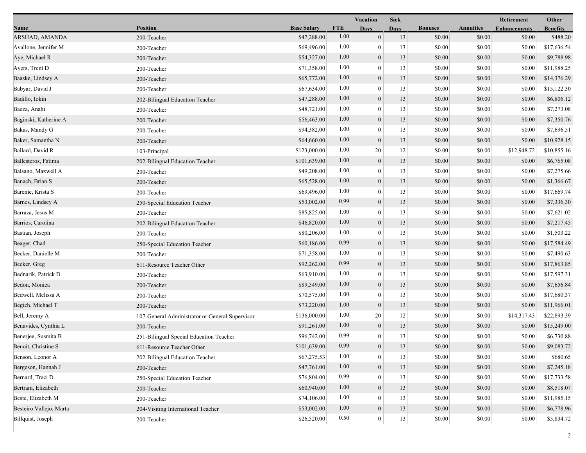|                         |                                                 |                    |            | Vacation<br><b>Sick</b> |             |                |                  | Retirement          | Other           |
|-------------------------|-------------------------------------------------|--------------------|------------|-------------------------|-------------|----------------|------------------|---------------------|-----------------|
| Name                    | <b>Position</b>                                 | <b>Base Salary</b> | <b>FTE</b> | <b>Days</b>             | <b>Days</b> | <b>Bonuses</b> | <b>Annuities</b> | <b>Enhancements</b> | <b>Benefits</b> |
| ARSHAD, AMANDA          | 200-Teacher                                     | \$47,288.00        | 1.00       | $\mathbf{0}$            | 13          | \$0.00         | \$0.00           | \$0.00              | \$488.20        |
| Avallone, Jennifer M    | 200-Teacher                                     | \$69,496.00        | 1.00       | $\mathbf{0}$            | 13          | \$0.00         | \$0.00           | \$0.00              | \$17,636.54     |
| Aye, Michael R          | 200-Teacher                                     | \$54,327.00        | 1.00       | $\boldsymbol{0}$        | 13          | \$0.00         | \$0.00           | \$0.00              | \$9,788.98      |
| Ayers, Trent D          | 200-Teacher                                     | \$71,358.00        | 1.00       | $\mathbf{0}$            | 13          | \$0.00         | \$0.00           | \$0.00              | \$11,988.25     |
| Baaske, Lindsey A       | 200-Teacher                                     | \$65,772.00        | 1.00       | $\boldsymbol{0}$        | 13          | \$0.00         | \$0.00           | \$0.00              | \$14,376.29     |
| Babyar, David J         | 200-Teacher                                     | \$67,634.00        | 1.00       | $\mathbf{0}$            | 13          | \$0.00         | \$0.00           | \$0.00              | \$15,122.30     |
| Badillo, Iokin          | 202-Bilingual Education Teacher                 | \$47,288.00        | 1.00       | $\mathbf{0}$            | 13          | \$0.00         | \$0.00           | \$0.00              | \$6,806.12      |
| Baeza, Anahi            | 200-Teacher                                     | \$48,721.00        | 1.00       | $\mathbf{0}$            | 13          | \$0.00         | \$0.00           | \$0.00              | \$7,273.08      |
| Baginski, Katherine A   | 200-Teacher                                     | \$56,463.00        | 1.00       | $\boldsymbol{0}$        | 13          | \$0.00         | \$0.00           | \$0.00              | \$7,350.76      |
| Bakas, Mandy G          | 200-Teacher                                     | \$94,382.00        | 1.00       | $\mathbf{0}$            | 13          | \$0.00         | \$0.00           | \$0.00              | \$7,696.51      |
| Baker, Samantha N       | 200-Teacher                                     | \$64,660.00        | 1.00       | $\boldsymbol{0}$        | 13          | \$0.00         | \$0.00           | \$0.00              | \$10,928.15     |
| Ballard, David R        | 103-Principal                                   | \$123,000.00       | 1.00       | 20                      | 12          | \$0.00         | \$0.00           | \$12,948.72         | \$10,855.16     |
| Ballesteros, Fatima     | 202-Bilingual Education Teacher                 | \$101,639.00       | 1.00       | $\mathbf{0}$            | 13          | \$0.00         | \$0.00           | \$0.00              | \$6,765.08      |
| Balsano, Maxwell A      | 200-Teacher                                     | \$49,208.00        | 1.00       | $\bf{0}$                | 13          | \$0.00         | \$0.00           | \$0.00              | \$7,275.66      |
| Banach, Brian S         | 200-Teacher                                     | \$65,528.00        | 1.00       | $\boldsymbol{0}$        | 13          | \$0.00         | \$0.00           | \$0.00              | \$1,366.67      |
| Barenie, Krista S       | 200-Teacher                                     | \$69,496.00        | 1.00       | $\mathbf{0}$            | 13          | \$0.00         | \$0.00           | \$0.00              | \$17,669.74     |
| Barnes, Lindsey A       | 250-Special Education Teacher                   | \$53,002.00        | 0.99       | $\mathbf{0}$            | 13          | \$0.00         | \$0.00           | \$0.00              | \$7,336.30      |
| Barraza, Jesus M        | 200-Teacher                                     | \$85,825.00        | 1.00       | $\mathbf{0}$            | 13          | \$0.00         | \$0.00           | \$0.00              | \$7,621.02      |
| Barrios, Carolina       | 202-Bilingual Education Teacher                 | \$46,820.00        | 1.00       | $\boldsymbol{0}$        | 13          | \$0.00         | \$0.00           | \$0.00              | \$7,217.45      |
| Bastian, Joseph         | 200-Teacher                                     | \$80,206.00        | 1.00       | $\mathbf{0}$            | 13          | \$0.00         | \$0.00           | \$0.00              | \$1,503.22      |
| Beager, Chad            | 250-Special Education Teacher                   | \$60,186.00        | 0.99       | $\mathbf{0}$            | 13          | \$0.00         | \$0.00           | \$0.00              | \$17,584.49     |
| Becker, Danielle M      | 200-Teacher                                     | \$71,358.00        | 1.00       | $\mathbf{0}$            | 13          | \$0.00         | \$0.00           | \$0.00              | \$7,490.63      |
| Becker, Greg            | 611-Resource Teacher Other                      | \$92,262.00        | 0.99       | $\mathbf{0}$            | 13          | \$0.00         | \$0.00           | \$0.00              | \$17,863.85     |
| Bednarik, Patrick D     | 200-Teacher                                     | \$63,910.00        | 1.00       | $\mathbf{0}$            | 13          | \$0.00         | \$0.00           | \$0.00              | \$17,597.31     |
| Bedon, Monica           | 200-Teacher                                     | \$89,549.00        | 1.00       | $\mathbf{0}$            | 13          | \$0.00         | \$0.00           | \$0.00              | \$7,656.84      |
| Bedwell, Melissa A      | 200-Teacher                                     | \$70,575.00        | 1.00       | $\overline{0}$          | 13          | \$0.00         | \$0.00           | \$0.00              | \$17,680.37     |
| Begich, Michael T       | 200-Teacher                                     | \$73,220.00        | 1.00       | $\mathbf{0}$            | 13          | \$0.00         | \$0.00           | \$0.00              | \$11,966.01     |
| Bell, Jeremy A          | 107-General Administrator or General Supervisor | \$136,000.00       | 1.00       | 20                      | 12          | \$0.00         | \$0.00           | \$14,317.43         | \$22,893.39     |
| Benavides, Cynthia L    | 200-Teacher                                     | \$91,261.00        | 1.00       | $\mathbf{0}$            | 13          | \$0.00         | \$0.00           | \$0.00              | \$15,249.00     |
| Benerjee, Susmita B     | 251-Bilingual Special Education Teacher         | \$96,742.00        | 0.99       | $\mathbf{0}$            | 13          | \$0.00         | \$0.00           | \$0.00              | \$6,730.88      |
| Benoit, Christine S     | 611-Resource Teacher Other                      | \$101,639.00       | 0.99       | $\boldsymbol{0}$        | 13          | \$0.00         | \$0.00           | \$0.00              | \$9,083.72      |
| Benson, Leonor A        | 202-Bilingual Education Teacher                 | \$67,275.53        | 1.00       | $\mathbf{0}$            | 13          | \$0.00         | \$0.00           | \$0.00              | \$680.65        |
| Bergeson, Hannah J      | 200-Teacher                                     | \$47,761.00        | 1.00       | $\mathbf{0}$            | 13          | \$0.00         | \$0.00           | \$0.00              | \$7,245.18      |
| Bernard, Traci D        | 250-Special Education Teacher                   | \$76,804.00        | 0.99       | $\mathbf{0}$            | 13          | \$0.00         | \$0.00           | \$0.00              | \$17,733.58     |
| Bertram, Elizabeth      | 200-Teacher                                     | \$60,940.00        | 1.00       | $\mathbf{0}$            | 13          | \$0.00         | \$0.00           | \$0.00              | \$8,518.07      |
| Beste, Elizabeth M      | 200-Teacher                                     | \$74,106.00        | 1.00       | $\bf{0}$                | 13          | \$0.00         | \$0.00           | \$0.00              | \$11,985.15     |
| Besteiro Vallejo, Marta | 204-Visiting International Teacher              | \$53,002.00        | $1.00\,$   | $\boldsymbol{0}$        | 13          | \$0.00         | \$0.00           | \$0.00              | \$6,778.96      |
| Billquist, Joseph       | 200-Teacher                                     | \$26,520.00        | 0.50       | $\mathbf{0}$            | 13          | \$0.00         | \$0.00           | \$0.00              | \$5,834.72      |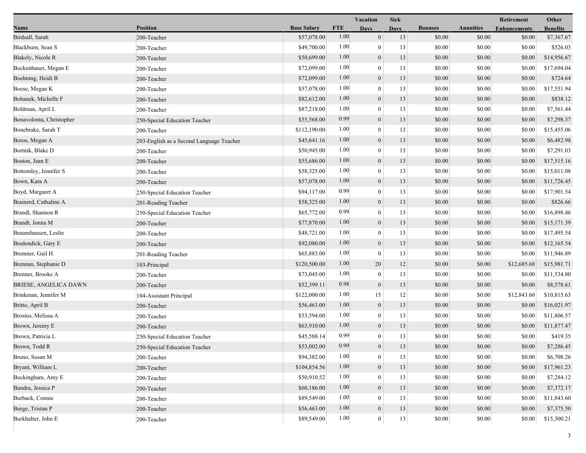|                          |                                          |                    |            | Vacation         | <b>Sick</b> |                |                  | Retirement          | Other           |
|--------------------------|------------------------------------------|--------------------|------------|------------------|-------------|----------------|------------------|---------------------|-----------------|
| Name                     | <b>Position</b>                          | <b>Base Salary</b> | <b>FTE</b> | <b>Days</b>      | <b>Days</b> | <b>Bonuses</b> | <b>Annuities</b> | <b>Enhancements</b> | <b>Benefits</b> |
| Birdsall, Sarah          | 200-Teacher                              | \$57,078.00        | 1.00       | $\mathbf{0}$     | 13          | \$0.00         | \$0.00           | \$0.00              | \$7,367.67      |
| Blackburn, Sean S        | 200-Teacher                              | \$49,700.00        | 1.00       | $\overline{0}$   | 13          | \$0.00         | \$0.00           | \$0.00              | \$526.03        |
| Blakely, Nicole R        | 200-Teacher                              | \$50,699.00        | 1.00       | $\boldsymbol{0}$ | 13          | \$0.00         | \$0.00           | \$0.00              | \$14,956.67     |
| Bockenhauer, Megan E     | 200-Teacher                              | \$72,099.00        | 1.00       | $\theta$         | 13          | \$0.00         | \$0.00           | \$0.00              | \$17,694.04     |
| Boehning, Heidi B        | 200-Teacher                              | \$72,099.00        | 1.00       | $\boldsymbol{0}$ | 13          | \$0.00         | \$0.00           | \$0.00              | \$724.64        |
| Boese, Megan K           | 200-Teacher                              | \$57,078.00        | 1.00       | $\mathbf{0}$     | 13          | \$0.00         | \$0.00           | \$0.00              | \$17,551.94     |
| Bohanek, Michelle F      | 200-Teacher                              | \$82,612.00        | 1.00       | $\mathbf{0}$     | 13          | \$0.00         | \$0.00           | \$0.00              | \$838.12        |
| Boldman, April L         | 200-Teacher                              | \$87,218.00        | 1.00       | $\overline{0}$   | 13          | \$0.00         | \$0.00           | \$0.00              | \$7,561.44      |
| Bonavolonta, Christopher | 250-Special Education Teacher            | \$55,568.00        | 0.99       | $\boldsymbol{0}$ | 13          | \$0.00         | \$0.00           | \$0.00              | \$7,298.37      |
| Bonebrake, Sarah T       | 200-Teacher                              | \$112,190.00       | 1.00       | $\overline{0}$   | 13          | \$0.00         | \$0.00           | \$0.00              | \$15,455.06     |
| Boros, Megan A           | 203-English as a Second Language Teacher | \$45,641.16        | 1.00       | $\boldsymbol{0}$ | 13          | \$0.00         | \$0.00           | \$0.00              | \$6,482.98      |
| Bortnik, Blake D         | 200-Teacher                              | \$50,945.00        | 1.00       | $\boldsymbol{0}$ | 13          | \$0.00         | \$0.00           | \$0.00              | \$7,291.03      |
| Boston, Jean E           | 200-Teacher                              | \$55,686.00        | 1.00       | $\mathbf{0}$     | 13          | \$0.00         | \$0.00           | \$0.00              | \$17,515.16     |
| Bottomley, Jennifer S    | 200-Teacher                              | \$58,325.00        | 1.00       | $\overline{0}$   | 13          | \$0.00         | \$0.00           | \$0.00              | \$15,011.08     |
| Bown, Kara A             | 200-Teacher                              | \$57,078.00        | 1.00       | $\mathbf{0}$     | 13          | \$0.00         | \$0.00           | \$0.00              | \$11,726.45     |
| Boyd, Margaret A         | 250-Special Education Teacher            | \$94,117.00        | 0.99       | $\overline{0}$   | 13          | \$0.00         | \$0.00           | \$0.00              | \$17,901.54     |
| Brainerd, Cathaline A    | 201-Reading Teacher                      | \$58,325.00        | 1.00       | $\boldsymbol{0}$ | 13          | \$0.00         | \$0.00           | \$0.00              | \$826.66        |
| Brandl, Shannon R        | 250-Special Education Teacher            | \$65,772.00        | 0.99       | $\boldsymbol{0}$ | 13          | \$0.00         | \$0.00           | \$0.00              | \$16,898.46     |
| Brandt, Jonna M          | 200-Teacher                              | \$77,870.00        | 1.00       | $\mathbf{0}$     | 13          | \$0.00         | \$0.00           | \$0.00              | \$15,171.39     |
| Braunshausen, Leslie     | 200-Teacher                              | \$48,721.00        | 1.00       | $\overline{0}$   | 13          | \$0.00         | \$0.00           | \$0.00              | \$17,495.54     |
| Bredendick, Gary E       | 200-Teacher                              | \$92,080.00        | 1.00       | $\mathbf{0}$     | 13          | \$0.00         | \$0.00           | \$0.00              | \$12,165.54     |
| Bremner, Gail H          | 201-Reading Teacher                      | \$65,883.00        | 1.00       | $\theta$         | 13          | \$0.00         | \$0.00           | \$0.00              | \$11,946.89     |
| Brennan, Stephanie D     | 103-Principal                            | \$120,500.00       | 1.00       | 20               | 12          | \$0.00         | \$0.00           | \$12,685.68         | \$15,981.71     |
| Brenner, Brooke A        | 200-Teacher                              | \$73,045.00        | 1.00       | $\mathbf{0}$     | 13          | \$0.00         | \$0.00           | \$0.00              | \$11,534.80     |
| BRIESE, ANGELICA DAWN    | 200-Teacher                              | \$52,399.11        | 0.98       | $\theta$         | 13          | \$0.00         | \$0.00           | \$0.00              | \$8,578.61      |
| Brinkman, Jennifer M     | 104-Assistant Principal                  | \$122,000.00       | 1.00       | 15               | 12          | \$0.00         | \$0.00           | \$12,843.60         | \$10,815.63     |
| Britto, April B          | 200-Teacher                              | \$56,463.00        | 1.00       | $\mathbf{0}$     | 13          | \$0.00         | \$0.00           | \$0.00              | \$16,021.97     |
| Brosius, Melissa A       | 200-Teacher                              | \$53,594.00        | 1.00       | $\overline{0}$   | 13          | \$0.00         | \$0.00           | \$0.00              | \$11,806.57     |
| Brown, Jeremy E          | 200-Teacher                              | \$63,910.00        | 1.00       | $\mathbf{0}$     | 13          | \$0.00         | \$0.00           | \$0.00              | \$11,877.47     |
| Brown, Patricia L        | 250-Special Education Teacher            | \$45,588.14        | 0.99       | $\overline{0}$   | 13          | \$0.00         | \$0.00           | \$0.00              | \$419.35        |
| Brown, Todd R            | 250-Special Education Teacher            | \$53,002.00        | 0.99       | $\mathbf{0}$     | 13          | \$0.00         | \$0.00           | \$0.00              | \$7,286.45      |
| Bruno, Susan M           | 200-Teacher                              | \$94,382.00        | 1.00       | $\mathbf{0}$     | 13          | \$0.00         | \$0.00           | \$0.00              | \$6,708.26      |
| Bryant, William L        | 200-Teacher                              | \$104,854.56       | 1.00       | $\boldsymbol{0}$ | 13          | \$0.00         | \$0.00           | \$0.00              | \$17,961.23     |
| Buckingham, Amy E        | 200-Teacher                              | \$50,910.52        | 1.00       | $\overline{0}$   | 13          | \$0.00         | \$0.00           | \$0.00              | \$7,284.12      |
| Bundra, Jessica P        | 200-Teacher                              | \$60,186.00        | 1.00       | $\mathbf{0}$     | 13          | \$0.00         | \$0.00           | \$0.00              | \$7,372.17      |
| Burback, Connie          | 200-Teacher                              | \$89,549.00        | 1.00       | $\overline{0}$   | 13          | \$0.00         | \$0.00           | \$0.00              | \$11,843.60     |
| Burge, Tristan P         | 200-Teacher                              | \$56,463.00        | 1.00       | $\boldsymbol{0}$ | 13          | \$0.00         | \$0.00           | \$0.00              | \$7,375.50      |
| Burkhalter, John E       | 200-Teacher                              | \$89,549.00        | 1.00       | $\mathbf{0}$     | $13\,$      | \$0.00         | \$0.00           | \$0.00              | \$15,300.21     |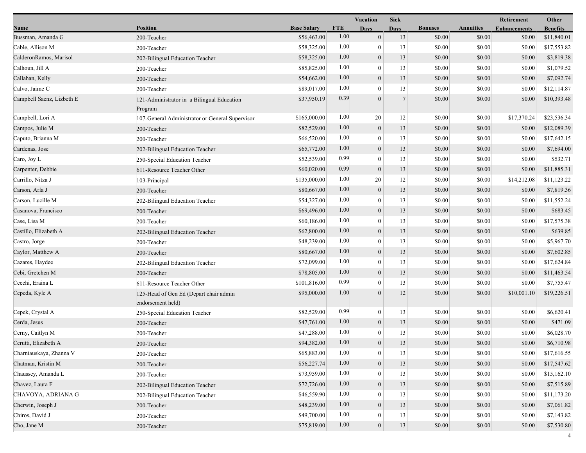|                           |                                                             |                    |            | Vacation         | <b>Sick</b>    |                |                  | Retirement          | Other           |
|---------------------------|-------------------------------------------------------------|--------------------|------------|------------------|----------------|----------------|------------------|---------------------|-----------------|
| Name                      | <b>Position</b>                                             | <b>Base Salary</b> | <b>FTE</b> | <b>Days</b>      | <b>Days</b>    | <b>Bonuses</b> | <b>Annuities</b> | <b>Enhancements</b> | <b>Benefits</b> |
| Bussman, Amanda G         | 200-Teacher                                                 | \$56,463.00        | 1.00       | $\mathbf{0}$     | 13             | \$0.00         | \$0.00           | \$0.00              | \$11,840.01     |
| Cable, Allison M          | 200-Teacher                                                 | \$58,325.00        | 1.00       | $\mathbf{0}$     | 13             | \$0.00         | \$0.00           | \$0.00              | \$17,553.82     |
| CalderonRamos, Marisol    | 202-Bilingual Education Teacher                             | \$58,325.00        | 1.00       | $\boldsymbol{0}$ | 13             | \$0.00         | \$0.00           | \$0.00              | \$3,819.38      |
| Calhoun, Jill A           | 200-Teacher                                                 | \$85,825.00        | 1.00       | $\mathbf{0}$     | 13             | \$0.00         | \$0.00           | \$0.00              | \$1,079.52      |
| Callahan, Kelly           | 200-Teacher                                                 | \$54,662.00        | 1.00       | $\boldsymbol{0}$ | 13             | \$0.00         | \$0.00           | \$0.00              | \$7,092.74      |
| Calvo, Jaime C            | 200-Teacher                                                 | \$89,017.00        | 1.00       | $\mathbf{0}$     | 13             | \$0.00         | \$0.00           | \$0.00              | \$12,114.87     |
| Campbell Saenz, Lizbeth E | 121-Administrator in a Bilingual Education<br>Program       | \$37,950.19        | 0.39       | $\theta$         | $\overline{7}$ | \$0.00         | \$0.00           | \$0.00              | \$10,393.48     |
| Campbell, Lori A          | 107-General Administrator or General Supervisor             | \$165,000.00       | 1.00       | 20               | 12             | \$0.00         | \$0.00           | \$17,370.24         | \$23,536.34     |
| Campos, Julie M           | 200-Teacher                                                 | \$82,529.00        | 1.00       | $\mathbf{0}$     | 13             | \$0.00         | \$0.00           | \$0.00              | \$12,089.39     |
| Caputo, Brianna M         | 200-Teacher                                                 | \$66,520.00        | 1.00       | $\boldsymbol{0}$ | 13             | \$0.00         | \$0.00           | \$0.00              | \$17,642.15     |
| Cardenas, Jose            | 202-Bilingual Education Teacher                             | \$65,772.00        | 1.00       | $\boldsymbol{0}$ | 13             | \$0.00         | \$0.00           | \$0.00              | \$7,694.00      |
| Caro, Joy L               | 250-Special Education Teacher                               | \$52,539.00        | 0.99       | $\mathbf{0}$     | 13             | \$0.00         | \$0.00           | \$0.00              | \$532.71        |
| Carpenter, Debbie         | 611-Resource Teacher Other                                  | \$60,020.00        | 0.99       | $\mathbf{0}$     | 13             | \$0.00         | \$0.00           | \$0.00              | \$11,885.31     |
| Carrillo, Nitza J         | 103-Principal                                               | \$135,000.00       | 1.00       | 20               | 12             | \$0.00         | \$0.00           | \$14,212.08         | \$11,123.22     |
| Carson, Arla J            | 200-Teacher                                                 | \$80,667.00        | 1.00       | $\mathbf{0}$     | 13             | \$0.00         | \$0.00           | \$0.00              | \$7,819.36      |
| Carson, Lucille M         | 202-Bilingual Education Teacher                             | \$54,327.00        | 1.00       | $\mathbf{0}$     | 13             | \$0.00         | \$0.00           | \$0.00              | \$11,552.24     |
| Casanova, Francisco       | 200-Teacher                                                 | \$69,496.00        | 1.00       | $\mathbf{0}$     | 13             | \$0.00         | \$0.00           | \$0.00              | \$683.45        |
| Case, Lisa M              | 200-Teacher                                                 | \$60,186.00        | 1.00       | $\mathbf{0}$     | 13             | \$0.00         | \$0.00           | \$0.00              | \$17,575.38     |
| Castillo, Elizabeth A     | 202-Bilingual Education Teacher                             | \$62,800.00        | 1.00       | $\boldsymbol{0}$ | 13             | \$0.00         | \$0.00           | \$0.00              | \$639.85        |
| Castro, Jorge             | 200-Teacher                                                 | \$48,239.00        | 1.00       | $\mathbf{0}$     | 13             | \$0.00         | \$0.00           | \$0.00              | \$5,967.70      |
| Caylor, Matthew A         | 200-Teacher                                                 | \$80,667.00        | 1.00       | $\mathbf{0}$     | 13             | \$0.00         | \$0.00           | \$0.00              | \$7,602.85      |
| Cazares, Haydee           | 202-Bilingual Education Teacher                             | \$72,099.00        | 1.00       | $\mathbf{0}$     | 13             | \$0.00         | \$0.00           | \$0.00              | \$17,624.84     |
| Cebi, Gretchen M          | 200-Teacher                                                 | \$78,805.00        | 1.00       | $\mathbf{0}$     | 13             | \$0.00         | \$0.00           | \$0.00              | \$11,463.54     |
| Cecchi, Eraina L          | 611-Resource Teacher Other                                  | \$101,816.00       | 0.99       | $\mathbf{0}$     | 13             | \$0.00         | \$0.00           | \$0.00              | \$7,755.47      |
| Cepeda, Kyle A            | 125-Head of Gen Ed (Depart chair admin<br>endorsement held) | \$95,000.00        | 1.00       | $\boldsymbol{0}$ | 12             | \$0.00         | \$0.00           | \$10,001.10         | \$19,226.51     |
| Cepek, Crystal A          | 250-Special Education Teacher                               | \$82,529.00        | 0.99       | $\boldsymbol{0}$ | 13             | \$0.00         | \$0.00           | \$0.00              | \$6,620.41      |
| Cerda, Jesus              | 200-Teacher                                                 | \$47,761.00        | 1.00       | $\boldsymbol{0}$ | 13             | \$0.00         | \$0.00           | \$0.00              | \$471.09        |
| Cerny, Caitlyn M          | 200-Teacher                                                 | \$47,288.00        | 1.00       | $\mathbf{0}$     | 13             | \$0.00         | \$0.00           | \$0.00              | \$6,028.70      |
| Cerutti, Elizabeth A      | 200-Teacher                                                 | \$94,382.00        | 1.00       | $\overline{0}$   | 13             | \$0.00         | \$0.00           | \$0.00              | \$6,710.98      |
| Charniauskaya, Zhanna V   | 200-Teacher                                                 | \$65,883.00        | 1.00       | $\boldsymbol{0}$ | 13             | \$0.00         | \$0.00           | \$0.00              | \$17,616.55     |
| Chatman, Kristin M        | 200-Teacher                                                 | \$56,227.74        | 1.00       | $\boldsymbol{0}$ | 13             | \$0.00         | \$0.00           | \$0.00              | \$17,547.62     |
| Chaussey, Amanda L        | 200-Teacher                                                 | \$73,959.00        | 1.00       | $\mathbf{0}$     | 13             | \$0.00         | \$0.00           | \$0.00              | \$15,162.10     |
| Chavez, Laura F           | 202-Bilingual Education Teacher                             | \$72,726.00        | 1.00       | $\boldsymbol{0}$ | 13             | \$0.00         | \$0.00           | \$0.00              | \$7,515.89      |
| CHAVOYA, ADRIANA G        | 202-Bilingual Education Teacher                             | \$46,559.90        | 1.00       | $\mathbf{0}$     | 13             | \$0.00         | \$0.00           | \$0.00              | \$11,173.20     |
| Cherwin, Joseph J         | 200-Teacher                                                 | \$48,239.00        | 1.00       | $\boldsymbol{0}$ | 13             | \$0.00         | \$0.00           | \$0.00              | \$7,061.82      |
| Chiros, David J           | 200-Teacher                                                 | \$49,700.00        | 1.00       | $\mathbf{0}$     | 13             | \$0.00         | \$0.00           | \$0.00              | \$7,143.82      |
| Cho, Jane M               | 200-Teacher                                                 | \$75,819.00        | $1.00\,$   | $\boldsymbol{0}$ | 13             | \$0.00         | \$0.00           | \$0.00              | \$7,530.80      |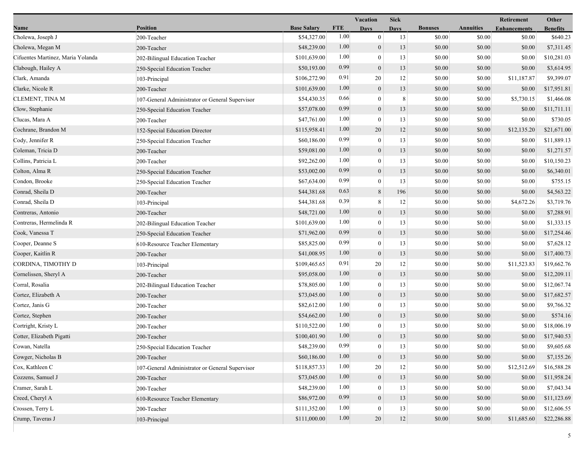|                                   |                                                 |                    |            | <b>Vacation</b>  | <b>Sick</b> |                |                  | Retirement          | Other           |
|-----------------------------------|-------------------------------------------------|--------------------|------------|------------------|-------------|----------------|------------------|---------------------|-----------------|
| Name                              | <b>Position</b>                                 | <b>Base Salary</b> | <b>FTE</b> | <b>Days</b>      | <b>Days</b> | <b>Bonuses</b> | <b>Annuities</b> | <b>Enhancements</b> | <b>Benefits</b> |
| Cholewa, Joseph J                 | 200-Teacher                                     | \$54,327.00        | 1.00       | $\mathbf{0}$     | 13          | \$0.00         | \$0.00           | \$0.00              | \$640.23        |
| Cholewa, Megan M                  | 200-Teacher                                     | \$48,239.00        | 1.00       | $\boldsymbol{0}$ | 13          | \$0.00         | \$0.00           | \$0.00              | \$7,311.45      |
| Cifuentes Martinez, Maria Yolanda | 202-Bilingual Education Teacher                 | \$101,639.00       | 1.00       | $\boldsymbol{0}$ | 13          | \$0.00         | \$0.00           | \$0.00              | \$10,281.03     |
| Clabough, Hailey A                | 250-Special Education Teacher                   | \$50,193.00        | 0.99       | $\mathbf{0}$     | 13          | \$0.00         | \$0.00           | \$0.00              | \$3,614.95      |
| Clark, Amanda                     | 103-Principal                                   | \$106,272.90       | 0.91       | 20               | 12          | \$0.00         | \$0.00           | \$11,187.87         | \$9,399.07      |
| Clarke, Nicole R                  | 200-Teacher                                     | \$101,639.00       | 1.00       | $\mathbf{0}$     | 13          | \$0.00         | \$0.00           | \$0.00              | \$17,951.81     |
| CLEMENT, TINA M                   | 107-General Administrator or General Supervisor | \$54,430.35        | 0.66       | $\mathbf{0}$     | $\,8\,$     | \$0.00         | \$0.00           | \$5,730.15          | \$1,466.08      |
| Clow, Stephanie                   | 250-Special Education Teacher                   | \$57,078.00        | 0.99       | $\mathbf{0}$     | 13          | \$0.00         | \$0.00           | \$0.00              | \$11,711.11     |
| Clucas, Mara A                    | 200-Teacher                                     | \$47,761.00        | 1.00       | $\boldsymbol{0}$ | 13          | \$0.00         | \$0.00           | \$0.00              | \$730.05        |
| Cochrane, Brandon M               | 152-Special Education Director                  | \$115,958.41       | 1.00       | 20               | 12          | \$0.00         | \$0.00           | \$12,135.20         | \$21,671.00     |
| Cody, Jennifer R                  | 250-Special Education Teacher                   | \$60,186.00        | 0.99       | $\bf{0}$         | 13          | \$0.00         | \$0.00           | \$0.00              | \$11,889.13     |
| Coleman, Tricia D                 | 200-Teacher                                     | \$59,081.00        | 1.00       | $\boldsymbol{0}$ | 13          | \$0.00         | \$0.00           | \$0.00              | \$1,271.57      |
| Collins, Patricia L               | 200-Teacher                                     | \$92,262.00        | 1.00       | $\mathbf{0}$     | 13          | \$0.00         | \$0.00           | \$0.00              | \$10,150.23     |
| Colton, Alma R                    | 250-Special Education Teacher                   | \$53,002.00        | 0.99       | $\mathbf{0}$     | 13          | \$0.00         | \$0.00           | \$0.00              | \$6,340.01      |
| Condon, Brooke                    | 250-Special Education Teacher                   | \$67,634.00        | 0.99       | $\boldsymbol{0}$ | 13          | \$0.00         | \$0.00           | \$0.00              | \$755.15        |
| Conrad, Sheila D                  | 200-Teacher                                     | \$44,381.68        | 0.63       | $\,8\,$          | 196         | \$0.00         | \$0.00           | \$0.00              | \$4,563.22      |
| Conrad, Sheila D                  | 103-Principal                                   | \$44,381.68        | 0.39       | 8                | 12          | \$0.00         | \$0.00           | \$4,672.26          | \$3,719.76      |
| Contreras, Antonio                | 200-Teacher                                     | \$48,721.00        | 1.00       | $\boldsymbol{0}$ | 13          | \$0.00         | \$0.00           | \$0.00              | \$7,288.91      |
| Contreras, Hermelinda R           | 202-Bilingual Education Teacher                 | \$101,639.00       | 1.00       | $\boldsymbol{0}$ | 13          | \$0.00         | \$0.00           | \$0.00              | \$1,333.15      |
| Cook, Vanessa T                   | 250-Special Education Teacher                   | \$71,962.00        | 0.99       | $\mathbf{0}$     | 13          | \$0.00         | \$0.00           | \$0.00              | \$17,254.46     |
| Cooper, Deanne S                  | 610-Resource Teacher Elementary                 | \$85,825.00        | 0.99       | $\boldsymbol{0}$ | 13          | \$0.00         | \$0.00           | \$0.00              | \$7,628.12      |
| Cooper, Kaitlin R                 | 200-Teacher                                     | \$41,008.95        | 1.00       | $\mathbf{0}$     | 13          | \$0.00         | \$0.00           | \$0.00              | \$17,400.73     |
| CORDINA, TIMOTHY D                | 103-Principal                                   | \$109,465.65       | 0.91       | 20               | 12          | \$0.00         | \$0.00           | \$11,523.83         | \$19,662.76     |
| Cornelissen, Sheryl A             | 200-Teacher                                     | \$95,058.00        | 1.00       | $\mathbf{0}$     | 13          | \$0.00         | \$0.00           | \$0.00              | \$12,209.11     |
| Corral, Rosalia                   | 202-Bilingual Education Teacher                 | \$78,805.00        | 1.00       | $\boldsymbol{0}$ | 13          | \$0.00         | \$0.00           | \$0.00              | \$12,067.74     |
| Cortez, Elizabeth A               | 200-Teacher                                     | \$73,045.00        | 1.00       | $\mathbf{0}$     | 13          | \$0.00         | \$0.00           | \$0.00              | \$17,682.57     |
| Cortez, Janis G                   | 200-Teacher                                     | \$82,612.00        | 1.00       | $\mathbf{0}$     | 13          | \$0.00         | \$0.00           | \$0.00              | \$9,766.32      |
| Cortez, Stephen                   | 200-Teacher                                     | \$54,662.00        | 1.00       | $\boldsymbol{0}$ | 13          | \$0.00         | \$0.00           | \$0.00              | \$574.16        |
| Cortright, Kristy L               | 200-Teacher                                     | \$110,522.00       | 1.00       | $\boldsymbol{0}$ | 13          | \$0.00         | \$0.00           | \$0.00              | \$18,006.19     |
| Cotter, Elizabeth Pigatti         | 200-Teacher                                     | \$100,401.90       | 1.00       | $\mathbf{0}$     | 13          | \$0.00         | \$0.00           | \$0.00              | \$17,940.53     |
| Cowan, Natella                    | 250-Special Education Teacher                   | \$48,239.00        | 0.99       | $\theta$         | 13          | \$0.00         | \$0.00           | \$0.00              | \$9,605.68      |
| Cowger, Nicholas B                | 200-Teacher                                     | \$60,186.00        | 1.00       | $\mathbf{0}$     | 13          | \$0.00         | \$0.00           | \$0.00              | \$7,155.26      |
| Cox, Kathleen C                   | 107-General Administrator or General Supervisor | \$118,857.33       | 1.00       | 20               | 12          | \$0.00         | \$0.00           | \$12,512.69         | \$16,588.28     |
| Cozzens, Samuel J                 | 200-Teacher                                     | \$73,045.00        | 1.00       | $\mathbf{0}$     | 13          | \$0.00         | \$0.00           | \$0.00              | \$11,958.24     |
| Cramer, Sarah L                   | 200-Teacher                                     | \$48,239.00        | 1.00       | $\theta$         | 13          | \$0.00         | \$0.00           | \$0.00              | \$7,043.34      |
| Creed, Cheryl A                   | 610-Resource Teacher Elementary                 | \$86,972.00        | 0.99       | $\boldsymbol{0}$ | 13          | \$0.00         | \$0.00           | \$0.00              | \$11,123.69     |
| Crossen, Terry L                  | 200-Teacher                                     | \$111,352.00       | 1.00       | $\boldsymbol{0}$ | 13          | \$0.00         | \$0.00           | \$0.00              | \$12,606.55     |
| Crump, Taveras J                  | 103-Principal                                   | \$111,000.00       | 1.00       | $20\,$           | 12          | \$0.00         | \$0.00           | \$11,685.60         | \$22,286.88     |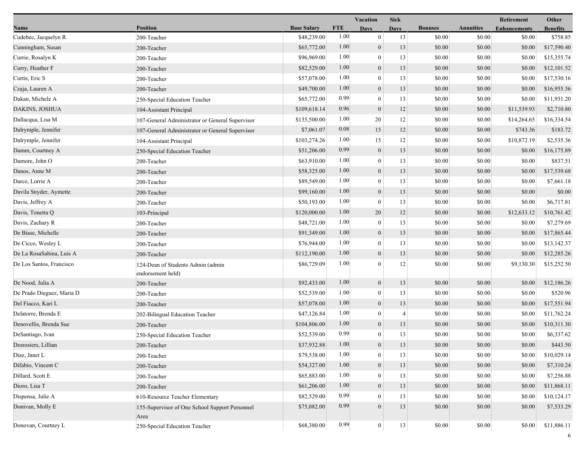|                           |                                                        |                    |            | <b>Vacation</b>  | <b>Sick</b> |                |                  | Retirement          | Other           |  |
|---------------------------|--------------------------------------------------------|--------------------|------------|------------------|-------------|----------------|------------------|---------------------|-----------------|--|
| Name                      | <b>Position</b>                                        | <b>Base Salary</b> | <b>FTE</b> | <b>Days</b>      | Davs        | <b>Bonuses</b> | <b>Annuities</b> | <b>Enhancements</b> | <b>Benefits</b> |  |
| Cudebec, Jacquelyn R      | 200-Teacher                                            | \$48,239.00        | 1.00       | $\overline{0}$   | 13          | \$0.00         | \$0.00           | \$0.00              | \$758.85        |  |
| Cunningham, Susan         | 200-Teacher                                            | \$65,772.00        | 1.00       | $\mathbf{0}$     | 13          | \$0.00         | \$0.00           | \$0.00              | \$17,590.40     |  |
| Currie, Rosalyn K         | 200-Teacher                                            | \$96,969.00        | 1.00       | $\mathbf{0}$     | 13          | \$0.00         | \$0.00           | \$0.00              | \$15,355.74     |  |
| Curry, Heather F          | 200-Teacher                                            | \$82,529.00        | 1.00       | $\mathbf{0}$     | 13          | \$0.00         | \$0.00           | \$0.00              | \$12,101.52     |  |
| Curtis, Eric S            | 200-Teacher                                            | \$57,078.00        | 1.00       | $\overline{0}$   | 13          | \$0.00         | \$0.00           | \$0.00              | \$17,530.16     |  |
| Czaja, Lauren A           | 200-Teacher                                            | \$49,700.00        | 1.00       | $\boldsymbol{0}$ | 13          | \$0.00         | \$0.00           | \$0.00              | \$16,955.36     |  |
| Dakan, Michele A          | 250-Special Education Teacher                          | \$65,772.00        | 0.99       | $\theta$         | 13          | \$0.00         | \$0.00           | \$0.00              | \$11,931.20     |  |
| DAKINS, JOSHUA            | 104-Assistant Principal                                | \$109,618.14       | 0.96       | $\mathbf{0}$     | 12          | \$0.00         | \$0.00           | \$11,539.93         | \$2,710.80      |  |
| Dallacqua, Lisa M         | 107-General Administrator or General Supervisor        | \$135,500.00       | 1.00       | 20               | 12          | \$0.00         | \$0.00           | \$14,264.65         | \$16,334.54     |  |
| Dalrymple, Jennifer       | 107-General Administrator or General Supervisor        | \$7,061.07         | 0.08       | 15               | 12          | \$0.00         | \$0.00           | \$743.36            | \$183.72        |  |
| Dalrymple, Jennifer       | 104-Assistant Principal                                | \$103,274.26       | 1.00       | 15               | 12          | \$0.00         | \$0.00           | \$10,872.19         | \$2,535.36      |  |
| Damm, Courtney A          | 250-Special Education Teacher                          | \$51,206.00        | 0.99       | $\boldsymbol{0}$ | 13          | \$0.00         | \$0.00           | \$0.00              | \$16,175.89     |  |
| Damore, John O            | 200-Teacher                                            | \$63,910.00        | 1.00       | $\overline{0}$   | 13          | \$0.00         | \$0.00           | \$0.00              | \$837.51        |  |
| Danos, Anne M             | 200-Teacher                                            | \$58,325.00        | 1.00       | $\mathbf{0}$     | 13          | \$0.00         | \$0.00           | \$0.00              | \$17,539.68     |  |
| Darce, Lorrie A           | 200-Teacher                                            | \$89,549.00        | 1.00       | $\mathbf{0}$     | 13          | \$0.00         | \$0.00           | \$0.00              | \$7,661.18      |  |
| Davila Snyder, Aymette    | 200-Teacher                                            | \$99,160.00        | 1.00       | $\mathbf{0}$     | 13          | \$0.00         | \$0.00           | \$0.00              | \$0.00          |  |
| Davis, Jeffrey A          | 200-Teacher                                            | \$50,193.00        | 1.00       | $\theta$         | 13          | \$0.00         | \$0.00           | \$0.00              | \$6,717.81      |  |
| Davis, Tonetta Q          | 103-Principal                                          | \$120,000.00       | 1.00       | 20               | 12          | \$0.00         | \$0.00           | \$12,633.12         | \$10,761.42     |  |
| Davis, Zachary R          | 200-Teacher                                            | \$48,721.00        | 1.00       | $\overline{0}$   | 13          | \$0.00         | \$0.00           | \$0.00              | \$7,279.69      |  |
| De Biase, Michelle        | 200-Teacher                                            | \$91,349.00        | 1.00       | $\mathbf{0}$     | 13          | \$0.00         | \$0.00           | \$0.00              | \$17,865.44     |  |
| De Cicco, Wesley L        | 200-Teacher                                            | \$76,944.00        | 1.00       | $\mathbf{0}$     | 13          | \$0.00         | \$0.00           | \$0.00              | \$13,142.37     |  |
| De La RosaSabina, Luis A  | 200-Teacher                                            | \$112,190.00       | 1.00       | $\overline{0}$   | 13          | \$0.00         | \$0.00           | \$0.00              | \$12,285.26     |  |
| De Los Santos, Francisco  | 124-Dean of Students Admin (admin<br>endorsement held) | \$86,729.09        | 1.00       | $\theta$         | 12          | \$0.00         | \$0.00           | \$9,130.30          | \$15,252.50     |  |
| De Nood, Julia A          | 200-Teacher                                            | \$92,433.00        | 1.00       | $\mathbf{0}$     | 13          | \$0.00         | \$0.00           | \$0.00              | \$12,186.26     |  |
| De Prado Dieguez, Maria D | 200-Teacher                                            | \$52,539.00        | 1.00       | $\overline{0}$   | 13          | \$0.00         | \$0.00           | \$0.00              | \$520.96        |  |
| Del Fiacco, Kari L        | 200-Teacher                                            | \$57,078.00        | 1.00       | $\mathbf{0}$     | 13          | \$0.00         | \$0.00           | \$0.00              | \$17,551.94     |  |
| Delatorre, Brenda E       | 202-Bilingual Education Teacher                        | \$47,126.84        | 1.00       | $\bf{0}$         | 4           | \$0.00         | \$0.00           | \$0.00              | \$11,762.24     |  |
| Denovellis, Brenda Sue    | 200-Teacher                                            | \$104,806.00       | 1.00       | $\boldsymbol{0}$ | 13          | \$0.00         | \$0.00           | \$0.00              | \$10,311.30     |  |
| DeSantiago, Ivan          | 250-Special Education Teacher                          | \$52,539.00        | 0.99       | $\overline{0}$   | 13          | \$0.00         | \$0.00           | \$0.00              | \$6,337.62      |  |
| Desrosiers, Lillian       | 200-Teacher                                            | \$37,932.88        | 1.00       | $\mathbf{0}$     | 13          | $\$0.00$       | $\$0.00$         | \$0.00              | \$443.50        |  |
| Diaz, Janet L             | 200-Teacher                                            | \$79,538.00        | 1.00       | $\mathbf{0}$     | 13          | \$0.00         | \$0.00           | \$0.00              | \$10,029.14     |  |
| Difabio, Vincent C        | 200-Teacher                                            | \$54,327.00        | 1.00       | $\mathbf{0}$     | 13          | \$0.00         | \$0.00           | \$0.00              | \$7,310.24      |  |
| Dillard, Scott E          | 200-Teacher                                            | \$65,883.00        | 1.00       | $\theta$         | 13          | \$0.00         | \$0.00           | \$0.00              | \$7,256.88      |  |
| Dioro, Lisa T             | 200-Teacher                                            | \$61,206.00        | 1.00       | $\mathbf{0}$     | 13          | \$0.00         | \$0.00           | \$0.00              | \$11,868.11     |  |
| Dispensa, Julie A         | 610-Resource Teacher Elementary                        | \$82,529.00        | 0.99       | $\Omega$         | 13          | \$0.00         | \$0.00           | \$0.00              | \$10,124.17     |  |
| Donivan, Molly E          | 155-Supervisor of One School Support Personnel<br>Area | \$75,082.00        | 0.99       | $\overline{0}$   | 13          | \$0.00         | \$0.00           | \$0.00              | \$7,533.29      |  |
| Donovan, Courtney L       | 250-Special Education Teacher                          | \$68,380.00        | 0.99       | $\bf{0}$         | 13          | \$0.00         | \$0.00           | \$0.00              | \$11,886.11     |  |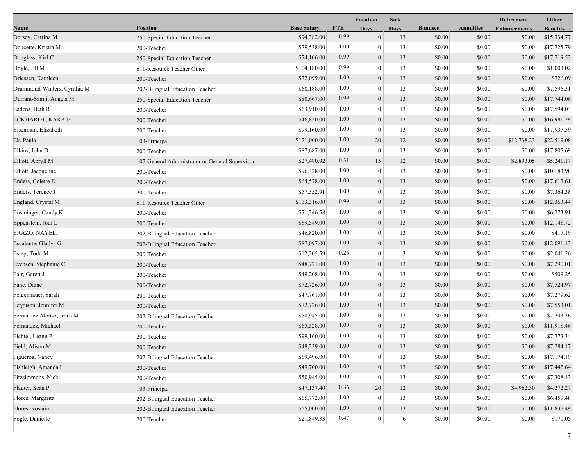|                             |                                                 |                    |            | <b>Vacation</b>  | <b>Sick</b> |                |                  | Retirement          | Other           |
|-----------------------------|-------------------------------------------------|--------------------|------------|------------------|-------------|----------------|------------------|---------------------|-----------------|
| Name                        | <b>Position</b>                                 | <b>Base Salary</b> | <b>FTE</b> | <b>Days</b>      | <b>Days</b> | <b>Bonuses</b> | <b>Annuities</b> | <b>Enhancements</b> | <b>Benefits</b> |
| Dorsey, Catrina M           | 250-Special Education Teacher                   | \$94,382.00        | 0.99       | $\mathbf{0}$     | 13          | \$0.00         | \$0.00           | \$0.00              | \$15,334.77     |
| Doucette, Kristin M         | 200-Teacher                                     | \$79,538.00        | 1.00       | $\bf{0}$         | 13          | \$0.00         | \$0.00           | \$0.00              | \$17,725.79     |
| Douglass, Kiel C            | 250-Special Education Teacher                   | \$74,106.00        | 0.99       | $\boldsymbol{0}$ | 13          | \$0.00         | \$0.00           | \$0.00              | \$17,719.53     |
| Doyle, Jill M               | 611-Resource Teacher Other                      | \$104,180.00       | 0.99       | $\mathbf{0}$     | 13          | \$0.00         | \$0.00           | \$0.00              | \$1,003.02      |
| Driessen, Kathleen          | 200-Teacher                                     | \$72,099.00        | 1.00       | $\boldsymbol{0}$ | 13          | \$0.00         | \$0.00           | \$0.00              | \$726.09        |
| Drummond-Winters, Cynthia M | 202-Bilingual Education Teacher                 | \$68,188.00        | 1.00       | $\overline{0}$   | 13          | \$0.00         | \$0.00           | \$0.00              | \$7,596.31      |
| Durrant-Samii, Angela M     | 250-Special Education Teacher                   | \$80,667.00        | 0.99       | $\mathbf{0}$     | 13          | \$0.00         | \$0.00           | \$0.00              | \$17,744.06     |
| Eadens, Beth R              | 200-Teacher                                     | \$63,910.00        | 1.00       | $\bf{0}$         | 13          | \$0.00         | \$0.00           | \$0.00              | \$17,594.03     |
| ECKHARDT, KARA E            | 200-Teacher                                     | \$46,820.00        | 1.00       | $\boldsymbol{0}$ | 13          | \$0.00         | \$0.00           | \$0.00              | \$16,981.29     |
| Eisenman, Elizabeth         | 200-Teacher                                     | \$99,160.00        | 1.00       | $\mathbf{0}$     | 13          | \$0.00         | \$0.00           | \$0.00              | \$17,937.59     |
| Ek, Paula                   | 103-Principal                                   | \$121,000.00       | 1.00       | 20               | 12          | \$0.00         | \$0.00           | \$12,738.23         | \$22,519.08     |
| Elkins, John D              | 200-Teacher                                     | \$87,687.00        | 1.00       | $\mathbf{0}$     | 13          | \$0.00         | \$0.00           | \$0.00              | \$17,805.69     |
| Elliott, Apryll M           | 107-General Administrator or General Supervisor | \$27,480.92        | 0.31       | 15               | 12          | \$0.00         | \$0.00           | \$2,893.05          | \$5,241.17      |
| Elliott, Jacqueline         | 200-Teacher                                     | \$96,328.00        | 1.00       | $\bf{0}$         | 13          | \$0.00         | \$0.00           | \$0.00              | \$10,183.98     |
| Enders, Colette E           | 200-Teacher                                     | \$64,578.00        | 1.00       | $\boldsymbol{0}$ | 13          | \$0.00         | \$0.00           | \$0.00              | \$17,612.61     |
| Enders, Terence J           | 200-Teacher                                     | \$57,352.91        | 1.00       | $\overline{0}$   | 13          | \$0.00         | \$0.00           | \$0.00              | \$7,364.38      |
| England, Crystal M          | 611-Resource Teacher Other                      | \$113,316.00       | 0.99       | $\mathbf{0}$     | 13          | \$0.00         | \$0.00           | \$0.00              | \$12,363.44     |
| Ensminger, Candy K          | 200-Teacher                                     | \$71,246.58        | 1.00       | $\overline{0}$   | 13          | \$0.00         | \$0.00           | \$0.00              | \$6,273.91      |
| Eppenstein, Jodi L          | 200-Teacher                                     | \$89,549.00        | 1.00       | $\overline{0}$   | 13          | \$0.00         | \$0.00           | \$0.00              | \$12,148.72     |
| ERAZO, NAYELI               | 202-Bilingual Education Teacher                 | \$46,820.00        | 1.00       | $\overline{0}$   | 13          | \$0.00         | \$0.00           | \$0.00              | \$417.19        |
| Escalante, Gladys G         | 202-Bilingual Education Teacher                 | \$87,097.00        | 1.00       | $\mathbf{0}$     | 13          | \$0.00         | \$0.00           | \$0.00              | \$12,091.13     |
| Estep, Todd M               | 200-Teacher                                     | \$12,205.59        | 0.26       | $\overline{0}$   | 3           | \$0.00         | \$0.00           | \$0.00              | \$2,041.26      |
| Evensen, Stephanie C        | 200-Teacher                                     | \$48,721.00        | 1.00       | $\mathbf{0}$     | 13          | \$0.00         | \$0.00           | \$0.00              | \$7,290.01      |
| Fair, Garett J              | 200-Teacher                                     | \$49,208.00        | 1.00       | $\mathbf{0}$     | 13          | \$0.00         | \$0.00           | \$0.00              | \$509.25        |
| Fane, Diane                 | 200-Teacher                                     | \$72,726.00        | 1.00       | $\overline{0}$   | 13          | \$0.00         | \$0.00           | \$0.00              | \$7,524.97      |
| Felgenhauer, Sarah          | 200-Teacher                                     | \$47,761.00        | 1.00       | $\overline{0}$   | 13          | \$0.00         | \$0.00           | \$0.00              | \$7,279.62      |
| Ferguson, Jennifer M        | 200-Teacher                                     | \$72,726.00        | 1.00       | $\mathbf{0}$     | 13          | \$0.00         | \$0.00           | \$0.00              | \$7,553.01      |
| Fernandez Alonso, Jesus M   | 202-Bilingual Education Teacher                 | \$50,945.00        | 1.00       | $\overline{0}$   | 13          | \$0.00         | \$0.00           | \$0.00              | \$7,293.36      |
| Fernandez, Michael          | 200-Teacher                                     | \$65,528.00        | 1.00       | $\mathbf{0}$     | 13          | \$0.00         | \$0.00           | \$0.00              | \$11,918.46     |
| Fichtel, Leann R            | 200-Teacher                                     | \$99,160.00        | 1.00       | $\mathbf{0}$     | 13          | \$0.00         | \$0.00           | \$0.00              | \$7,773.34      |
| Field, Alison M             | 200-Teacher                                     | \$48,239.00        | $1.00\,$   | $\boldsymbol{0}$ | 13          | \$0.00         | \$0.00           | \$0.00              | \$7,284.17      |
| Figueroa, Nancy             | 202-Bilingual Education Teacher                 | \$69,496.00        | 1.00       | $\theta$         | 13          | \$0.00         | \$0.00           | \$0.00              | \$17,174.19     |
| Fishleigh, Amanda L         | 200-Teacher                                     | \$49,700.00        | 1.00       | $\mathbf{0}$     | 13          | \$0.00         | \$0.00           | \$0.00              | \$17,442.64     |
| Fitzsimmons, Nicki          | 200-Teacher                                     | \$50,945.00        | 1.00       | $\mathbf{0}$     | 13          | \$0.00         | \$0.00           | \$0.00              | \$7,308.13      |
| Flauter, Sean P             | 103-Principal                                   | \$47,137.40        | 0.36       | 20               | 12          | \$0.00         | \$0.00           | \$4,962.30          | \$4,272.27      |
| Flores, Margarita           | 202-Bilingual Education Teacher                 | \$65,772.00        | 1.00       | $\theta$         | 13          | \$0.00         | \$0.00           | \$0.00              | \$6,459.48      |
| Flores, Rosario             | 202-Bilingual Education Teacher                 | \$55,000.00        | 1.00       | $\boldsymbol{0}$ | 13          | \$0.00         | \$0.00           | \$0.00              | \$11,837.49     |
| Fogle, Danielle             | 200-Teacher                                     | \$21,849.33        | 0.47       | $\mathbf{0}$     | 6           | \$0.00         | \$0.00           | \$0.00              | \$170.05        |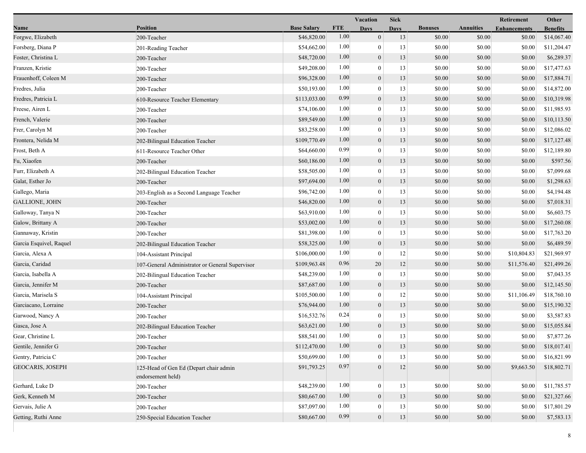|                         |                                                             |                    |            | <b>Vacation</b>  | <b>Sick</b> |                |                  | <b>Retirement</b>   | Other           |
|-------------------------|-------------------------------------------------------------|--------------------|------------|------------------|-------------|----------------|------------------|---------------------|-----------------|
| Name                    | <b>Position</b>                                             | <b>Base Salary</b> | <b>FTE</b> | <b>Days</b>      | <b>Days</b> | <b>Bonuses</b> | <b>Annuities</b> | <b>Enhancements</b> | <b>Benefits</b> |
| Forgwe, Elizabeth       | 200-Teacher                                                 | \$46,820.00        | 1.00       | $\overline{0}$   | 13          | \$0.00         | \$0.00           | \$0.00              | \$14,067.40     |
| Forsberg, Diana P       | 201-Reading Teacher                                         | \$54,662.00        | 1.00       | $\theta$         | 13          | \$0.00         | \$0.00           | \$0.00              | \$11,204.47     |
| Foster, Christina L     | 200-Teacher                                                 | \$48,720.00        | 1.00       | $\boldsymbol{0}$ | 13          | \$0.00         | \$0.00           | \$0.00              | \$6,289.37      |
| Franzen, Kristie        | 200-Teacher                                                 | \$49,208.00        | 1.00       | $\overline{0}$   | 13          | \$0.00         | \$0.00           | \$0.00              | \$17,477.63     |
| Frauenhoff, Coleen M    | 200-Teacher                                                 | \$96,328.00        | 1.00       | $\mathbf{0}$     | 13          | \$0.00         | \$0.00           | \$0.00              | \$17,884.71     |
| Fredres, Julia          | 200-Teacher                                                 | \$50,193.00        | 1.00       | $\boldsymbol{0}$ | 13          | \$0.00         | \$0.00           | \$0.00              | \$14,872.00     |
| Fredres, Patricia L     | 610-Resource Teacher Elementary                             | \$113,033.00       | 0.99       | $\mathbf{0}$     | 13          | \$0.00         | \$0.00           | \$0.00              | \$10,319.98     |
| Freese, Airen L         | 200-Teacher                                                 | \$74,106.00        | 1.00       | 0                | 13          | \$0.00         | \$0.00           | \$0.00              | \$11,985.93     |
| French, Valerie         | 200-Teacher                                                 | \$89,549.00        | 1.00       | $\boldsymbol{0}$ | 13          | \$0.00         | \$0.00           | \$0.00              | \$10,113.50     |
| Frer, Carolyn M         | 200-Teacher                                                 | \$83,258.00        | 1.00       | $\overline{0}$   | 13          | \$0.00         | \$0.00           | \$0.00              | \$12,086.02     |
| Frontera, Nelida M      | 202-Bilingual Education Teacher                             | \$109,770.49       | 1.00       | $\boldsymbol{0}$ | 13          | \$0.00         | \$0.00           | \$0.00              | \$17,127.48     |
| Frost, Beth A           | 611-Resource Teacher Other                                  | \$64,660.00        | 0.99       | $\overline{0}$   | 13          | \$0.00         | \$0.00           | \$0.00              | \$12,189.80     |
| Fu, Xiaofen             | 200-Teacher                                                 | \$60,186.00        | 1.00       | $\overline{0}$   | 13          | \$0.00         | \$0.00           | \$0.00              | \$597.56        |
| Furr, Elizabeth A       | 202-Bilingual Education Teacher                             | \$58,505.00        | 1.00       | $\theta$         | 13          | \$0.00         | \$0.00           | \$0.00              | \$7,099.68      |
| Galat, Esther Jo        | 200-Teacher                                                 | \$97,694.00        | 1.00       | $\boldsymbol{0}$ | 13          | \$0.00         | \$0.00           | \$0.00              | \$1,298.63      |
| Gallego, Maria          | 203-English as a Second Language Teacher                    | \$96,742.00        | 1.00       | $\bf{0}$         | 13          | \$0.00         | \$0.00           | \$0.00              | \$4,194.48      |
| <b>GALLIONE, JOHN</b>   | 200-Teacher                                                 | \$46,820.00        | 1.00       | $\overline{0}$   | 13          | \$0.00         | \$0.00           | \$0.00              | \$7,018.31      |
| Galloway, Tanya N       | 200-Teacher                                                 | \$63,910.00        | 1.00       | $\boldsymbol{0}$ | 13          | \$0.00         | \$0.00           | \$0.00              | \$6,603.75      |
| Galow, Brittany A       | 200-Teacher                                                 | \$53,002.00        | 1.00       | $\overline{0}$   | 13          | \$0.00         | \$0.00           | \$0.00              | \$17,260.08     |
| Gannaway, Kristin       | 200-Teacher                                                 | \$81,398.00        | 1.00       | $\theta$         | 13          | \$0.00         | \$0.00           | \$0.00              | \$17,763.20     |
| Garcia Esquivel, Raquel | 202-Bilingual Education Teacher                             | \$58,325.00        | 1.00       | $\boldsymbol{0}$ | 13          | \$0.00         | \$0.00           | \$0.00              | \$6,489.59      |
| Garcia, Alexa A         | 104-Assistant Principal                                     | \$106,000.00       | 1.00       | $\overline{0}$   | 12          | \$0.00         | \$0.00           | \$10,804.83         | \$21,969.97     |
| Garcia, Caridad         | 107-General Administrator or General Supervisor             | \$109,963.48       | 0.96       | 20               | 12          | \$0.00         | \$0.00           | \$11,576.40         | \$21,499.26     |
| Garcia, Isabella A      | 202-Bilingual Education Teacher                             | \$48,239.00        | 1.00       | $\boldsymbol{0}$ | 13          | \$0.00         | \$0.00           | \$0.00              | \$7,043.35      |
| Garcia, Jennifer M      | 200-Teacher                                                 | \$87,687.00        | 1.00       | $\mathbf{0}$     | 13          | \$0.00         | \$0.00           | \$0.00              | \$12,145.50     |
| Garcia, Marisela S      | 104-Assistant Principal                                     | \$105,500.00       | 1.00       | $\mathbf{0}$     | 12          | \$0.00         | \$0.00           | \$11,106.49         | \$18,760.10     |
| Garciacano, Lorraine    | 200-Teacher                                                 | \$76,944.00        | 1.00       | $\boldsymbol{0}$ | 13          | \$0.00         | \$0.00           | \$0.00              | \$15,190.32     |
| Garwood, Nancy A        | 200-Teacher                                                 | \$16,532.76        | 0.24       | $\boldsymbol{0}$ | 13          | \$0.00         | \$0.00           | \$0.00              | \$3,587.83      |
| Gasca, Jose A           | 202-Bilingual Education Teacher                             | \$63,621.00        | 1.00       | $\mathbf{0}$     | 13          | \$0.00         | \$0.00           | \$0.00              | \$15,055.84     |
| Gear, Christine L       | 200-Teacher                                                 | \$88,541.00        | 1.00       | $\boldsymbol{0}$ | 13          | \$0.00         | \$0.00           | \$0.00              | \$7,877.26      |
| Gentile, Jennifer G     | 200-Teacher                                                 | \$112,470.00       | 1.00       | $\mathbf{0}$     | $13\,$      | $\$0.00$       | \$0.00           | \$0.00              | \$18,017.41     |
| Gentry, Patricia C      | 200-Teacher                                                 | \$50,699.00        | 1.00       | $\mathbf{0}$     | 13          | \$0.00         | \$0.00           | \$0.00              | \$16,821.99     |
| <b>GEOCARIS, JOSEPH</b> | 125-Head of Gen Ed (Depart chair admin<br>endorsement held) | \$91,793.25        | 0.97       | $\overline{0}$   | 12          | \$0.00         | \$0.00           | \$9,663.50          | \$18,802.71     |
| Gerhard, Luke D         | 200-Teacher                                                 | \$48,239.00        | 1.00       | $\boldsymbol{0}$ | 13          | \$0.00         | \$0.00           | \$0.00              | \$11,785.57     |
| Gerk, Kenneth M         | 200-Teacher                                                 | \$80,667.00        | 1.00       | $\mathbf{0}$     | 13          | \$0.00         | \$0.00           | \$0.00              | \$21,327.66     |
| Gervais, Julie A        | 200-Teacher                                                 | \$87,097.00        | 1.00       | 0                | 13          | \$0.00         | \$0.00           | \$0.00              | \$17,801.29     |
| Getting, Ruthi Anne     | 250-Special Education Teacher                               | \$80,667.00        | 0.99       | $\boldsymbol{0}$ | 13          | \$0.00         | \$0.00           | \$0.00              | \$7,583.13      |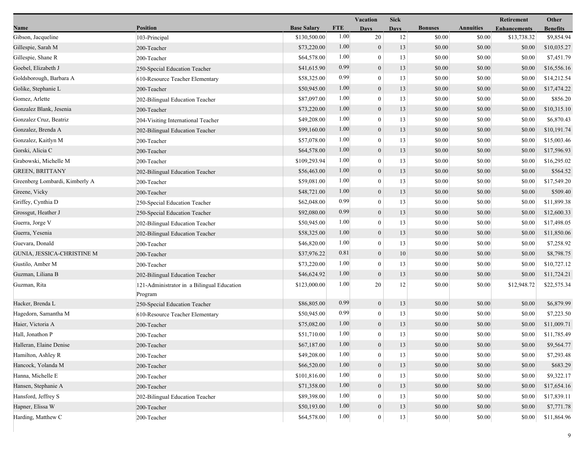|                                |                                                                  |                    |            | Vacation         | <b>Sick</b> |                  |                  | Retirement          | Other                     |
|--------------------------------|------------------------------------------------------------------|--------------------|------------|------------------|-------------|------------------|------------------|---------------------|---------------------------|
| Name                           | <b>Position</b>                                                  | <b>Base Salary</b> | <b>FTE</b> | <b>Days</b>      | <b>Days</b> | <b>Bonuses</b>   | <b>Annuities</b> | <b>Enhancements</b> | <b>Benefits</b>           |
| Gibson, Jacqueline             | 103-Principal                                                    | \$130,500.00       | 1.00       | 20               | 12          | \$0.00           | \$0.00           | \$13,738.32         | \$9,854.94                |
| Gillespie, Sarah M             | 200-Teacher                                                      | \$73,220.00        | 1.00       | $\mathbf{0}$     | 13          | \$0.00           | \$0.00           | \$0.00              | \$10,035.27               |
| Gillespie, Shane R             | 200-Teacher                                                      | \$64,578.00        | 1.00       | $\mathbf{0}$     | 13          | \$0.00           | \$0.00           | \$0.00              | \$7,451.79                |
| Goebel, Elizabeth J            | 250-Special Education Teacher                                    | \$41,615.90        | 0.99       | $\mathbf{0}$     | 13          | \$0.00           | \$0.00           | \$0.00              | \$16,556.16               |
| Goldsborough, Barbara A        | 610-Resource Teacher Elementary                                  | \$58,325.00        | 0.99       | $\mathbf{0}$     | 13          | \$0.00           | \$0.00           | \$0.00              | \$14,212.54               |
| Golike, Stephanie L            | 200-Teacher                                                      | \$50,945.00        | 1.00       | $\mathbf{0}$     | 13          | \$0.00           | \$0.00           | \$0.00              | \$17,474.22               |
| Gomez, Arlette                 | 202-Bilingual Education Teacher                                  | \$87,097.00        | 1.00       | $\theta$         | 13          | \$0.00           | \$0.00           | \$0.00              | \$856.20                  |
| Gonzalez Blank, Jesenia        | 200-Teacher                                                      | \$73,220.00        | 1.00       | $\mathbf{0}$     | 13          | \$0.00           | \$0.00           | \$0.00              | \$10,315.10               |
| Gonzalez Cruz, Beatriz         | 204-Visiting International Teacher                               | \$49,208.00        | 1.00       | $\mathbf{0}$     | 13          | \$0.00           | \$0.00           | \$0.00              | \$6,870.43                |
| Gonzalez, Brenda A             | 202-Bilingual Education Teacher                                  | \$99,160.00        | 1.00       | $\mathbf{0}$     | 13          | \$0.00           | \$0.00           | \$0.00              | \$10,191.74               |
| Gonzalez, Kaitlyn M            | 200-Teacher                                                      | \$57,078.00        | 1.00       | $\theta$         | 13          | \$0.00           | \$0.00           | \$0.00              | \$15,003.46               |
| Gorski, Alicia C               | 200-Teacher                                                      | \$64,578.00        | 1.00       | $\boldsymbol{0}$ | 13          | \$0.00           | \$0.00           | \$0.00              | \$17,596.93               |
| Grabowski, Michelle M          | 200-Teacher                                                      | \$109,293.94       | 1.00       | $\mathbf{0}$     | 13          | \$0.00           | \$0.00           | \$0.00              | \$16,295.02               |
| <b>GREEN, BRITTANY</b>         | 202-Bilingual Education Teacher                                  | \$56,463.00        | 1.00       | $\mathbf{0}$     | 13          | \$0.00           | \$0.00           | \$0.00              | \$564.52                  |
| Greenberg Lombardi, Kimberly A | 200-Teacher                                                      | \$59,081.00        | 1.00       | $\mathbf{0}$     | 13          | \$0.00           | \$0.00           | \$0.00              | \$17,549.20               |
| Greene, Vicky                  | 200-Teacher                                                      | \$48,721.00        | 1.00       | $\mathbf{0}$     | 13          | \$0.00           | \$0.00           | \$0.00              | \$509.40                  |
| Griffey, Cynthia D             | 250-Special Education Teacher                                    | \$62,048.00        | 0.99       | $\theta$         | 13          | \$0.00           | \$0.00           | \$0.00              | \$11,899.38               |
| Grossgut, Heather J            | 250-Special Education Teacher                                    | \$92,080.00        | 0.99       | $\boldsymbol{0}$ | 13          | \$0.00           | \$0.00           | \$0.00              | \$12,600.33               |
| Guerra, Jorge V                | 202-Bilingual Education Teacher                                  | \$50,945.00        | 1.00       | $\theta$         | 13          | \$0.00           | \$0.00           | \$0.00              | \$17,498.05               |
| Guerra, Yesenia                | 202-Bilingual Education Teacher                                  | \$58,325.00        | 1.00       | $\mathbf{0}$     | 13          | \$0.00           | \$0.00           | \$0.00              | \$11,850.06               |
| Guevara, Donald                | 200-Teacher                                                      | \$46,820.00        | 1.00       | $\overline{0}$   | 13          | \$0.00           | \$0.00           | \$0.00              | \$7,258.92                |
| GUNIA, JESSICA-CHRISTINE M     | 200-Teacher                                                      | \$37,976.22        | 0.81       | $\mathbf{0}$     | 10          | \$0.00           | \$0.00           | \$0.00              | \$8,798.75                |
| Gustilo, Amber M               | 200-Teacher                                                      | \$73,220.00        | 1.00       | $\theta$         | 13          | \$0.00           | \$0.00           | \$0.00              | \$10,727.12               |
| Guzman, Liliana B              | 202-Bilingual Education Teacher                                  | \$46,624.92        | 1.00       | $\mathbf{0}$     | 13          | \$0.00           | \$0.00           | \$0.00              | \$11,724.21               |
| Guzman, Rita                   | 121-Administrator in a Bilingual Education                       | \$123,000.00       | 1.00       | 20               | 12          | \$0.00           | \$0.00           | \$12,948.72         | \$22,575.34               |
| Hacker, Brenda L               | Program                                                          | \$86,805.00        | 0.99       | $\mathbf{0}$     | 13          | \$0.00           | \$0.00           | \$0.00              | \$6,879.99                |
| Hagedorn, Samantha M           | 250-Special Education Teacher<br>610-Resource Teacher Elementary | \$50,945.00        | 0.99       | $\mathbf{0}$     | 13          | \$0.00           | \$0.00           | \$0.00              | \$7,223.50                |
| Haier, Victoria A              | 200-Teacher                                                      | \$75,082.00        | 1.00       | $\mathbf{0}$     | 13          | \$0.00           | \$0.00           | \$0.00              | \$11,009.71               |
| Hall, Jonathon P               | 200-Teacher                                                      | \$51,710.00        | 1.00       | $\mathbf{0}$     | 13          | \$0.00           | \$0.00           | \$0.00              | \$11,785.49               |
| Halleran, Elaine Denise        | 200-Teacher                                                      | \$67,187.00        | 1.00       | $\mathbf{0}$     | 13          | \$0.00           | $\$0.00$         | \$0.00              | \$9,564.77                |
| Hamilton, Ashley R             | 200-Teacher                                                      | \$49,208.00        | 1.00       | $\mathbf{0}$     | 13          | \$0.00           | \$0.00           | \$0.00              | \$7,293.48                |
| Hancock, Yolanda M             |                                                                  | \$66,520.00        | 1.00       | $\mathbf{0}$     | 13          | \$0.00           | \$0.00           | \$0.00              | \$683.29                  |
| Hanna, Michelle E              | 200-Teacher                                                      | \$101,816.00       | 1.00       | $\theta$         | 13          |                  |                  |                     |                           |
| Hansen, Stephanie A            | 200-Teacher                                                      | \$71,358.00        | 1.00       | $\mathbf{0}$     | 13          | \$0.00<br>\$0.00 | \$0.00<br>\$0.00 | \$0.00<br>\$0.00    | \$9,322.17<br>\$17,654.16 |
|                                | 200-Teacher                                                      | \$89,398.00        | 1.00       | $\Omega$         | 13          |                  |                  |                     |                           |
| Hansford, Jeffrey S            | 202-Bilingual Education Teacher                                  |                    | 1.00       |                  |             | \$0.00           | \$0.00           | \$0.00              | \$17,839.11               |
| Hapner, Elissa W               | 200-Teacher                                                      | \$50,193.00        |            | $\boldsymbol{0}$ | 13          | \$0.00           | \$0.00           | \$0.00              | \$7,771.78                |
| Harding, Matthew C             | 200-Teacher                                                      | \$64,578.00        | 1.00       | $\boldsymbol{0}$ | 13          | \$0.00           | \$0.00           | \$0.00              | \$11,864.96               |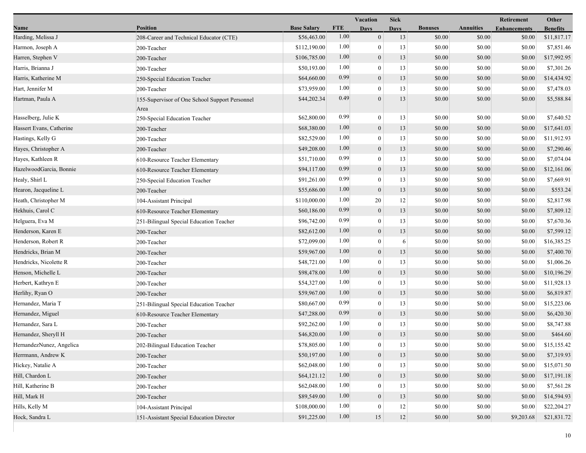|                          |                                                        |                    | <b>Vacation</b> |                  | <b>Sick</b> |                |                  | Retirement          | Other           |  |
|--------------------------|--------------------------------------------------------|--------------------|-----------------|------------------|-------------|----------------|------------------|---------------------|-----------------|--|
| Name                     | <b>Position</b>                                        | <b>Base Salary</b> | <b>FTE</b>      | Days             | <b>Days</b> | <b>Bonuses</b> | <b>Annuities</b> | <b>Enhancements</b> | <b>Benefits</b> |  |
| Harding, Melissa J       | 208-Career and Technical Educator (CTE)                | \$56,463.00        | 1.00            | $\mathbf{0}$     | 13          | \$0.00         | \$0.00           | \$0.00              | \$11,817.17     |  |
| Harmon, Joseph A         | 200-Teacher                                            | \$112,190.00       | 1.00            | $\boldsymbol{0}$ | 13          | \$0.00         | \$0.00           | \$0.00              | \$7,851.46      |  |
| Harren, Stephen V        | 200-Teacher                                            | \$106,785.00       | 1.00            | $\boldsymbol{0}$ | 13          | \$0.00         | \$0.00           | \$0.00              | \$17,992.95     |  |
| Harris, Brianna J        | 200-Teacher                                            | \$50,193.00        | 1.00            | $\boldsymbol{0}$ | 13          | \$0.00         | \$0.00           | \$0.00              | \$7,301.26      |  |
| Harris, Katherine M      | 250-Special Education Teacher                          | \$64,660.00        | 0.99            | $\boldsymbol{0}$ | 13          | \$0.00         | \$0.00           | \$0.00              | \$14,434.92     |  |
| Hart, Jennifer M         | 200-Teacher                                            | \$73,959.00        | 1.00            | $\boldsymbol{0}$ | 13          | \$0.00         | \$0.00           | \$0.00              | \$7,478.03      |  |
| Hartman, Paula A         | 155-Supervisor of One School Support Personnel<br>Area | \$44,202.34        | 0.49            | $\theta$         | 13          | \$0.00         | \$0.00           | \$0.00              | \$5,588.84      |  |
| Hasselberg, Julie K      | 250-Special Education Teacher                          | \$62,800.00        | 0.99            | $\boldsymbol{0}$ | 13          | \$0.00         | \$0.00           | \$0.00              | \$7,640.52      |  |
| Hassert Evans, Catherine | 200-Teacher                                            | \$68,380.00        | 1.00            | $\boldsymbol{0}$ | 13          | \$0.00         | \$0.00           | \$0.00              | \$17,641.03     |  |
| Hastings, Kelly G        | 200-Teacher                                            | \$82,529.00        | 1.00            | $\boldsymbol{0}$ | 13          | \$0.00         | \$0.00           | \$0.00              | \$11,912.93     |  |
| Hayes, Christopher A     | 200-Teacher                                            | \$49,208.00        | 1.00            | $\boldsymbol{0}$ | 13          | \$0.00         | \$0.00           | \$0.00              | \$7,290.46      |  |
| Hayes, Kathleen R        | 610-Resource Teacher Elementary                        | \$51,710.00        | 0.99            | $\boldsymbol{0}$ | 13          | \$0.00         | \$0.00           | \$0.00              | \$7,074.04      |  |
| HazelwoodGarcia, Bonnie  | 610-Resource Teacher Elementary                        | \$94,117.00        | 0.99            | $\boldsymbol{0}$ | 13          | \$0.00         | \$0.00           | \$0.00              | \$12,161.06     |  |
| Healy, Shirl L           | 250-Special Education Teacher                          | \$91,261.00        | 0.99            | $\theta$         | 13          | \$0.00         | \$0.00           | \$0.00              | \$7,669.91      |  |
| Hearon, Jacqueline L     | 200-Teacher                                            | \$55,686.00        | 1.00            | $\boldsymbol{0}$ | 13          | \$0.00         | \$0.00           | \$0.00              | \$553.24        |  |
| Heath, Christopher M     | 104-Assistant Principal                                | \$110,000.00       | 1.00            | 20               | 12          | \$0.00         | \$0.00           | \$0.00              | \$2,817.98      |  |
| Hekhuis, Carol C         | 610-Resource Teacher Elementary                        | \$60,186.00        | 0.99            | $\boldsymbol{0}$ | 13          | \$0.00         | \$0.00           | \$0.00              | \$7,809.12      |  |
| Helguera, Eva M          | 251-Bilingual Special Education Teacher                | \$96,742.00        | 0.99            | $\boldsymbol{0}$ | 13          | \$0.00         | \$0.00           | \$0.00              | \$7,670.36      |  |
| Henderson, Karen E       | 200-Teacher                                            | \$82,612.00        | 1.00            | $\boldsymbol{0}$ | 13          | \$0.00         | \$0.00           | \$0.00              | \$7,599.12      |  |
| Henderson, Robert R      | 200-Teacher                                            | \$72,099.00        | 1.00            | $\overline{0}$   | 6           | \$0.00         | \$0.00           | \$0.00              | \$16,385.25     |  |
| Hendricks, Brian M       | 200-Teacher                                            | \$59,967.00        | 1.00            | $\boldsymbol{0}$ | 13          | \$0.00         | \$0.00           | \$0.00              | \$7,400.70      |  |
| Hendricks, Nicolette R   | 200-Teacher                                            | \$48,721.00        | 1.00            | $\boldsymbol{0}$ | 13          | \$0.00         | \$0.00           | \$0.00              | \$1,006.26      |  |
| Henson, Michelle L       | 200-Teacher                                            | \$98,478.00        | 1.00            | $\boldsymbol{0}$ | 13          | \$0.00         | \$0.00           | \$0.00              | \$10,196.29     |  |
| Herbert, Kathryn E       | 200-Teacher                                            | \$54,327.00        | 1.00            | $\boldsymbol{0}$ | 13          | \$0.00         | \$0.00           | \$0.00              | \$11,928.13     |  |
| Herlihy, Ryan O          | 200-Teacher                                            | \$59,967.00        | 1.00            | $\boldsymbol{0}$ | 13          | \$0.00         | \$0.00           | \$0.00              | \$6,819.87      |  |
| Hernandez, Maria T       | 251-Bilingual Special Education Teacher                | \$80,667.00        | 0.99            | $\overline{0}$   | 13          | \$0.00         | \$0.00           | \$0.00              | \$15,223.06     |  |
| Hernandez, Miguel        | 610-Resource Teacher Elementary                        | \$47,288.00        | 0.99            | $\boldsymbol{0}$ | 13          | \$0.00         | \$0.00           | \$0.00              | \$6,420.30      |  |
| Hernandez, Sara L        | 200-Teacher                                            | \$92,262.00        | 1.00            | $\boldsymbol{0}$ | 13          | \$0.00         | \$0.00           | \$0.00              | \$8,747.88      |  |
| Hernandez, Sheryll H     | 200-Teacher                                            | \$46,820.00        | 1.00            | $\boldsymbol{0}$ | 13          | \$0.00         | \$0.00           | \$0.00              | \$464.60        |  |
| HernandezNunez, Angelica | 202-Bilingual Education Teacher                        | \$78,805.00        | 1.00            | $\mathbf{0}$     | 13          | $\$0.00$       | $\$0.00$         | \$0.00              | \$15,155.42     |  |
| Herrmann, Andrew K       | 200-Teacher                                            | \$50,197.00        | 1.00            | $\boldsymbol{0}$ | 13          | \$0.00         | \$0.00           | \$0.00              | \$7,319.93      |  |
| Hickey, Natalie A        | 200-Teacher                                            | \$62,048.00        | 1.00            | $\overline{0}$   | 13          | \$0.00         | \$0.00           | \$0.00              | \$15,071.50     |  |
| Hill, Chardon L          | 200-Teacher                                            | \$64,121.12        | 1.00            | $\overline{0}$   | 13          | \$0.00         | \$0.00           | \$0.00              | \$17,191.18     |  |
| Hill, Katherine B        | 200-Teacher                                            | \$62,048.00        | 1.00            | $\overline{0}$   | 13          | \$0.00         | \$0.00           | \$0.00              | \$7,561.28      |  |
| Hill, Mark H             | 200-Teacher                                            | \$89,549.00        | 1.00            | $\mathbf{0}$     | 13          | \$0.00         | \$0.00           | \$0.00              | \$14,594.93     |  |
| Hills, Kelly M           | 104-Assistant Principal                                | \$108,000.00       | 1.00            | $\mathbf{0}$     | 12          | \$0.00         | \$0.00           | \$0.00              | \$22,204.27     |  |
| Hock, Sandra L           | 151-Assistant Special Education Director               | \$91,225.00        | 1.00            | 15               | 12          | \$0.00         | \$0.00           | \$9,203.68          | \$21,831.72     |  |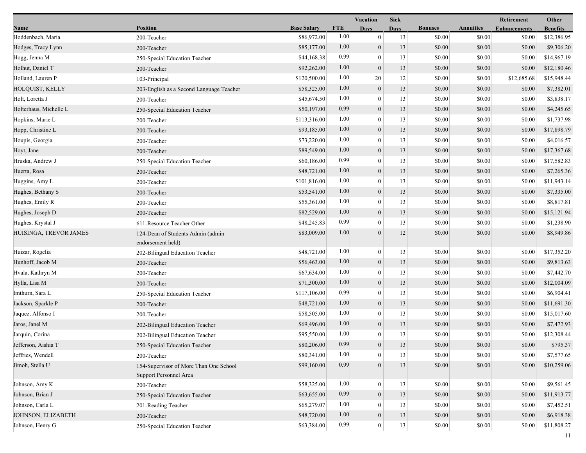|                        |                                                        |                    |            | Vacation         | <b>Sick</b> |                |                  | Retirement          | Other           |
|------------------------|--------------------------------------------------------|--------------------|------------|------------------|-------------|----------------|------------------|---------------------|-----------------|
| Name                   | <b>Position</b>                                        | <b>Base Salary</b> | <b>FTE</b> | <b>Days</b>      | <b>Days</b> | <b>Bonuses</b> | <b>Annuities</b> | <b>Enhancements</b> | <b>Benefits</b> |
| Hoddenbach, Maria      | 200-Teacher                                            | \$86,972.00        | 1.00       | $\boldsymbol{0}$ | 13          | \$0.00         | \$0.00           | \$0.00              | \$12,386.95     |
| Hodges, Tracy Lynn     | 200-Teacher                                            | \$85,177.00        | 1.00       | $\boldsymbol{0}$ | 13          | \$0.00         | \$0.00           | \$0.00              | \$9,306.20      |
| Hogg, Jenna M          | 250-Special Education Teacher                          | \$44,168.38        | 0.99       | $\mathbf{0}$     | 13          | \$0.00         | \$0.00           | \$0.00              | \$14,967.19     |
| Holhut, Daniel T       | 200-Teacher                                            | \$92,262.00        | 1.00       | $\mathbf{0}$     | 13          | \$0.00         | \$0.00           | \$0.00              | \$12,180.46     |
| Holland, Lauren P      | 103-Principal                                          | \$120,500.00       | 1.00       | 20               | 12          | \$0.00         | \$0.00           | \$12,685.68         | \$15,948.44     |
| HOLQUIST, KELLY        | 203-English as a Second Language Teacher               | \$58,325.00        | 1.00       | $\boldsymbol{0}$ | 13          | \$0.00         | \$0.00           | \$0.00              | \$7,382.01      |
| Holt, Loretta J        | 200-Teacher                                            | \$45,674.50        | 1.00       | $\overline{0}$   | 13          | \$0.00         | \$0.00           | \$0.00              | \$3,838.17      |
| Holterhaus, Michelle L | 250-Special Education Teacher                          | \$50,197.00        | 0.99       | $\boldsymbol{0}$ | 13          | \$0.00         | \$0.00           | \$0.00              | \$4,245.65      |
| Hopkins, Marie L       | 200-Teacher                                            | \$113,316.00       | 1.00       | $\mathbf{0}$     | 13          | \$0.00         | \$0.00           | \$0.00              | \$1,737.98      |
| Hopp, Christine L      | 200-Teacher                                            | \$93,185.00        | 1.00       | $\boldsymbol{0}$ | 13          | \$0.00         | \$0.00           | \$0.00              | \$17,898.79     |
| Houpis, Georgia        | 200-Teacher                                            | \$73,220.00        | 1.00       | $\overline{0}$   | 13          | \$0.00         | \$0.00           | \$0.00              | \$4,016.57      |
| Hoyt, Jane             | 200-Teacher                                            | \$89,549.00        | 1.00       | $\mathbf{0}$     | 13          | \$0.00         | \$0.00           | \$0.00              | \$17,367.68     |
| Hruska, Andrew J       | 250-Special Education Teacher                          | \$60,186.00        | 0.99       | $\overline{0}$   | 13          | \$0.00         | \$0.00           | \$0.00              | \$17,582.83     |
| Huerta, Rosa           | 200-Teacher                                            | \$48,721.00        | 1.00       | $\mathbf{0}$     | 13          | \$0.00         | \$0.00           | \$0.00              | \$7,265.36      |
| Huggins, Amy L         | 200-Teacher                                            | \$101,816.00       | 1.00       | $\mathbf{0}$     | 13          | \$0.00         | \$0.00           | \$0.00              | \$11,943.14     |
| Hughes, Bethany S      | 200-Teacher                                            | \$53,541.00        | 1.00       | $\boldsymbol{0}$ | 13          | \$0.00         | \$0.00           | \$0.00              | \$7,335.00      |
| Hughes, Emily R        | 200-Teacher                                            | \$55,361.00        | 1.00       | $\boldsymbol{0}$ | 13          | \$0.00         | \$0.00           | \$0.00              | \$8,817.81      |
| Hughes, Joseph D       | 200-Teacher                                            | \$82,529.00        | 1.00       | $\mathbf{0}$     | 13          | \$0.00         | \$0.00           | \$0.00              | \$15,121.94     |
| Hughes, Krystal J      | 611-Resource Teacher Other                             | \$48,245.83        | 0.99       | $\overline{0}$   | 13          | \$0.00         | \$0.00           | \$0.00              | \$1,238.90      |
| HUISINGA, TREVOR JAMES | 124-Dean of Students Admin (admin<br>endorsement held) | \$83,009.00        | 1.00       | $\overline{0}$   | 12          | \$0.00         | \$0.00           | \$0.00              | \$8,949.86      |
| Huizar, Rogelia        | 202-Bilingual Education Teacher                        | \$48,721.00        | 1.00       | $\boldsymbol{0}$ | 13          | \$0.00         | \$0.00           | \$0.00              | \$17,352.20     |
| Hunhoff, Jacob M       | 200-Teacher                                            | \$56,463.00        | 1.00       | $\boldsymbol{0}$ | 13          | \$0.00         | \$0.00           | \$0.00              | \$9,813.63      |
| Hvala, Kathryn M       | 200-Teacher                                            | \$67,634.00        | 1.00       | $\mathbf{0}$     | 13          | \$0.00         | \$0.00           | \$0.00              | \$7,442.70      |
| Hylla, Lisa M          | 200-Teacher                                            | \$71,300.00        | 1.00       | $\boldsymbol{0}$ | 13          | \$0.00         | \$0.00           | \$0.00              | \$12,004.09     |
| Imthurn, Sara L        | 250-Special Education Teacher                          | \$117,106.00       | 0.99       | $\mathbf{0}$     | 13          | \$0.00         | \$0.00           | \$0.00              | \$6,904.41      |
| Jackson, Sparkle P     | 200-Teacher                                            | \$48,721.00        | 1.00       | $\mathbf{0}$     | 13          | \$0.00         | \$0.00           | \$0.00              | \$11,691.30     |
| Jaquez, Alfonso I      | 200-Teacher                                            | \$58,505.00        | 1.00       | $\mathbf{0}$     | 13          | \$0.00         | \$0.00           | \$0.00              | \$15,017.60     |
| Jaros, Janel M         | 202-Bilingual Education Teacher                        | \$69,496.00        | 1.00       | $\boldsymbol{0}$ | 13          | \$0.00         | \$0.00           | \$0.00              | \$7,472.93      |
| Jarquin, Corina        | 202-Bilingual Education Teacher                        | \$95,550.00        | 1.00       | $\mathbf{0}$     | 13          | \$0.00         | \$0.00           | \$0.00              | \$12,308.44     |
| Jefferson, Aishia T    | 250-Special Education Teacher                          | \$80,206.00        | 0.99       | $\overline{0}$   | 13          | \$0.00         | \$0.00           | \$0.00              | \$795.37        |
| Jeffries, Wendell      | 200-Teacher                                            | \$80,341.00        | 1.00       | $\mathbf{0}$     | 13          | \$0.00         | \$0.00           | \$0.00              | \$7,577.65      |
| Jimoh, Stella U        | 154-Supervisor of More Than One School                 | \$99,160.00        | 0.99       | $\theta$         | 13          | \$0.00         | \$0.00           | \$0.00              | \$10,259.06     |
|                        | Support Personnel Area                                 |                    |            |                  |             |                |                  |                     |                 |
| Johnson, Amy K         | 200-Teacher                                            | \$58,325.00        | 1.00       | $\mathbf{0}$     | 13          | \$0.00         | \$0.00           | \$0.00              | \$9,561.45      |
| Johnson, Brian J       | 250-Special Education Teacher                          | \$63,655.00        | 0.99       | $\mathbf{0}$     | 13          | \$0.00         | \$0.00           | \$0.00              | \$11,913.77     |
| Johnson, Carla L       | 201-Reading Teacher                                    | \$65,279.07        | 1.00       | $\overline{0}$   | 13          | \$0.00         | \$0.00           | \$0.00              | \$7,452.51      |
| JOHNSON, ELIZABETH     | 200-Teacher                                            | \$48,720.00        | 1.00       | $\mathbf{0}$     | 13          | \$0.00         | \$0.00           | \$0.00              | \$6,918.38      |
| Johnson, Henry G       | 250-Special Education Teacher                          | \$63,384.00        | 0.99       | $\bf{0}$         | $13\,$      | \$0.00         | \$0.00           | \$0.00              | \$11,808.27     |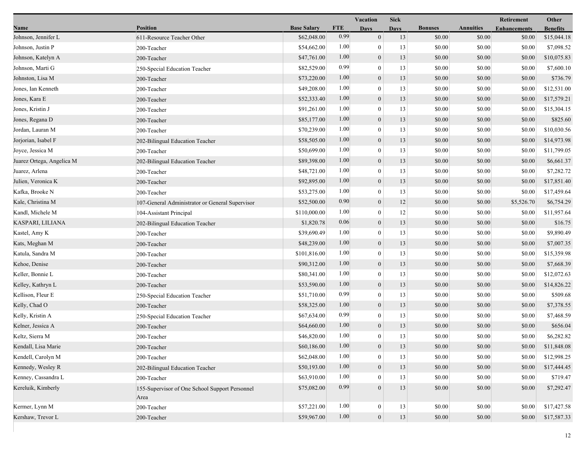|                           |                                                        |                    |            | <b>Sick</b><br>Vacation |             |                |                  | Retirement          | Other           |
|---------------------------|--------------------------------------------------------|--------------------|------------|-------------------------|-------------|----------------|------------------|---------------------|-----------------|
| Name                      | <b>Position</b>                                        | <b>Base Salary</b> | <b>FTE</b> | <b>Days</b>             | <b>Days</b> | <b>Bonuses</b> | <b>Annuities</b> | <b>Enhancements</b> | <b>Benefits</b> |
| Johnson, Jennifer L       | 611-Resource Teacher Other                             | \$62,048.00        | 0.99       | $\overline{0}$          | 13          | \$0.00         | \$0.00           | \$0.00              | \$15,044.18     |
| Johnson, Justin P         | 200-Teacher                                            | \$54,662.00        | 1.00       | $\bf{0}$                | 13          | \$0.00         | \$0.00           | \$0.00              | \$7,098.52      |
| Johnson, Katelyn A        | 200-Teacher                                            | \$47,761.00        | 1.00       | $\boldsymbol{0}$        | 13          | \$0.00         | \$0.00           | \$0.00              | \$10,075.83     |
| Johnson, Marti G          | 250-Special Education Teacher                          | \$82,529.00        | 0.99       | $\mathbf{0}$            | 13          | \$0.00         | \$0.00           | \$0.00              | \$7,600.10      |
| Johnston, Lisa M          | 200-Teacher                                            | \$73,220.00        | 1.00       | $\boldsymbol{0}$        | 13          | \$0.00         | \$0.00           | \$0.00              | \$736.79        |
| Jones, Ian Kenneth        | 200-Teacher                                            | \$49,208.00        | 1.00       | $\boldsymbol{0}$        | 13          | \$0.00         | \$0.00           | \$0.00              | \$12,531.00     |
| Jones, Kara E             | 200-Teacher                                            | \$52,333.40        | 1.00       | $\overline{0}$          | 13          | \$0.00         | \$0.00           | \$0.00              | \$17,579.21     |
| Jones, Kristin J          | 200-Teacher                                            | \$91,261.00        | 1.00       | $\boldsymbol{0}$        | 13          | \$0.00         | \$0.00           | \$0.00              | \$15,304.15     |
| Jones, Regana D           | 200-Teacher                                            | \$85,177.00        | 1.00       | $\boldsymbol{0}$        | 13          | \$0.00         | \$0.00           | \$0.00              | \$825.60        |
| Jordan, Lauran M          | 200-Teacher                                            | \$70,239.00        | 1.00       | $\mathbf{0}$            | 13          | \$0.00         | \$0.00           | \$0.00              | \$10,030.56     |
| Jorjorian, Isabel F       | 202-Bilingual Education Teacher                        | \$58,505.00        | 1.00       | $\boldsymbol{0}$        | 13          | \$0.00         | \$0.00           | \$0.00              | \$14,973.98     |
| Joyce, Jessica M          | 200-Teacher                                            | \$50,699.00        | 1.00       | $\bf{0}$                | 13          | \$0.00         | \$0.00           | \$0.00              | \$11,799.05     |
| Juarez Ortega, Angelica M | 202-Bilingual Education Teacher                        | \$89,398.00        | 1.00       | $\overline{0}$          | 13          | \$0.00         | \$0.00           | \$0.00              | \$6,661.37      |
| Juarez, Arlena            | 200-Teacher                                            | \$48,721.00        | 1.00       | $\boldsymbol{0}$        | 13          | \$0.00         | \$0.00           | \$0.00              | \$7,282.72      |
| Julien, Veronica K        | 200-Teacher                                            | \$92,895.00        | 1.00       | $\boldsymbol{0}$        | 13          | \$0.00         | \$0.00           | \$0.00              | \$17,851.40     |
| Kafka, Brooke N           | 200-Teacher                                            | \$53,275.00        | 1.00       | $\overline{0}$          | 13          | \$0.00         | \$0.00           | \$0.00              | \$17,459.64     |
| Kale, Christina M         | 107-General Administrator or General Supervisor        | \$52,500.00        | 0.90       | $\mathbf{0}$            | 12          | \$0.00         | \$0.00           | \$5,526.70          | \$6,754.29      |
| Kandl, Michele M          | 104-Assistant Principal                                | \$110,000.00       | 1.00       | $\boldsymbol{0}$        | 12          | \$0.00         | \$0.00           | \$0.00              | \$11,957.64     |
| KASPARI, LILIANA          | 202-Bilingual Education Teacher                        | \$1,820.78         | 0.06       | $\mathbf{0}$            | 13          | \$0.00         | \$0.00           | \$0.00              | \$16.75         |
| Kastel, Amy K             | 200-Teacher                                            | \$39,690.49        | 1.00       | $\boldsymbol{0}$        | 13          | \$0.00         | \$0.00           | \$0.00              | \$9,890.49      |
| Kats, Meghan M            | 200-Teacher                                            | \$48,239.00        | 1.00       | $\boldsymbol{0}$        | 13          | \$0.00         | \$0.00           | \$0.00              | \$7,007.35      |
| Katula, Sandra M          | 200-Teacher                                            | \$101,816.00       | 1.00       | $\overline{0}$          | 13          | \$0.00         | \$0.00           | \$0.00              | \$15,359.98     |
| Kehoe, Denise             | 200-Teacher                                            | \$90,312.00        | 1.00       | $\boldsymbol{0}$        | 13          | \$0.00         | \$0.00           | \$0.00              | \$7,668.39      |
| Keller, Bonnie L          | 200-Teacher                                            | \$80,341.00        | 1.00       | $\boldsymbol{0}$        | 13          | \$0.00         | \$0.00           | \$0.00              | \$12,072.63     |
| Kelley, Kathryn L         | 200-Teacher                                            | \$53,590.00        | 1.00       | $\mathbf{0}$            | 13          | \$0.00         | \$0.00           | \$0.00              | \$14,826.22     |
| Kellison, Fleur E         | 250-Special Education Teacher                          | \$51,710.00        | 0.99       | $\boldsymbol{0}$        | 13          | \$0.00         | \$0.00           | \$0.00              | \$509.68        |
| Kelly, Chad O             | 200-Teacher                                            | \$58,325.00        | 1.00       | $\boldsymbol{0}$        | 13          | \$0.00         | \$0.00           | \$0.00              | \$7,378.55      |
| Kelly, Kristin A          | 250-Special Education Teacher                          | \$67,634.00        | 0.99       | $\boldsymbol{0}$        | 13          | \$0.00         | \$0.00           | \$0.00              | \$7,468.59      |
| Kelner, Jessica A         | 200-Teacher                                            | \$64,660.00        | 1.00       | $\mathbf{0}$            | 13          | \$0.00         | \$0.00           | \$0.00              | \$656.04        |
| Keltz, Sierra M           | 200-Teacher                                            | \$46,820.00        | 1.00       | $\mathbf{0}$            | 13          | \$0.00         | \$0.00           | \$0.00              | \$6,282.82      |
| Kendall, Lisa Marie       | 200-Teacher                                            | \$60,186.00        | $1.00\,$   | $\theta$                | 13          | \$0.00         | \$0.00           | \$0.00              | \$11,848.08     |
| Kendell, Carolyn M        | 200-Teacher                                            | \$62,048.00        | 1.00       | 0                       | 13          | \$0.00         | \$0.00           | \$0.00              | \$12,998.25     |
| Kennedy, Wesley R         | 202-Bilingual Education Teacher                        | \$50,193.00        | 1.00       | $\overline{0}$          | 13          | \$0.00         | \$0.00           | \$0.00              | \$17,444.45     |
| Kenney, Cassandra L       | 200-Teacher                                            | \$63,910.00        | 1.00       | $\theta$                | 13          | \$0.00         | \$0.00           | \$0.00              | \$719.47        |
| Kereluik, Kimberly        | 155-Supervisor of One School Support Personnel<br>Area | \$75,082.00        | 0.99       | $\theta$                | 13          | \$0.00         | \$0.00           | \$0.00              | \$7,292.47      |
| Kermer, Lynn M            | 200-Teacher                                            | \$57,221.00        | 1.00       | $\boldsymbol{0}$        | 13          | \$0.00         | \$0.00           | \$0.00              | \$17,427.58     |
| Kershaw, Trevor L         | 200-Teacher                                            | \$59,967.00        | 1.00       | $\boldsymbol{0}$        | 13          | \$0.00         | \$0.00           | \$0.00              | \$17,587.33     |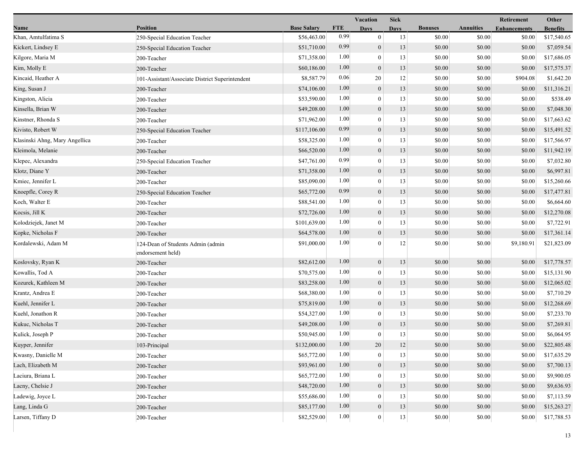|                                |                                                        |                    |            | <b>Vacation</b>  | <b>Sick</b> |                |                  | Retirement          | Other           |
|--------------------------------|--------------------------------------------------------|--------------------|------------|------------------|-------------|----------------|------------------|---------------------|-----------------|
| Name                           | <b>Position</b>                                        | <b>Base Salary</b> | <b>FTE</b> | <b>Days</b>      | <b>Days</b> | <b>Bonuses</b> | <b>Annuities</b> | <b>Enhancements</b> | <b>Benefits</b> |
| Khan, Amtulfatima S            | 250-Special Education Teacher                          | \$56,463.00        | 0.99       | $\mathbf{0}$     | 13          | \$0.00         | \$0.00           | \$0.00              | \$17,540.65     |
| Kickert, Lindsey E             | 250-Special Education Teacher                          | \$51,710.00        | 0.99       | $\boldsymbol{0}$ | 13          | \$0.00         | \$0.00           | \$0.00              | \$7,059.54      |
| Kilgore, Maria M               | 200-Teacher                                            | \$71,358.00        | 1.00       | $\mathbf{0}$     | 13          | \$0.00         | \$0.00           | \$0.00              | \$17,686.05     |
| Kim, Molly E                   | 200-Teacher                                            | \$60,186.00        | 1.00       | $\mathbf{0}$     | 13          | \$0.00         | \$0.00           | \$0.00              | \$17,575.37     |
| Kincaid, Heather A             | 101-Assistant/Associate District Superintendent        | \$8,587.79         | 0.06       | 20               | 12          | \$0.00         | \$0.00           | \$904.08            | \$1,642.20      |
| King, Susan J                  | 200-Teacher                                            | \$74,106.00        | 1.00       | $\mathbf{0}$     | 13          | \$0.00         | \$0.00           | \$0.00              | \$11,316.21     |
| Kingston, Alicia               | 200-Teacher                                            | \$53,590.00        | 1.00       | $\theta$         | 13          | \$0.00         | \$0.00           | \$0.00              | \$538.49        |
| Kinsella, Brian W              | 200-Teacher                                            | \$49,208.00        | 1.00       | $\mathbf{0}$     | 13          | \$0.00         | \$0.00           | \$0.00              | \$7,048.30      |
| Kinstner, Rhonda S             | 200-Teacher                                            | \$71,962.00        | 1.00       | $\mathbf{0}$     | 13          | \$0.00         | \$0.00           | \$0.00              | \$17,663.62     |
| Kivisto, Robert W              | 250-Special Education Teacher                          | \$117,106.00       | 0.99       | $\mathbf{0}$     | 13          | \$0.00         | \$0.00           | \$0.00              | \$15,491.52     |
| Klasinski Ahng, Mary Angellica | 200-Teacher                                            | \$58,325.00        | 1.00       | $\mathbf{0}$     | 13          | \$0.00         | \$0.00           | \$0.00              | \$17,566.97     |
| Kleimola, Melanie              | 200-Teacher                                            | \$66,520.00        | 1.00       | $\mathbf{0}$     | 13          | \$0.00         | \$0.00           | \$0.00              | \$11,942.19     |
| Klepec, Alexandra              | 250-Special Education Teacher                          | \$47,761.00        | 0.99       | $\theta$         | 13          | \$0.00         | \$0.00           | \$0.00              | \$7,032.80      |
| Klotz, Diane Y                 | 200-Teacher                                            | \$71,358.00        | 1.00       | $\mathbf{0}$     | 13          | \$0.00         | \$0.00           | \$0.00              | \$6,997.81      |
| Kmiec, Jennifer L              | 200-Teacher                                            | \$85,090.00        | 1.00       | $\mathbf{0}$     | 13          | \$0.00         | \$0.00           | \$0.00              | \$15,260.66     |
| Knoepfle, Corey R              | 250-Special Education Teacher                          | \$65,772.00        | 0.99       | $\mathbf{0}$     | 13          | \$0.00         | \$0.00           | \$0.00              | \$17,477.81     |
| Koch, Walter E                 | 200-Teacher                                            | \$88,541.00        | 1.00       | $\mathbf{0}$     | 13          | \$0.00         | \$0.00           | \$0.00              | \$6,664.60      |
| Kocsis, Jill K                 | 200-Teacher                                            | \$72,726.00        | 1.00       | $\boldsymbol{0}$ | 13          | \$0.00         | \$0.00           | \$0.00              | \$12,270.08     |
| Kolodziejek, Janet M           | 200-Teacher                                            | \$101,639.00       | 1.00       | $\theta$         | 13          | \$0.00         | \$0.00           | \$0.00              | \$7,722.91      |
| Kopke, Nicholas F              | 200-Teacher                                            | \$64,578.00        | 1.00       | $\mathbf{0}$     | 13          | \$0.00         | \$0.00           | \$0.00              | \$17,361.14     |
| Kordalewski, Adam M            | 124-Dean of Students Admin (admin<br>endorsement held) | \$91,000.00        | 1.00       | $\Omega$         | 12          | \$0.00         | \$0.00           | \$9,180.91          | \$21,823.09     |
| Koslovsky, Ryan K              | 200-Teacher                                            | \$82,612.00        | 1.00       | $\boldsymbol{0}$ | 13          | \$0.00         | \$0.00           | \$0.00              | \$17,778.57     |
| Kowallis, Tod A                | 200-Teacher                                            | \$70,575.00        | 1.00       | $\theta$         | 13          | \$0.00         | \$0.00           | \$0.00              | \$15,131.90     |
| Kozurek, Kathleen M            | 200-Teacher                                            | \$83,258.00        | 1.00       | $\mathbf{0}$     | 13          | \$0.00         | \$0.00           | \$0.00              | \$12,065.02     |
| Krantz, Andrea E               | 200-Teacher                                            | \$68,380.00        | 1.00       | $\theta$         | 13          | \$0.00         | \$0.00           | \$0.00              | \$7,710.29      |
| Kuehl, Jennifer L              | 200-Teacher                                            | \$75,819.00        | 1.00       | $\mathbf{0}$     | 13          | \$0.00         | \$0.00           | \$0.00              | \$12,268.69     |
| Kuehl, Jonathon R              | 200-Teacher                                            | \$54,327.00        | 1.00       | $\overline{0}$   | 13          | \$0.00         | \$0.00           | \$0.00              | \$7,233.70      |
| Kukuc, Nicholas T              | 200-Teacher                                            | \$49,208.00        | 1.00       | $\mathbf{0}$     | 13          | \$0.00         | \$0.00           | \$0.00              | \$7,269.81      |
| Kulick, Joseph P               | 200-Teacher                                            | \$50,945.00        | 1.00       | $\mathbf{0}$     | 13          | \$0.00         | \$0.00           | \$0.00              | \$6,064.95      |
| Kuyper, Jennifer               | 103-Principal                                          | \$132,000.00       | 1.00       | 20               | 12          | \$0.00         | $\$0.00$         | \$0.00              | \$22,805.48     |
| Kwasny, Danielle M             | 200-Teacher                                            | \$65,772.00        | 1.00       | $\bf{0}$         | 13          | \$0.00         | \$0.00           | \$0.00              | \$17,635.29     |
| Lach, Elizabeth M              | 200-Teacher                                            | \$93,961.00        | 1.00       | $\mathbf{0}$     | 13          | \$0.00         | \$0.00           | \$0.00              | \$7,700.13      |
| Laciura, Briana L              | 200-Teacher                                            | \$65,772.00        | 1.00       | $\theta$         | 13          | \$0.00         | \$0.00           | \$0.00              | \$9,900.05      |
| Lacny, Chelsie J               | 200-Teacher                                            | \$48,720.00        | 1.00       | $\boldsymbol{0}$ | 13          | \$0.00         | \$0.00           | \$0.00              | \$9,636.93      |
| Ladewig, Joyce L               | 200-Teacher                                            | \$55,686.00        | 1.00       | $\Omega$         | 13          | \$0.00         | \$0.00           | \$0.00              | \$7,113.59      |
| Lang, Linda G                  | 200-Teacher                                            | \$85,177.00        | 1.00       | $\mathbf{0}$     | 13          | \$0.00         | \$0.00           | \$0.00              | \$15,263.27     |
| Larsen, Tiffany D              | 200-Teacher                                            | \$82,529.00        | 1.00       | $\boldsymbol{0}$ | 13          | \$0.00         | \$0.00           | \$0.00              | \$17,788.53     |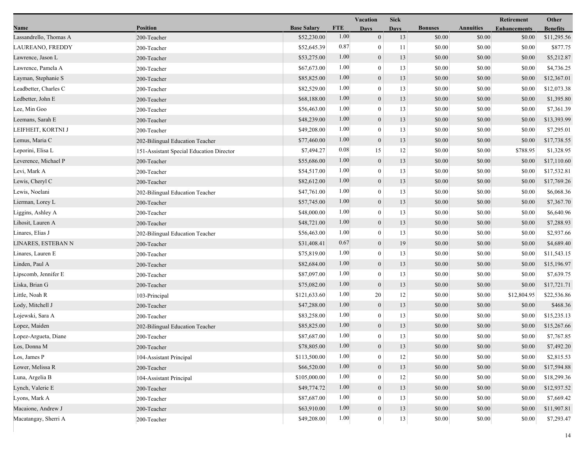|                        |                                          |                    |            | Vacation         | <b>Sick</b> |                |                  | Retirement          | Other           |
|------------------------|------------------------------------------|--------------------|------------|------------------|-------------|----------------|------------------|---------------------|-----------------|
| Name                   | <b>Position</b>                          | <b>Base Salary</b> | <b>FTE</b> | <b>Days</b>      | <b>Days</b> | <b>Bonuses</b> | <b>Annuities</b> | <b>Enhancements</b> | <b>Benefits</b> |
| Lassandrello, Thomas A | 200-Teacher                              | \$52,230.00        | 1.00       | $\mathbf{0}$     | 13          | \$0.00         | \$0.00           | \$0.00              | \$11,295.56     |
| LAUREANO, FREDDY       | 200-Teacher                              | \$52,645.39        | 0.87       | $\bf{0}$         | 11          | \$0.00         | \$0.00           | \$0.00              | \$877.75        |
| Lawrence, Jason L      | 200-Teacher                              | \$53,275.00        | 1.00       | $\boldsymbol{0}$ | 13          | \$0.00         | \$0.00           | \$0.00              | \$5,212.87      |
| Lawrence, Pamela A     | 200-Teacher                              | \$67,673.00        | 1.00       | $\overline{0}$   | 13          | \$0.00         | \$0.00           | \$0.00              | \$4,736.25      |
| Layman, Stephanie S    | 200-Teacher                              | \$85,825.00        | 1.00       | $\overline{0}$   | 13          | \$0.00         | \$0.00           | \$0.00              | \$12,367.01     |
| Leadbetter, Charles C  | 200-Teacher                              | \$82,529.00        | 1.00       | $\bf{0}$         | 13          | \$0.00         | \$0.00           | \$0.00              | \$12,073.38     |
| Ledbetter, John E      | 200-Teacher                              | \$68,188.00        | 1.00       | $\overline{0}$   | 13          | \$0.00         | \$0.00           | \$0.00              | \$1,395.80      |
| Lee, Min Goo           | 200-Teacher                              | \$56,463.00        | 1.00       | $\bf{0}$         | 13          | \$0.00         | \$0.00           | \$0.00              | \$7,361.39      |
| Leemans, Sarah E       | 200-Teacher                              | \$48,239.00        | 1.00       | $\boldsymbol{0}$ | 13          | \$0.00         | \$0.00           | \$0.00              | \$13,393.99     |
| LEIFHEIT, KORTNI J     | 200-Teacher                              | \$49,208.00        | 1.00       | $\overline{0}$   | 13          | \$0.00         | \$0.00           | \$0.00              | \$7,295.01      |
| Lemus, Maria C         | 202-Bilingual Education Teacher          | \$77,460.00        | 1.00       | $\overline{0}$   | 13          | \$0.00         | \$0.00           | \$0.00              | \$17,738.55     |
| Leporini, Elisa L      | 151-Assistant Special Education Director | \$7,494.27         | 0.08       | 15               | 12          | \$0.00         | \$0.00           | \$788.95            | \$1,328.95      |
| Leverence, Michael P   | 200-Teacher                              | \$55,686.00        | 1.00       | $\mathbf{0}$     | 13          | \$0.00         | \$0.00           | \$0.00              | \$17,110.60     |
| Levi, Mark A           | 200-Teacher                              | \$54,517.00        | 1.00       | $\bf{0}$         | 13          | \$0.00         | \$0.00           | \$0.00              | \$17,532.81     |
| Lewis, Cheryl C        | 200-Teacher                              | \$82,612.00        | 1.00       | $\boldsymbol{0}$ | 13          | \$0.00         | \$0.00           | \$0.00              | \$17,769.26     |
| Lewis, Noelani         | 202-Bilingual Education Teacher          | \$47,761.00        | 1.00       | $\overline{0}$   | 13          | \$0.00         | \$0.00           | \$0.00              | \$6,068.36      |
| Lierman, Lorey L       | 200-Teacher                              | \$57,745.00        | 1.00       | $\overline{0}$   | 13          | \$0.00         | \$0.00           | \$0.00              | \$7,367.70      |
| Liggins, Ashley A      | 200-Teacher                              | \$48,000.00        | 1.00       | $\boldsymbol{0}$ | 13          | \$0.00         | \$0.00           | \$0.00              | \$6,640.96      |
| Lihosit, Lauren A      | 200-Teacher                              | \$48,721.00        | 1.00       | $\mathbf{0}$     | 13          | \$0.00         | \$0.00           | \$0.00              | \$7,288.93      |
| Linares, Elias J       | 202-Bilingual Education Teacher          | \$56,463.00        | 1.00       | $\overline{0}$   | 13          | \$0.00         | \$0.00           | \$0.00              | \$2,937.66      |
| LINARES, ESTEBAN N     | 200-Teacher                              | \$31,408.41        | 0.67       | $\boldsymbol{0}$ | 19          | \$0.00         | \$0.00           | \$0.00              | \$4,689.40      |
| Linares, Lauren E      | 200-Teacher                              | \$75,819.00        | 1.00       | $\overline{0}$   | 13          | \$0.00         | \$0.00           | \$0.00              | \$11,543.15     |
| Linden, Paul A         | 200-Teacher                              | \$82,684.00        | 1.00       | $\boldsymbol{0}$ | 13          | \$0.00         | \$0.00           | \$0.00              | \$15,196.97     |
| Lipscomb, Jennifer E   | 200-Teacher                              | \$87,097.00        | 1.00       | $\overline{0}$   | 13          | \$0.00         | \$0.00           | \$0.00              | \$7,639.75      |
| Liska, Brian G         | 200-Teacher                              | \$75,082.00        | 1.00       | $\mathbf{0}$     | 13          | \$0.00         | \$0.00           | \$0.00              | \$17,721.71     |
| Little, Noah R         | 103-Principal                            | \$121,633.60       | 1.00       | 20               | 12          | \$0.00         | \$0.00           | \$12,804.95         | \$22,536.86     |
| Lody, Mitchell J       | 200-Teacher                              | \$47,288.00        | 1.00       | $\mathbf{0}$     | 13          | \$0.00         | \$0.00           | \$0.00              | \$468.36        |
| Lojewski, Sara A       | 200-Teacher                              | \$83,258.00        | 1.00       | $\overline{0}$   | 13          | \$0.00         | \$0.00           | \$0.00              | \$15,235.13     |
| Lopez, Maiden          | 202-Bilingual Education Teacher          | \$85,825.00        | 1.00       | $\mathbf{0}$     | 13          | \$0.00         | \$0.00           | \$0.00              | \$15,267.66     |
| Lopez-Argueta, Diane   | 200-Teacher                              | \$87,687.00        | 1.00       | $\overline{0}$   | 13          | \$0.00         | \$0.00           | \$0.00              | \$7,767.85      |
| Los, Donna M           | 200-Teacher                              | \$78,805.00        | 1.00       | $\bf{0}$         | 13          | \$0.00         | \$0.00           | \$0.00              | \$7,492.20      |
| Los, James P           | 104-Assistant Principal                  | \$113,500.00       | 1.00       | $\overline{0}$   | 12          | \$0.00         | \$0.00           | \$0.00              | \$2,815.53      |
| Lower, Melissa R       | 200-Teacher                              | \$66,520.00        | 1.00       | $\boldsymbol{0}$ | 13          | \$0.00         | \$0.00           | \$0.00              | \$17,594.88     |
| Luna, Argelia B        | 104-Assistant Principal                  | \$105,000.00       | 1.00       | $\theta$         | 12          | \$0.00         | \$0.00           | \$0.00              | \$18,299.36     |
| Lynch, Valerie E       | 200-Teacher                              | \$49,774.72        | 1.00       | $\overline{0}$   | 13          | \$0.00         | \$0.00           | \$0.00              | \$12,937.52     |
| Lyons, Mark A          | 200-Teacher                              | \$87,687.00        | 1.00       | 0                | 13          | \$0.00         | \$0.00           | \$0.00              | \$7,669.42      |
| Macaione, Andrew J     | 200-Teacher                              | \$63,910.00        | 1.00       | $\mathbf{0}$     | 13          | \$0.00         | \$0.00           | \$0.00              | \$11,907.81     |
| Macatangay, Sherri A   | 200-Teacher                              | \$49,208.00        | 1.00       | $\mathbf{0}$     | 13          | \$0.00         | \$0.00           | \$0.00              | \$7,293.47      |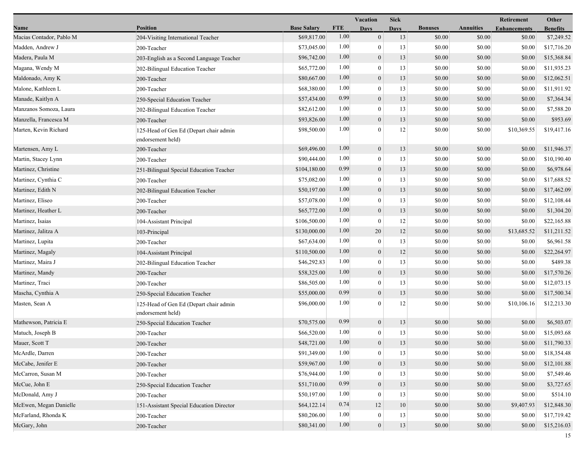|                          |                                                             |                    |            | Vacation         | <b>Sick</b> |                |                  | Retirement          | Other           |
|--------------------------|-------------------------------------------------------------|--------------------|------------|------------------|-------------|----------------|------------------|---------------------|-----------------|
| Name                     | <b>Position</b>                                             | <b>Base Salary</b> | <b>FTE</b> | <b>Days</b>      | <b>Days</b> | <b>Bonuses</b> | <b>Annuities</b> | <b>Enhancements</b> | <b>Benefits</b> |
| Macias Contador, Pablo M | 204-Visiting International Teacher                          | \$69,817.00        | 1.00       | $\overline{0}$   | 13          | \$0.00         | \$0.00           | \$0.00              | \$7,249.52      |
| Madden, Andrew J         | 200-Teacher                                                 | \$73,045.00        | 1.00       | $\overline{0}$   | 13          | \$0.00         | \$0.00           | \$0.00              | \$17,716.20     |
| Madera, Paula M          | 203-English as a Second Language Teacher                    | \$96,742.00        | 1.00       | $\boldsymbol{0}$ | 13          | \$0.00         | \$0.00           | \$0.00              | \$15,368.84     |
| Magana, Wendy M          | 202-Bilingual Education Teacher                             | \$65,772.00        | 1.00       | $\overline{0}$   | 13          | \$0.00         | \$0.00           | \$0.00              | \$11,935.23     |
| Maldonado, Amy K         | 200-Teacher                                                 | \$80,667.00        | 1.00       | $\overline{0}$   | 13          | \$0.00         | \$0.00           | \$0.00              | \$12,062.51     |
| Malone, Kathleen L       | 200-Teacher                                                 | \$68,380.00        | 1.00       | $\mathbf{0}$     | 13          | \$0.00         | \$0.00           | \$0.00              | \$11,911.92     |
| Manade, Kaitlyn A        | 250-Special Education Teacher                               | \$57,434.00        | 0.99       | $\overline{0}$   | 13          | \$0.00         | \$0.00           | \$0.00              | \$7,364.34      |
| Manzanos Somoza, Laura   | 202-Bilingual Education Teacher                             | \$82,612.00        | 1.00       | $\boldsymbol{0}$ | 13          | \$0.00         | \$0.00           | \$0.00              | \$7,588.20      |
| Manzella, Francesca M    | 200-Teacher                                                 | \$93,826.00        | 1.00       | $\overline{0}$   | 13          | \$0.00         | \$0.00           | \$0.00              | \$953.69        |
| Marten, Kevin Richard    | 125-Head of Gen Ed (Depart chair admin<br>endorsement held) | \$98,500.00        | 1.00       | 0                | 12          | \$0.00         | \$0.00           | \$10,369.55         | \$19,417.16     |
| Martensen, Amy L         | 200-Teacher                                                 | \$69,496.00        | 1.00       | $\boldsymbol{0}$ | 13          | \$0.00         | \$0.00           | \$0.00              | \$11,946.37     |
| Martin, Stacey Lynn      | 200-Teacher                                                 | \$90,444.00        | 1.00       | $\overline{0}$   | 13          | \$0.00         | \$0.00           | \$0.00              | \$10,190.40     |
| Martinez, Christine      | 251-Bilingual Special Education Teacher                     | \$104,180.00       | 0.99       | $\overline{0}$   | 13          | \$0.00         | \$0.00           | \$0.00              | \$6,978.64      |
| Martinez, Cynthia C      | 200-Teacher                                                 | \$75,082.00        | 1.00       | $\overline{0}$   | 13          | \$0.00         | \$0.00           | \$0.00              | \$17,688.52     |
| Martinez, Edith N        | 202-Bilingual Education Teacher                             | \$50,197.00        | 1.00       | $\boldsymbol{0}$ | 13          | \$0.00         | \$0.00           | \$0.00              | \$17,462.09     |
| Martinez, Eliseo         | 200-Teacher                                                 | \$57,078.00        | 1.00       | $\overline{0}$   | 13          | \$0.00         | \$0.00           | \$0.00              | \$12,108.44     |
| Martinez, Heather L      | 200-Teacher                                                 | \$65,772.00        | 1.00       | $\mathbf{0}$     | 13          | \$0.00         | \$0.00           | \$0.00              | \$1,304.20      |
| Martinez, Isaias         | 104-Assistant Principal                                     | \$106,500.00       | 1.00       | $\mathbf{0}$     | 12          | \$0.00         | \$0.00           | \$0.00              | \$22,165.88     |
| Martinez, Jalitza A      | 103-Principal                                               | \$130,000.00       | 1.00       | 20               | 12          | \$0.00         | \$0.00           | \$13,685.52         | \$11,211.52     |
| Martinez, Lupita         | 200-Teacher                                                 | \$67,634.00        | 1.00       | $\bf{0}$         | 13          | \$0.00         | \$0.00           | \$0.00              | \$6,961.58      |
| Martinez, Magaly         | 104-Assistant Principal                                     | \$110,500.00       | 1.00       | $\boldsymbol{0}$ | 12          | \$0.00         | \$0.00           | \$0.00              | \$22,264.97     |
| Martinez, Maira J        | 202-Bilingual Education Teacher                             | \$46,292.83        | 1.00       | $\overline{0}$   | 13          | \$0.00         | \$0.00           | \$0.00              | \$489.38        |
| Martinez, Mandy          | 200-Teacher                                                 | \$58,325.00        | 1.00       | $\overline{0}$   | 13          | \$0.00         | \$0.00           | \$0.00              | \$17,570.26     |
| Martinez, Traci          | 200-Teacher                                                 | \$86,505.00        | 1.00       | $\boldsymbol{0}$ | 13          | \$0.00         | \$0.00           | \$0.00              | \$12,073.15     |
| Mascha, Cynthia A        | 250-Special Education Teacher                               | \$55,000.00        | 0.99       | $\overline{0}$   | 13          | \$0.00         | \$0.00           | \$0.00              | \$17,500.34     |
| Masten, Sean A           | 125-Head of Gen Ed (Depart chair admin<br>endorsement held) | \$96,000.00        | 1.00       | $\theta$         | 12          | \$0.00         | \$0.00           | \$10,106.16         | \$12,213.30     |
| Mathewson, Patricia E    | 250-Special Education Teacher                               | \$70,575.00        | 0.99       | $\overline{0}$   | 13          | \$0.00         | \$0.00           | \$0.00              | \$6,503.07      |
| Matuch, Joseph B         | 200-Teacher                                                 | \$66,520.00        | 1.00       | $\overline{0}$   | 13          | \$0.00         | \$0.00           | \$0.00              | \$15,093.68     |
| Mauer, Scott T           | 200-Teacher                                                 | \$48,721.00        | 1.00       | $\overline{0}$   | 13          | \$0.00         | \$0.00           | \$0.00              | \$11,790.33     |
| McArdle, Darren          | 200-Teacher                                                 | \$91,349.00        | 1.00       | $\boldsymbol{0}$ | 13          | \$0.00         | \$0.00           | \$0.00              | \$18,354.48     |
| McCabe, Jenifer E        | 200-Teacher                                                 | \$59,967.00        | 1.00       | $\boldsymbol{0}$ | 13          | \$0.00         | \$0.00           | \$0.00              | \$12,101.88     |
| McCarron, Susan M        | 200-Teacher                                                 | \$76,944.00        | 1.00       | $\overline{0}$   | 13          | \$0.00         | \$0.00           | \$0.00              | \$7,549.46      |
| McCue, John E            | 250-Special Education Teacher                               | \$51,710.00        | 0.99       | $\overline{0}$   | 13          | \$0.00         | \$0.00           | \$0.00              | \$3,727.65      |
| McDonald, Amy J          | 200-Teacher                                                 | \$50,197.00        | 1.00       | $\overline{0}$   | 13          | \$0.00         | \$0.00           | \$0.00              | \$514.10        |
| McEwen, Megan Danielle   | 151-Assistant Special Education Director                    | \$64,122.14        | 0.74       | 12               | 10          | \$0.00         | \$0.00           | \$9,407.93          | \$12,848.30     |
| McFarland, Rhonda K      | 200-Teacher                                                 | \$80,206.00        | 1.00       | $\bf{0}$         | 13          | \$0.00         | \$0.00           | \$0.00              | \$17,719.42     |
| McGary, John             | 200-Teacher                                                 | \$80,341.00        | 1.00       | $\boldsymbol{0}$ | 13          | \$0.00         | \$0.00           | \$0.00              | \$15,216.03     |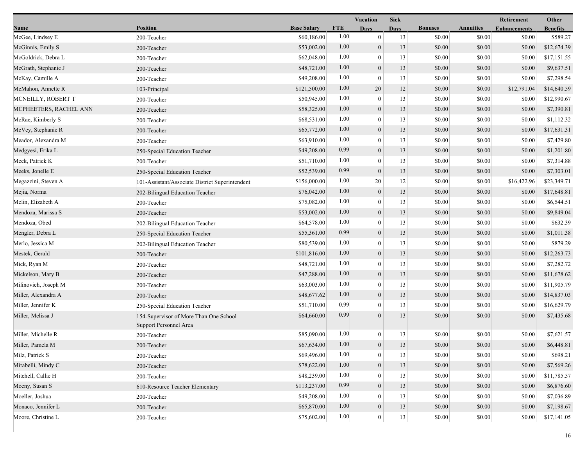|                        |                                                 |                    |            | Vacation         | <b>Sick</b> |                |                  | Retirement          | Other           |
|------------------------|-------------------------------------------------|--------------------|------------|------------------|-------------|----------------|------------------|---------------------|-----------------|
| Name                   | <b>Position</b>                                 | <b>Base Salary</b> | <b>FTE</b> | Days             | <b>Days</b> | <b>Bonuses</b> | <b>Annuities</b> | <b>Enhancements</b> | <b>Benefits</b> |
| McGee, Lindsey E       | 200-Teacher                                     | \$60,186.00        | 1.00       | $\boldsymbol{0}$ | 13          | \$0.00         | \$0.00           | \$0.00              | \$589.27        |
| McGinnis, Emily S      | 200-Teacher                                     | \$53,002.00        | 1.00       | $\boldsymbol{0}$ | 13          | \$0.00         | \$0.00           | \$0.00              | \$12,674.39     |
| McGoldrick, Debra L    | 200-Teacher                                     | \$62,048.00        | 1.00       | $\boldsymbol{0}$ | 13          | \$0.00         | \$0.00           | \$0.00              | \$17,151.55     |
| McGrath, Stephanie J   | 200-Teacher                                     | \$48,721.00        | 1.00       | $\boldsymbol{0}$ | 13          | \$0.00         | \$0.00           | \$0.00              | \$9,637.51      |
| McKay, Camille A       | 200-Teacher                                     | \$49,208.00        | 1.00       | $\boldsymbol{0}$ | 13          | \$0.00         | \$0.00           | \$0.00              | \$7,298.54      |
| McMahon, Annette R     | 103-Principal                                   | \$121,500.00       | 1.00       | 20               | 12          | \$0.00         | \$0.00           | \$12,791.04         | \$14,640.59     |
| MCNEILLY, ROBERT T     | 200-Teacher                                     | \$50,945.00        | 1.00       | $\overline{0}$   | 13          | \$0.00         | \$0.00           | \$0.00              | \$12,990.67     |
| MCPHEETERS, RACHEL ANN | 200-Teacher                                     | \$58,325.00        | 1.00       | $\boldsymbol{0}$ | 13          | \$0.00         | \$0.00           | \$0.00              | \$7,390.81      |
| McRae, Kimberly S      | 200-Teacher                                     | \$68,531.00        | 1.00       | $\boldsymbol{0}$ | 13          | \$0.00         | \$0.00           | \$0.00              | \$1,112.32      |
| McVey, Stephanie R     | 200-Teacher                                     | \$65,772.00        | 1.00       | $\boldsymbol{0}$ | 13          | \$0.00         | \$0.00           | \$0.00              | \$17,631.31     |
| Meador, Alexandra M    | 200-Teacher                                     | \$63,910.00        | 1.00       | $\boldsymbol{0}$ | 13          | \$0.00         | \$0.00           | \$0.00              | \$7,429.80      |
| Medgyesi, Erika L      | 250-Special Education Teacher                   | \$49,208.00        | 0.99       | $\boldsymbol{0}$ | 13          | \$0.00         | \$0.00           | \$0.00              | \$1,201.80      |
| Meek, Patrick K        | 200-Teacher                                     | \$51,710.00        | 1.00       | $\overline{0}$   | 13          | \$0.00         | \$0.00           | \$0.00              | \$7,314.88      |
| Meeks, Jonelle E       | 250-Special Education Teacher                   | \$52,539.00        | 0.99       | $\boldsymbol{0}$ | 13          | \$0.00         | \$0.00           | \$0.00              | \$7,303.01      |
| Megazzini, Steven A    | 101-Assistant/Associate District Superintendent | \$156,000.00       | 1.00       | 20               | 12          | \$0.00         | \$0.00           | \$16,422.96         | \$23,349.71     |
| Mejia, Norma           | 202-Bilingual Education Teacher                 | \$76,042.00        | 1.00       | $\boldsymbol{0}$ | 13          | \$0.00         | \$0.00           | \$0.00              | \$17,648.81     |
| Melin, Elizabeth A     | 200-Teacher                                     | \$75,082.00        | 1.00       | $\boldsymbol{0}$ | 13          | \$0.00         | \$0.00           | \$0.00              | \$6,544.51      |
| Mendoza, Marissa S     | 200-Teacher                                     | \$53,002.00        | 1.00       | $\boldsymbol{0}$ | 13          | \$0.00         | \$0.00           | \$0.00              | \$9,849.04      |
| Mendoza, Obed          | 202-Bilingual Education Teacher                 | \$64,578.00        | 1.00       | $\overline{0}$   | 13          | \$0.00         | \$0.00           | \$0.00              | \$632.39        |
| Mengler, Debra L       | 250-Special Education Teacher                   | \$55,361.00        | 0.99       | $\boldsymbol{0}$ | 13          | \$0.00         | \$0.00           | \$0.00              | \$1,011.38      |
| Merlo, Jessica M       | 202-Bilingual Education Teacher                 | \$80,539.00        | 1.00       | $\boldsymbol{0}$ | 13          | \$0.00         | \$0.00           | \$0.00              | \$879.29        |
| Mestek, Gerald         | 200-Teacher                                     | \$101,816.00       | 1.00       | $\boldsymbol{0}$ | 13          | \$0.00         | \$0.00           | \$0.00              | \$12,263.73     |
| Mick, Ryan M           | 200-Teacher                                     | \$48,721.00        | 1.00       | $\boldsymbol{0}$ | 13          | \$0.00         | \$0.00           | \$0.00              | \$7,282.72      |
| Mickelson, Mary B      | 200-Teacher                                     | \$47,288.00        | 1.00       | $\boldsymbol{0}$ | 13          | \$0.00         | \$0.00           | \$0.00              | \$11,678.62     |
| Milinovich, Joseph M   | 200-Teacher                                     | \$63,003.00        | 1.00       | $\overline{0}$   | 13          | \$0.00         | \$0.00           | \$0.00              | \$11,905.79     |
| Miller, Alexandra A    | 200-Teacher                                     | \$48,677.62        | 1.00       | $\overline{0}$   | 13          | \$0.00         | \$0.00           | \$0.00              | \$14,837.03     |
| Miller, Jennifer K     | 250-Special Education Teacher                   | \$51,710.00        | 0.99       | $\overline{0}$   | 13          | \$0.00         | \$0.00           | \$0.00              | \$16,629.79     |
| Miller, Melissa J      | 154-Supervisor of More Than One School          | \$64,660.00        | 0.99       | $\theta$         | 13          | \$0.00         | \$0.00           | \$0.00              | \$7,435.68      |
|                        | Support Personnel Area                          |                    |            |                  |             |                |                  |                     |                 |
| Miller, Michelle R     | 200-Teacher                                     | \$85,090.00        | 1.00       | $\overline{0}$   | 13          | \$0.00         | \$0.00           | \$0.00              | \$7,621.57      |
| Miller, Pamela M       | 200-Teacher                                     | \$67,634.00        | 1.00       | $\mathbf{0}$     | 13          | \$0.00         | $\$0.00$         | \$0.00              | \$6,448.81      |
| Milz, Patrick S        | 200-Teacher                                     | \$69,496.00        | 1.00       | $\bf{0}$         | 13          | \$0.00         | \$0.00           | \$0.00              | \$698.21        |
| Mirabelli, Mindy C     | 200-Teacher                                     | \$78,622.00        | 1.00       | $\overline{0}$   | 13          | \$0.00         | \$0.00           | \$0.00              | \$7,569.26      |
| Mitchell, Callie H     | 200-Teacher                                     | \$48,239.00        | 1.00       | $\boldsymbol{0}$ | 13          | \$0.00         | \$0.00           | \$0.00              | \$11,785.57     |
| Mocny, Susan S         | 610-Resource Teacher Elementary                 | \$113,237.00       | 0.99       | $\boldsymbol{0}$ | 13          | \$0.00         | \$0.00           | \$0.00              | \$6,876.60      |
| Moeller, Joshua        | 200-Teacher                                     | \$49,208.00        | 1.00       | $\Omega$         | 13          | \$0.00         | \$0.00           | \$0.00              | \$7,036.89      |
| Monaco, Jennifer L     | 200-Teacher                                     | \$65,870.00        | 1.00       | $\boldsymbol{0}$ | 13          | \$0.00         | \$0.00           | \$0.00              | \$7,198.67      |
| Moore, Christine L     | 200-Teacher                                     | \$75,602.00        | 1.00       | $\mathbf{0}$     | $13\,$      | \$0.00         | \$0.00           | \$0.00              | \$17,141.05     |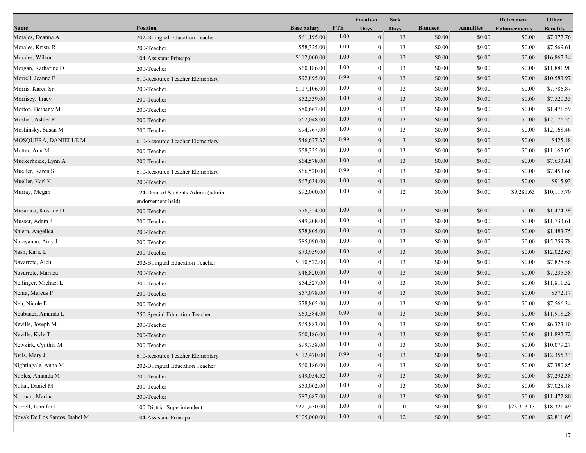|                               |                                                        |                    |            | <b>Vacation</b>  | <b>Sick</b>      |                |                  | Retirement          | Other           |
|-------------------------------|--------------------------------------------------------|--------------------|------------|------------------|------------------|----------------|------------------|---------------------|-----------------|
| Name                          | <b>Position</b>                                        | <b>Base Salary</b> | <b>FTE</b> | <b>Days</b>      | <b>Days</b>      | <b>Bonuses</b> | <b>Annuities</b> | <b>Enhancements</b> | <b>Benefits</b> |
| Morales, Deanna A             | 202-Bilingual Education Teacher                        | \$61,195.00        | 1.00       | $\mathbf{0}$     | 13               | \$0.00         | \$0.00           | \$0.00              | \$7,377.76      |
| Morales, Kristy R             | 200-Teacher                                            | \$58,325.00        | 1.00       | $\bf{0}$         | 13               | \$0.00         | \$0.00           | \$0.00              | \$7,569.61      |
| Morales, Wilson               | 104-Assistant Principal                                | \$112,000.00       | 1.00       | $\boldsymbol{0}$ | 12               | \$0.00         | \$0.00           | \$0.00              | \$16,867.34     |
| Morgan, Katharine D           | 200-Teacher                                            | \$60,186.00        | 1.00       | $\mathbf{0}$     | 13               | \$0.00         | \$0.00           | \$0.00              | \$11,881.98     |
| Morrell, Jeanne E             | 610-Resource Teacher Elementary                        | \$92,895.00        | 0.99       | $\boldsymbol{0}$ | 13               | \$0.00         | \$0.00           | \$0.00              | \$10,583.97     |
| Morris, Karen Sr              | 200-Teacher                                            | \$117,106.00       | 1.00       | $\overline{0}$   | 13               | \$0.00         | \$0.00           | \$0.00              | \$7,786.87      |
| Morrisey, Tracy               | 200-Teacher                                            | \$52,539.00        | 1.00       | $\mathbf{0}$     | 13               | \$0.00         | \$0.00           | \$0.00              | \$7,520.35      |
| Morton, Bethany M             | 200-Teacher                                            | \$80,667.00        | 1.00       | $\bf{0}$         | 13               | \$0.00         | \$0.00           | \$0.00              | \$1,471.59      |
| Mosher, Ashlei R              | 200-Teacher                                            | \$62,048.00        | 1.00       | $\boldsymbol{0}$ | 13               | \$0.00         | \$0.00           | \$0.00              | \$12,176.55     |
| Moshinsky, Susan M            | 200-Teacher                                            | \$94,767.00        | 1.00       | $\mathbf{0}$     | 13               | \$0.00         | \$0.00           | \$0.00              | \$12,168.46     |
| MOSQUERA, DANIELLE M          | 610-Resource Teacher Elementary                        | \$46,677.37        | 0.99       | $\boldsymbol{0}$ | 3                | \$0.00         | \$0.00           | \$0.00              | \$425.18        |
| Motter, Ann M                 | 200-Teacher                                            | \$58,325.00        | 1.00       | $\mathbf{0}$     | 13               | \$0.00         | \$0.00           | \$0.00              | \$11,165.05     |
| Muckerheide, Lynn A           | 200-Teacher                                            | \$64,578.00        | 1.00       | $\mathbf{0}$     | 13               | \$0.00         | \$0.00           | \$0.00              | \$7,633.41      |
| Mueller, Karen S              | 610-Resource Teacher Elementary                        | \$66,520.00        | 0.99       | $\bf{0}$         | 13               | \$0.00         | \$0.00           | \$0.00              | \$7,453.66      |
| Mueller, Karl K               | 200-Teacher                                            | \$67,634.00        | 1.00       | $\mathbf{0}$     | 13               | \$0.00         | \$0.00           | \$0.00              | \$915.93        |
| Murray, Megan                 | 124-Dean of Students Admin (admin<br>endorsement held) | \$92,000.00        | 1.00       | $\Omega$         | 12               | \$0.00         | \$0.00           | \$9,281.65          | \$10,117.70     |
| Musaraca, Kristine D          | 200-Teacher                                            | \$76,354.00        | 1.00       | $\mathbf{0}$     | 13               | \$0.00         | \$0.00           | \$0.00              | \$1,474.39      |
| Musser, Adam J                | 200-Teacher                                            | \$49,208.00        | 1.00       | $\mathbf{0}$     | 13               | \$0.00         | \$0.00           | \$0.00              | \$11,733.61     |
| Najera, Angelica              | 200-Teacher                                            | \$78,805.00        | 1.00       | $\boldsymbol{0}$ | 13               | \$0.00         | \$0.00           | \$0.00              | \$1,483.75      |
| Narayanan, Amy J              | 200-Teacher                                            | \$85,090.00        | 1.00       | $\overline{0}$   | 13               | \$0.00         | \$0.00           | \$0.00              | \$15,259.78     |
| Nash, Karie L                 | 200-Teacher                                            | \$73,959.00        | 1.00       | $\mathbf{0}$     | 13               | \$0.00         | \$0.00           | \$0.00              | \$12,022.65     |
| Navarrete, Aleli              | 202-Bilingual Education Teacher                        | \$110,522.00       | 1.00       | $\overline{0}$   | 13               | \$0.00         | \$0.00           | \$0.00              | \$7,828.56      |
| Navarrete, Maritza            | 200-Teacher                                            | \$46,820.00        | 1.00       | $\boldsymbol{0}$ | 13               | \$0.00         | \$0.00           | \$0.00              | \$7,235.58      |
| Nellinger, Michael L          | 200-Teacher                                            | \$54,327.00        | 1.00       | $\mathbf{0}$     | 13               | \$0.00         | \$0.00           | \$0.00              | \$11,811.52     |
| Nenia, Marcus P               | 200-Teacher                                            | \$57,078.00        | 1.00       | $\boldsymbol{0}$ | 13               | \$0.00         | \$0.00           | \$0.00              | \$572.17        |
| Neu, Nicole E                 | 200-Teacher                                            | \$78,805.00        | 1.00       | $\overline{0}$   | 13               | \$0.00         | \$0.00           | \$0.00              | \$7,566.34      |
| Neubauer, Amanda L            | 250-Special Education Teacher                          | \$63,384.00        | 0.99       | $\mathbf{0}$     | 13               | \$0.00         | \$0.00           | \$0.00              | \$11,918.28     |
| Neville, Joseph M             | 200-Teacher                                            | \$65,883.00        | 1.00       | $\overline{0}$   | 13               | \$0.00         | \$0.00           | \$0.00              | \$6,323.10      |
| Neville, Kyle T               | 200-Teacher                                            | \$60,186.00        | 1.00       | $\boldsymbol{0}$ | 13               | \$0.00         | \$0.00           | \$0.00              | \$11,892.72     |
| Newkirk, Cynthia M            | 200-Teacher                                            | \$99,758.00        | 1.00       | $\boldsymbol{0}$ | 13               | $\$0.00$       | $\$0.00$         | $\$0.00$            | \$10,079.27     |
| Niels, Mary J                 | 610-Resource Teacher Elementary                        | \$112,470.00       | 0.99       | $\boldsymbol{0}$ | 13               | \$0.00         | \$0.00           | \$0.00              | \$12,355.33     |
| Nightingale, Anna M           | 202-Bilingual Education Teacher                        | \$60,186.00        | 1.00       | $\mathbf{0}$     | 13               | \$0.00         | \$0.00           | \$0.00              | \$7,380.85      |
| Nobles, Amanda M              | 200-Teacher                                            | \$49,054.52        | 1.00       | $\mathbf{0}$     | 13               | \$0.00         | \$0.00           | \$0.00              | \$7,292.38      |
| Nolan, Daniel M               | 200-Teacher                                            | \$53,002.00        | 1.00       | $\overline{0}$   | 13               | \$0.00         | \$0.00           | \$0.00              | \$7,028.18      |
| Norman, Marina                | 200-Teacher                                            | \$87,687.00        | 1.00       | $\mathbf{0}$     | 13               | \$0.00         | \$0.00           | \$0.00              | \$11,472.80     |
| Norrell, Jennifer L           | 100-District Superintendent                            | \$221,450.00       | 1.00       | 0                | $\boldsymbol{0}$ | \$0.00         | \$0.00           | \$23,313.13         | \$18,321.49     |
| Novak De Los Santos, Isabel M | 104-Assistant Principal                                | \$105,000.00       | 1.00       | $\boldsymbol{0}$ | 12               | \$0.00         | \$0.00           | \$0.00              | \$2,811.65      |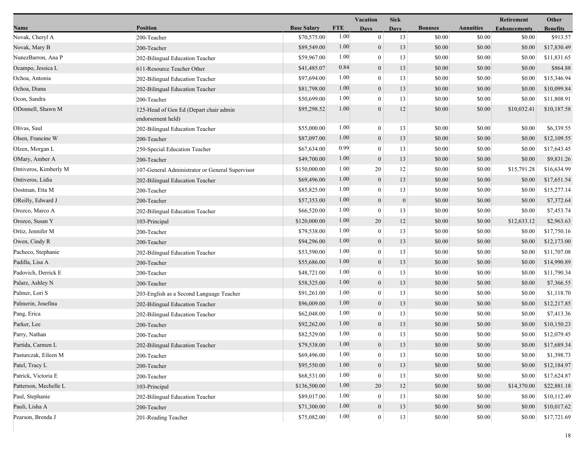|                       |                                                             |                    |            | Vacation         | <b>Sick</b>  |                |                  | Retirement          | Other           |
|-----------------------|-------------------------------------------------------------|--------------------|------------|------------------|--------------|----------------|------------------|---------------------|-----------------|
| Name                  | <b>Position</b>                                             | <b>Base Salary</b> | <b>FTE</b> | <b>Days</b>      | <b>Days</b>  | <b>Bonuses</b> | <b>Annuities</b> | <b>Enhancements</b> | <b>Benefits</b> |
| Novak, Cheryl A       | 200-Teacher                                                 | \$70,575.00        | 1.00       | $\boldsymbol{0}$ | 13           | \$0.00         | \$0.00           | \$0.00              | \$913.57        |
| Novak, Mary B         | 200-Teacher                                                 | \$89,549.00        | 1.00       | $\overline{0}$   | 13           | \$0.00         | \$0.00           | \$0.00              | \$17,830.49     |
| NunezBarron, Ana P    | 202-Bilingual Education Teacher                             | \$59,967.00        | 1.00       | $\bf{0}$         | 13           | \$0.00         | \$0.00           | \$0.00              | \$11,831.65     |
| Ocampo, Jessica L     | 611-Resource Teacher Other                                  | \$41,485.07        | 0.84       | $\overline{0}$   | 13           | \$0.00         | \$0.00           | \$0.00              | \$864.88        |
| Ochoa, Antonia        | 202-Bilingual Education Teacher                             | \$97,694.00        | 1.00       | $\boldsymbol{0}$ | 13           | \$0.00         | \$0.00           | \$0.00              | \$15,346.94     |
| Ochoa, Diana          | 202-Bilingual Education Teacher                             | \$81,798.00        | 1.00       | $\mathbf{0}$     | 13           | \$0.00         | \$0.00           | \$0.00              | \$10,099.84     |
| Ocon, Sandra          | 200-Teacher                                                 | \$50,699.00        | 1.00       | $\theta$         | 13           | \$0.00         | \$0.00           | \$0.00              | \$11,808.91     |
| ODonnell, Shawn M     | 125-Head of Gen Ed (Depart chair admin<br>endorsement held) | \$95,298.52        | 1.00       | $\overline{0}$   | 12           | \$0.00         | \$0.00           | \$10,032.41         | \$10,187.58     |
| Olivas, Saul          | 202-Bilingual Education Teacher                             | \$55,000.00        | 1.00       | $\boldsymbol{0}$ | 13           | \$0.00         | \$0.00           | \$0.00              | \$6,339.55      |
| Olsen, Francine W     | 200-Teacher                                                 | \$87,097.00        | 1.00       | $\boldsymbol{0}$ | 13           | \$0.00         | \$0.00           | \$0.00              | \$12,109.55     |
| Olzen, Morgan L       | 250-Special Education Teacher                               | \$67,634.00        | 0.99       | $\overline{0}$   | 13           | \$0.00         | \$0.00           | \$0.00              | \$17,643.45     |
| OMary, Amber A        | 200-Teacher                                                 | \$49,700.00        | 1.00       | $\mathbf{0}$     | 13           | \$0.00         | \$0.00           | \$0.00              | \$9,831.26      |
| Ontiveros, Kimberly M | 107-General Administrator or General Supervisor             | \$150,000.00       | 1.00       | 20               | 12           | \$0.00         | \$0.00           | \$15,791.28         | \$16,634.99     |
| Ontiveros, Lidia      | 202-Bilingual Education Teacher                             | \$69,496.00        | 1.00       | $\overline{0}$   | 13           | \$0.00         | \$0.00           | \$0.00              | \$17,651.54     |
| Oostman, Etta M       | 200-Teacher                                                 | \$85,825.00        | 1.00       | $\mathbf{0}$     | 13           | \$0.00         | \$0.00           | \$0.00              | \$15,277.14     |
| OReilly, Edward J     | 200-Teacher                                                 | \$57,353.00        | 1.00       | $\theta$         | $\mathbf{0}$ | \$0.00         | \$0.00           | \$0.00              | \$7,372.64      |
| Orozco, Marco A       | 202-Bilingual Education Teacher                             | \$66,520.00        | 1.00       | $\overline{0}$   | 13           | \$0.00         | \$0.00           | \$0.00              | \$7,453.74      |
| Orozco, Susan Y       | 103-Principal                                               | \$120,000.00       | 1.00       | 20               | 12           | \$0.00         | \$0.00           | \$12,633.12         | \$2,963.63      |
| Ortiz, Jennifer M     | 200-Teacher                                                 | \$79,538.00        | 1.00       | $\overline{0}$   | 13           | \$0.00         | \$0.00           | \$0.00              | \$17,750.16     |
| Owen, Cindy R         | 200-Teacher                                                 | \$94,296.00        | 1.00       | $\overline{0}$   | 13           | \$0.00         | \$0.00           | \$0.00              | \$12,173.00     |
| Pacheco, Stephanie    | 202-Bilingual Education Teacher                             | \$53,590.00        | 1.00       | $\mathbf{0}$     | 13           | \$0.00         | \$0.00           | \$0.00              | \$11,707.08     |
| Padilla, Lisa A       | 200-Teacher                                                 | \$55,686.00        | 1.00       | $\mathbf{0}$     | 13           | \$0.00         | \$0.00           | \$0.00              | \$14,990.89     |
| Padovich, Derrick E   | 200-Teacher                                                 | \$48,721.00        | 1.00       | $\mathbf{0}$     | 13           | \$0.00         | \$0.00           | \$0.00              | \$11,790.34     |
| Palarz, Ashley N      | 200-Teacher                                                 | \$58,325.00        | 1.00       | $\overline{0}$   | 13           | \$0.00         | \$0.00           | \$0.00              | \$7,366.55      |
| Palmer, Lori S        | 203-English as a Second Language Teacher                    | \$91,261.00        | 1.00       | $\overline{0}$   | 13           | \$0.00         | \$0.00           | \$0.00              | \$1,118.70      |
| Palmerin, Josefina    | 202-Bilingual Education Teacher                             | \$96,009.00        | 1.00       | $\overline{0}$   | 13           | \$0.00         | \$0.00           | \$0.00              | \$12,217.85     |
| Pang, Erica           | 202-Bilingual Education Teacher                             | \$62,048.00        | 1.00       | $\bf{0}$         | 13           | \$0.00         | \$0.00           | \$0.00              | \$7,413.36      |
| Parker, Lee           | 200-Teacher                                                 | \$92,262.00        | 1.00       | $\boldsymbol{0}$ | 13           | \$0.00         | \$0.00           | \$0.00              | \$10,150.23     |
| Parry, Nathan         | 200-Teacher                                                 | \$82,529.00        | 1.00       | $\mathbf{0}$     | 13           | \$0.00         | \$0.00           | \$0.00              | \$12,079.45     |
| Partida, Carmen L     | 202-Bilingual Education Teacher                             | \$79,538.00        | 1.00       | $\mathbf{0}$     | 13           | \$0.00         | $\$0.00$         | \$0.00              | \$17,689.34     |
| Pasturczak, Eileen M  | 200-Teacher                                                 | \$69,496.00        | 1.00       | 0                | 13           | \$0.00         | \$0.00           | \$0.00              | \$1,398.73      |
| Patel, Tracy L        | 200-Teacher                                                 | \$95,550.00        | 1.00       | $\overline{0}$   | 13           | \$0.00         | \$0.00           | \$0.00              | \$12,184.97     |
| Patrick, Victoria E   | 200-Teacher                                                 | \$68,531.00        | 1.00       | $\Omega$         | 13           | \$0.00         | \$0.00           | \$0.00              | \$17,624.87     |
| Patterson, Mechelle L | 103-Principal                                               | \$136,500.00       | 1.00       | 20               | 12           | \$0.00         | \$0.00           | \$14,370.00         | \$22,881.18     |
| Paul, Stephanie       | 202-Bilingual Education Teacher                             | \$89,017.00        | 1.00       | $\theta$         | 13           | \$0.00         | \$0.00           | \$0.00              | \$10,112.49     |
| Pauli, Lisha A        | 200-Teacher                                                 | \$71,300.00        | 1.00       | $\boldsymbol{0}$ | 13           | \$0.00         | \$0.00           | \$0.00              | \$10,017.62     |
| Pearson, Brenda J     | 201-Reading Teacher                                         | \$75,082.00        | 1.00       | $\mathbf{0}$     | $13\,$       | \$0.00         | \$0.00           | \$0.00              | \$17,721.69     |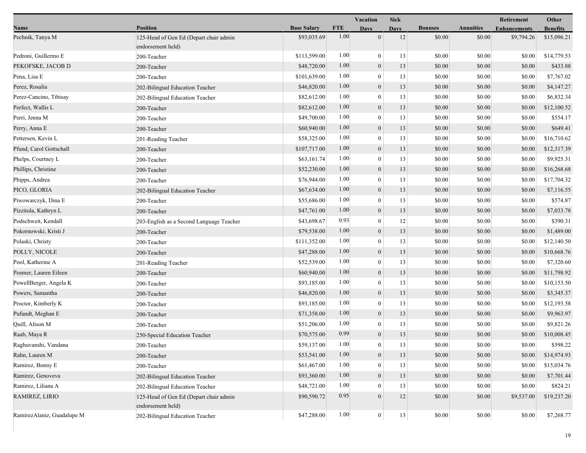|                            |                                                             |                    |            | Vacation         | <b>Sick</b> |                |                  | Retirement          | Other           |
|----------------------------|-------------------------------------------------------------|--------------------|------------|------------------|-------------|----------------|------------------|---------------------|-----------------|
| Name                       | <b>Position</b>                                             | <b>Base Salary</b> | <b>FTE</b> | <b>Days</b>      | <b>Days</b> | <b>Bonuses</b> | <b>Annuities</b> | <b>Enhancements</b> | <b>Benefits</b> |
| Pechnik, Tanya M           | 125-Head of Gen Ed (Depart chair admin<br>endorsement held) | \$93,035.69        | 1.00       | $\overline{0}$   | 12          | \$0.00         | \$0.00           | \$9,794.26          | \$15,096.21     |
| Pedroni, Guillermo E       | 200-Teacher                                                 | \$113,599.00       | 1.00       | $\mathbf{0}$     | 13          | \$0.00         | \$0.00           | \$0.00              | \$14,779.53     |
| PEKOFSKE, JACOB D          | 200-Teacher                                                 | \$48,720.00        | 1.00       | $\mathbf{0}$     | 13          | \$0.00         | \$0.00           | \$0.00              | \$433.88        |
| Pena, Lisa E               | 200-Teacher                                                 | \$101,639.00       | 1.00       | $\mathbf{0}$     | 13          | \$0.00         | \$0.00           | \$0.00              | \$7,767.02      |
| Perez, Rosalia             | 202-Bilingual Education Teacher                             | \$46,820.00        | 1.00       | $\boldsymbol{0}$ | 13          | \$0.00         | \$0.00           | \$0.00              | \$4,147.27      |
| Perez-Cancino, Tibisay     | 202-Bilingual Education Teacher                             | \$82,612.00        | 1.00       | $\overline{0}$   | 13          | \$0.00         | \$0.00           | \$0.00              | \$6,832.34      |
| Perfect, Wallis L          | 200-Teacher                                                 | \$82,612.00        | 1.00       | $\mathbf{0}$     | 13          | \$0.00         | \$0.00           | \$0.00              | \$12,100.52     |
| Perri, Jenna M             | 200-Teacher                                                 | \$49,700.00        | 1.00       | $\theta$         | 13          | \$0.00         | \$0.00           | \$0.00              | \$554.17        |
| Perry, Anna E              | 200-Teacher                                                 | \$60,940.00        | 1.00       | $\mathbf{0}$     | 13          | \$0.00         | \$0.00           | \$0.00              | \$649.41        |
| Pettersen, Kevin L         | 201-Reading Teacher                                         | \$58,325.00        | 1.00       | $\mathbf{0}$     | 13          | \$0.00         | \$0.00           | \$0.00              | \$16,710.62     |
| Pfund, Carol Gottschall    | 200-Teacher                                                 | \$107,717.00       | 1.00       | $\mathbf{0}$     | 13          | \$0.00         | \$0.00           | \$0.00              | \$12,317.39     |
| Phelps, Courtney L         | 200-Teacher                                                 | \$63,161.74        | 1.00       | $\overline{0}$   | 13          | \$0.00         | \$0.00           | \$0.00              | \$9,925.31      |
| Phillips, Christine        | 200-Teacher                                                 | \$52,230.00        | 1.00       | $\mathbf{0}$     | 13          | \$0.00         | \$0.00           | \$0.00              | \$16,268.68     |
| Phipps, Andrea             | 200-Teacher                                                 | \$76,944.00        | 1.00       | $\theta$         | 13          | \$0.00         | \$0.00           | \$0.00              | \$17,704.32     |
| PICO, GLORIA               | 202-Bilingual Education Teacher                             | \$67,634.00        | 1.00       | $\boldsymbol{0}$ | 13          | \$0.00         | \$0.00           | \$0.00              | \$7,116.55      |
| Piwowarczyk, Dina E        | 200-Teacher                                                 | \$55,686.00        | 1.00       | $\mathbf{0}$     | 13          | \$0.00         | \$0.00           | \$0.00              | \$574.87        |
| Pizzitola, Kathryn L       | 200-Teacher                                                 | \$47,761.00        | 1.00       | $\boldsymbol{0}$ | 13          | \$0.00         | \$0.00           | \$0.00              | \$7,033.78      |
| Podschweit, Kendall        | 203-English as a Second Language Teacher                    | \$43,698.67        | 0.93       | $\mathbf{0}$     | 12          | \$0.00         | \$0.00           | \$0.00              | \$390.31        |
| Pokornowski, Kristi J      | 200-Teacher                                                 | \$79,538.00        | 1.00       | $\mathbf{0}$     | 13          | \$0.00         | \$0.00           | \$0.00              | \$1,489.00      |
| Polaski, Christy           | 200-Teacher                                                 | \$111,352.00       | 1.00       | $\theta$         | 13          | \$0.00         | \$0.00           | \$0.00              | \$12,140.50     |
| POLLY, NICOLE              | 200-Teacher                                                 | \$47,288.00        | 1.00       | $\mathbf{0}$     | 13          | \$0.00         | \$0.00           | \$0.00              | \$10,668.76     |
| Pool, Katherine A          | 201-Reading Teacher                                         | \$52,539.00        | 1.00       | $\mathbf{0}$     | 13          | \$0.00         | \$0.00           | \$0.00              | \$7,320.60      |
| Posmer, Lauren Eileen      | 200-Teacher                                                 | \$60,940.00        | 1.00       | $\boldsymbol{0}$ | 13          | \$0.00         | \$0.00           | \$0.00              | \$11,798.92     |
| PowellBerger, Angela K     | 200-Teacher                                                 | \$93,185.00        | 1.00       | $\mathbf{0}$     | 13          | \$0.00         | \$0.00           | \$0.00              | \$10,153.50     |
| Powers, Samantha           | 200-Teacher                                                 | \$46,820.00        | 1.00       | $\mathbf{0}$     | 13          | \$0.00         | \$0.00           | \$0.00              | \$3,345.37      |
| Proctor, Kimberly K        | 200-Teacher                                                 | \$93,185.00        | 1.00       | $\theta$         | 13          | \$0.00         | \$0.00           | \$0.00              | \$12,193.58     |
| Pufundt, Meghan E          | 200-Teacher                                                 | \$71,358.00        | 1.00       | $\mathbf{0}$     | 13          | \$0.00         | \$0.00           | \$0.00              | \$9,963.97      |
| Quill, Alison M            | 200-Teacher                                                 | \$51,206.00        | 1.00       | $\boldsymbol{0}$ | 13          | \$0.00         | \$0.00           | \$0.00              | \$9,821.26      |
| Raab, Maya R               | 250-Special Education Teacher                               | \$70,575.00        | 0.99       | $\mathbf{0}$     | 13          | \$0.00         | \$0.00           | \$0.00              | \$10,008.45     |
| Raghuvanshi, Vandana       | 200-Teacher                                                 | \$59,137.00        | 1.00       | $\boldsymbol{0}$ | 13          | $\$0.00$       | $\$0.00$         | \$0.00              | \$598.22        |
| Rahn, Lauren M             | 200-Teacher                                                 | \$53,541.00        | 1.00       | $\boldsymbol{0}$ | 13          | \$0.00         | \$0.00           | \$0.00              | \$14,974.93     |
| Ramirez, Bonny E           | 200-Teacher                                                 | \$61,467.00        | 1.00       | $\theta$         | 13          | \$0.00         | \$0.00           | \$0.00              | \$15,034.76     |
| Ramirez, Genoveva          | 202-Bilingual Education Teacher                             | \$93,360.00        | 1.00       | $\mathbf{0}$     | 13          | \$0.00         | \$0.00           | \$0.00              | \$7,701.44      |
| Ramirez, Liliana A         | 202-Bilingual Education Teacher                             | \$48,721.00        | 1.00       | $\theta$         | 13          | \$0.00         | \$0.00           | \$0.00              | \$824.21        |
| RAMIREZ, LIRIO             | 125-Head of Gen Ed (Depart chair admin<br>endorsement held) | \$90,590.72        | 0.95       | $\theta$         | 12          | \$0.00         | \$0.00           | \$9,537.00          | \$19,237.20     |
| RamirezAlaniz, Guadalupe M | 202-Bilingual Education Teacher                             | \$47,288.00        | 1.00       | $\mathbf{0}$     | 13          | \$0.00         | \$0.00           | \$0.00              | \$7,268.77      |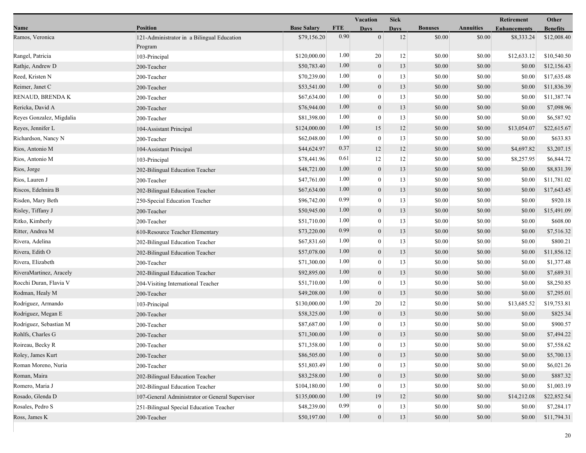|                          |                                                       |                    |            | <b>Vacation</b>  | <b>Sick</b> |                |                  | Retirement          | Other           |
|--------------------------|-------------------------------------------------------|--------------------|------------|------------------|-------------|----------------|------------------|---------------------|-----------------|
| Name                     | <b>Position</b>                                       | <b>Base Salary</b> | <b>FTE</b> | <b>Days</b>      | <b>Days</b> | <b>Bonuses</b> | <b>Annuities</b> | <b>Enhancements</b> | <b>Benefits</b> |
| Ramos, Veronica          | 121-Administrator in a Bilingual Education<br>Program | \$79,156.20        | 0.90       | $\overline{0}$   | 12          | \$0.00         | \$0.00           | \$8,333.24          | \$12,008.40     |
| Rangel, Patricia         | 103-Principal                                         | \$120,000.00       | 1.00       | 20               | 12          | \$0.00         | \$0.00           | \$12,633.12         | \$10,540.50     |
| Rathje, Andrew D         | 200-Teacher                                           | \$50,783.40        | 1.00       | $\boldsymbol{0}$ | 13          | \$0.00         | \$0.00           | \$0.00              | \$12,156.43     |
| Reed, Kristen N          | 200-Teacher                                           | \$70,239.00        | 1.00       | $\theta$         | 13          | \$0.00         | \$0.00           | \$0.00              | \$17,635.48     |
| Reimer, Janet C          | 200-Teacher                                           | \$53,541.00        | 1.00       | $\boldsymbol{0}$ | 13          | \$0.00         | \$0.00           | \$0.00              | \$11,836.39     |
| RENAUD, BRENDA K         | 200-Teacher                                           | \$67,634.00        | 1.00       | $\boldsymbol{0}$ | 13          | \$0.00         | \$0.00           | \$0.00              | \$11,387.74     |
| Rericka, David A         | 200-Teacher                                           | \$76,944.00        | 1.00       | $\mathbf{0}$     | 13          | \$0.00         | \$0.00           | \$0.00              | \$7,098.96      |
| Reyes Gonzalez, Migdalia | 200-Teacher                                           | \$81,398.00        | 1.00       | $\theta$         | 13          | \$0.00         | \$0.00           | \$0.00              | \$6,587.92      |
| Reyes, Jennifer L        | 104-Assistant Principal                               | \$124,000.00       | 1.00       | 15               | 12          | \$0.00         | \$0.00           | \$13,054.07         | \$22,615.67     |
| Richardson, Nancy N      | 200-Teacher                                           | \$62,048.00        | 1.00       | $\mathbf{0}$     | 13          | \$0.00         | \$0.00           | \$0.00              | \$633.83        |
| Rios, Antonio M          | 104-Assistant Principal                               | \$44,624.97        | 0.37       | 12               | 12          | \$0.00         | \$0.00           | \$4,697.82          | \$3,207.15      |
| Rios, Antonio M          | 103-Principal                                         | \$78,441.96        | 0.61       | 12               | 12          | \$0.00         | \$0.00           | \$8,257.95          | \$6,844.72      |
| Rios, Jorge              | 202-Bilingual Education Teacher                       | \$48,721.00        | 1.00       | $\mathbf{0}$     | 13          | \$0.00         | \$0.00           | \$0.00              | \$8,831.39      |
| Rios, Lauren J           | 200-Teacher                                           | \$47,761.00        | 1.00       | $\theta$         | 13          | \$0.00         | \$0.00           | \$0.00              | \$11,781.02     |
| Riscos, Edelmira B       | 202-Bilingual Education Teacher                       | \$67,634.00        | 1.00       | $\mathbf{0}$     | 13          | \$0.00         | \$0.00           | \$0.00              | \$17,643.45     |
| Risden, Mary Beth        | 250-Special Education Teacher                         | \$96,742.00        | 0.99       | $\boldsymbol{0}$ | 13          | \$0.00         | \$0.00           | \$0.00              | \$920.18        |
| Risley, Tiffany J        | 200-Teacher                                           | \$50,945.00        | 1.00       | $\overline{0}$   | 13          | \$0.00         | \$0.00           | \$0.00              | \$15,491.09     |
| Ritko, Kimberly          | 200-Teacher                                           | \$51,710.00        | 1.00       | $\overline{0}$   | 13          | \$0.00         | \$0.00           | \$0.00              | \$608.00        |
| Ritter, Andrea M         | 610-Resource Teacher Elementary                       | \$73,220.00        | 0.99       | $\mathbf{0}$     | 13          | \$0.00         | \$0.00           | \$0.00              | \$7,516.32      |
| Rivera, Adelina          | 202-Bilingual Education Teacher                       | \$67,831.60        | 1.00       | $\theta$         | 13          | \$0.00         | \$0.00           | \$0.00              | \$800.21        |
| Rivera, Edith O          | 202-Bilingual Education Teacher                       | \$57,078.00        | 1.00       | $\overline{0}$   | 13          | \$0.00         | \$0.00           | \$0.00              | \$11,856.12     |
| Rivera, Elizabeth        | 200-Teacher                                           | \$71,300.00        | 1.00       | $\boldsymbol{0}$ | 13          | \$0.00         | \$0.00           | \$0.00              | \$1,377.48      |
| RiveraMartinez, Aracely  | 202-Bilingual Education Teacher                       | \$92,895.00        | 1.00       | $\boldsymbol{0}$ | 13          | \$0.00         | \$0.00           | \$0.00              | \$7,689.31      |
| Rocchi Duran, Flavia V   | 204-Visiting International Teacher                    | \$51,710.00        | 1.00       | $\boldsymbol{0}$ | 13          | \$0.00         | \$0.00           | \$0.00              | \$8,250.85      |
| Rodman, Healy M          | 200-Teacher                                           | \$49,208.00        | 1.00       | $\mathbf{0}$     | 13          | \$0.00         | \$0.00           | \$0.00              | \$7,295.01      |
| Rodriguez, Armando       | 103-Principal                                         | \$130,000.00       | 1.00       | 20               | 12          | \$0.00         | \$0.00           | \$13,685.52         | \$19,753.81     |
| Rodriguez, Megan E       | 200-Teacher                                           | \$58,325.00        | 1.00       | $\mathbf{0}$     | 13          | \$0.00         | \$0.00           | \$0.00              | \$825.34        |
| Rodriguez, Sebastian M   | 200-Teacher                                           | \$87,687.00        | 1.00       | $\boldsymbol{0}$ | 13          | \$0.00         | \$0.00           | \$0.00              | \$900.57        |
| Rohlfs, Charles G        | 200-Teacher                                           | \$71,300.00        | 1.00       | $\boldsymbol{0}$ | 13          | \$0.00         | \$0.00           | \$0.00              | \$7,494.22      |
| Roireau, Becky R         | 200-Teacher                                           | \$71,358.00        | 1.00       | $\mathbf{0}$     | 13          | $\$0.00$       | $\$0.00$         | $\$0.00$            | \$7,558.62      |
| Roley, James Kurt        | 200-Teacher                                           | \$86,505.00        | 1.00       | $\mathbf{0}$     | 13          | \$0.00         | \$0.00           | \$0.00              | \$5,700.13      |
| Roman Moreno, Nuria      | 200-Teacher                                           | \$51,803.49        | 1.00       | $\Omega$         | 13          | \$0.00         | \$0.00           | \$0.00              | \$6,021.26      |
| Roman, Maira             | 202-Bilingual Education Teacher                       | \$83,258.00        | 1.00       | $\overline{0}$   | 13          | \$0.00         | \$0.00           | \$0.00              | \$887.32        |
| Romero, Maria J          | 202-Bilingual Education Teacher                       | \$104,180.00       | 1.00       | $\theta$         | 13          | \$0.00         | \$0.00           | \$0.00              | \$1,003.19      |
| Rosado, Glenda D         | 107-General Administrator or General Supervisor       | \$135,000.00       | 1.00       | 19               | 12          | \$0.00         | \$0.00           | \$14,212.08         | \$22,852.54     |
| Rosales, Pedro S         | 251-Bilingual Special Education Teacher               | \$48,239.00        | 0.99       | $\bf{0}$         | 13          | \$0.00         | \$0.00           | \$0.00              | \$7,284.17      |
| Ross, James K            | 200-Teacher                                           | \$50,197.00        | 1.00       | $\boldsymbol{0}$ | 13          | \$0.00         | \$0.00           | \$0.00              | \$11,794.31     |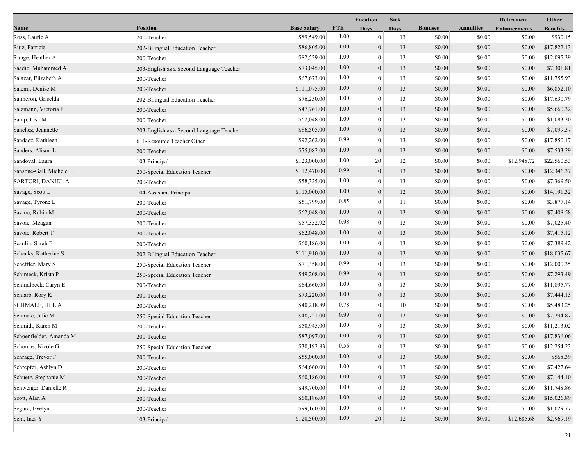| Name                    | <b>Position</b>                          | <b>Base Salary</b> |            |                  |             |                |                  |                     |                 |
|-------------------------|------------------------------------------|--------------------|------------|------------------|-------------|----------------|------------------|---------------------|-----------------|
|                         |                                          |                    | <b>FTE</b> | <b>Days</b>      | <b>Days</b> | <b>Bonuses</b> | <b>Annuities</b> | <b>Enhancements</b> | <b>Benefits</b> |
| Ross, Laurie A          | 200-Teacher                              | \$89,549.00        | 1.00       | $\boldsymbol{0}$ | 13          | \$0.00         | \$0.00           | \$0.00              | \$930.15        |
| Ruiz, Patricia          | 202-Bilingual Education Teacher          | \$86,805.00        | 1.00       | $\mathbf{0}$     | 13          | \$0.00         | \$0.00           | \$0.00              | \$17,822.13     |
| Runge, Heather A        | 200-Teacher                              | \$82,529.00        | 1.00       | $\bf{0}$         | 13          | \$0.00         | \$0.00           | \$0.00              | \$12,095.39     |
| Saadiq, Muhammed A      | 203-English as a Second Language Teacher | \$73,045.00        | 1.00       | $\mathbf{0}$     | 13          | \$0.00         | \$0.00           | \$0.00              | \$7,301.81      |
| Salazar, Elizabeth A    | 200-Teacher                              | \$67,673.00        | 1.00       | $\mathbf{0}$     | 13          | \$0.00         | \$0.00           | \$0.00              | \$11,755.93     |
| Salemi, Denise M        | 200-Teacher                              | \$111,075.00       | 1.00       | $\mathbf{0}$     | 13          | \$0.00         | \$0.00           | \$0.00              | \$6,852.10      |
| Salmeron, Griselda      | 202-Bilingual Education Teacher          | \$76,250.00        | 1.00       | $\mathbf{0}$     | 13          | \$0.00         | \$0.00           | \$0.00              | \$17,630.79     |
| Salzmann, Victoria J    | 200-Teacher                              | \$47,761.00        | 1.00       | $\mathbf{0}$     | 13          | \$0.00         | \$0.00           | \$0.00              | \$5,660.32      |
| Samp, Lisa M            | 200-Teacher                              | \$62,048.00        | 1.00       | $\boldsymbol{0}$ | 13          | \$0.00         | \$0.00           | \$0.00              | \$1,083.30      |
| Sanchez, Jeannette      | 203-English as a Second Language Teacher | \$86,505.00        | 1.00       | $\mathbf{0}$     | 13          | \$0.00         | \$0.00           | \$0.00              | \$7,099.37      |
| Sandacz, Kathleen       | 611-Resource Teacher Other               | \$92,262.00        | 0.99       | $\mathbf{0}$     | 13          | \$0.00         | \$0.00           | \$0.00              | \$17,850.17     |
| Sanders, Alison L       | 200-Teacher                              | \$75,082.00        | 1.00       | $\mathbf{0}$     | 13          | \$0.00         | \$0.00           | \$0.00              | \$7,533.29      |
| Sandoval, Laura         | 103-Principal                            | \$123,000.00       | 1.00       | 20               | 12          | \$0.00         | \$0.00           | \$12,948.72         | \$22,560.53     |
| Sansone-Gall, Michele L | 250-Special Education Teacher            | \$112,470.00       | 0.99       | $\mathbf{0}$     | 13          | \$0.00         | \$0.00           | \$0.00              | \$12,346.37     |
| SARTORI, DANIEL A       | 200-Teacher                              | \$58,325.00        | 1.00       | $\boldsymbol{0}$ | 13          | \$0.00         | \$0.00           | \$0.00              | \$7,369.50      |
| Savage, Scott L         | 104-Assistant Principal                  | \$115,000.00       | 1.00       | $\mathbf{0}$     | 12          | \$0.00         | \$0.00           | \$0.00              | \$14,191.32     |
| Savage, Tyrone L        | 200-Teacher                              | \$51,799.00        | 0.85       | $\mathbf{0}$     | 11          | \$0.00         | \$0.00           | \$0.00              | \$3,877.14      |
| Savino, Robin M         | 200-Teacher                              | \$62,048.00        | 1.00       | $\mathbf{0}$     | 13          | \$0.00         | \$0.00           | \$0.00              | \$7,408.58      |
| Savoie, Meagan          | 200-Teacher                              | \$57,352.92        | 0.98       | $\mathbf{0}$     | 13          | \$0.00         | \$0.00           | \$0.00              | \$7,025.40      |
| Savoie, Robert T        | 200-Teacher                              | \$62,048.00        | 1.00       | $\mathbf{0}$     | 13          | \$0.00         | \$0.00           | \$0.00              | \$7,415.12      |
| Scanlin, Sarah E        | 200-Teacher                              | \$60,186.00        | 1.00       | $\mathbf{0}$     | 13          | \$0.00         | \$0.00           | \$0.00              | \$7,389.42      |
| Schanks, Katherine S    | 202-Bilingual Education Teacher          | \$111,910.00       | 1.00       | $\mathbf{0}$     | 13          | \$0.00         | \$0.00           | \$0.00              | \$18,035.67     |
| Scheffler, Mary S       | 250-Special Education Teacher            | \$71,358.00        | 0.99       | $\mathbf{0}$     | 13          | \$0.00         | \$0.00           | \$0.00              | \$12,000.35     |
| Schimeck, Krista P      | 250-Special Education Teacher            | \$49,208.00        | 0.99       | $\mathbf{0}$     | 13          | \$0.00         | \$0.00           | \$0.00              | \$7,293.49      |
| Schindlbeck, Caryn E    | 200-Teacher                              | \$64,660.00        | 1.00       | $\mathbf{0}$     | 13          | \$0.00         | \$0.00           | \$0.00              | \$11,895.77     |
| Schlarb, Rory K         | 200-Teacher                              | \$73,220.00        | 1.00       | $\mathbf{0}$     | 13          | \$0.00         | \$0.00           | \$0.00              | \$7,444.13      |
| <b>SCHMALE, JILL A</b>  | 200-Teacher                              | \$40,218.89        | 0.78       | $\mathbf{0}$     | 10          | \$0.00         | \$0.00           | \$0.00              | \$5,483.25      |
| Schmale, Julie M        | 250-Special Education Teacher            | \$48,721.00        | 0.99       | $\boldsymbol{0}$ | 13          | \$0.00         | \$0.00           | \$0.00              | \$7,294.87      |
| Schmidt, Karen M        | 200-Teacher                              | \$50,945.00        | 1.00       | $\mathbf{0}$     | 13          | \$0.00         | \$0.00           | \$0.00              | \$11,213.02     |
| Schoenfielder, Amanda M | 200-Teacher                              | \$87,097.00        | 1.00       | $\mathbf{0}$     | 13          | \$0.00         | \$0.00           | \$0.00              | \$17,836.06     |
| Schomas, Nicole G       | 250-Special Education Teacher            | \$30,192.83        | 0.56       | $\boldsymbol{0}$ | 13          | \$0.00         | \$0.00           | $\$0.00$            | \$12,254.23     |
| Schrage, Trevor F       | 200-Teacher                              | \$55,000.00        | 1.00       | $\mathbf{0}$     | 13          | \$0.00         | \$0.00           | \$0.00              | \$568.39        |
| Schrepfer, Ashlyn D     | 200-Teacher                              | \$64,660.00        | 1.00       | $\theta$         | 13          | \$0.00         | \$0.00           | \$0.00              | \$7,427.64      |
| Schuetz, Stephanie M    | 200-Teacher                              | \$60,186.00        | 1.00       | $\mathbf{0}$     | 13          | \$0.00         | \$0.00           | \$0.00              | \$7,144.10      |
| Schweiger, Danielle R   | 200-Teacher                              | \$49,700.00        | 1.00       | $\left($         | 13          | \$0.00         | \$0.00           | \$0.00              | \$11,748.86     |
| Scott, Alan A           | 200-Teacher                              | \$60,186.00        | 1.00       | $\mathbf{0}$     | 13          | \$0.00         | \$0.00           | \$0.00              | \$15,026.89     |
| Segura, Evelyn          | 200-Teacher                              | \$99,160.00        | 1.00       | $\mathbf{0}$     | 13          | \$0.00         | \$0.00           | \$0.00              | \$1,029.77      |
| Sem, Ines Y             | 103-Principal                            | \$120,500.00       | 1.00       | $20\,$           | 12          | \$0.00         | \$0.00           | \$12,685.68         | \$2,969.19      |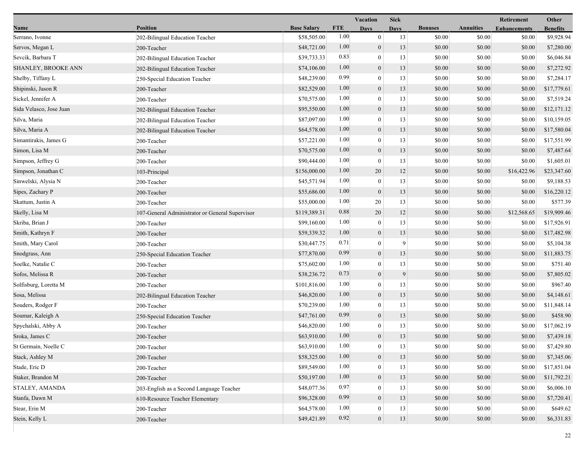|                         |                                                 |                    |            | <b>Vacation</b>  | <b>Sick</b> |                |                  | Retirement          | Other           |
|-------------------------|-------------------------------------------------|--------------------|------------|------------------|-------------|----------------|------------------|---------------------|-----------------|
| Name                    | <b>Position</b>                                 | <b>Base Salary</b> | <b>FTE</b> | <b>Days</b>      | <b>Days</b> | <b>Bonuses</b> | <b>Annuities</b> | <b>Enhancements</b> | <b>Benefits</b> |
| Serrano, Ivonne         | 202-Bilingual Education Teacher                 | \$58,505.00        | 1.00       | $\mathbf{0}$     | 13          | \$0.00         | \$0.00           | \$0.00              | \$9,928.94      |
| Servos, Megan L         | 200-Teacher                                     | \$48,721.00        | 1.00       | $\mathbf{0}$     | 13          | \$0.00         | \$0.00           | \$0.00              | \$7,280.00      |
| Sevcik, Barbara T       | 202-Bilingual Education Teacher                 | \$39,733.33        | 0.83       | $\boldsymbol{0}$ | 13          | \$0.00         | \$0.00           | \$0.00              | \$6,046.84      |
| SHANLEY, BROOKE ANN     | 202-Bilingual Education Teacher                 | \$74,106.00        | 1.00       | $\mathbf{0}$     | 13          | \$0.00         | \$0.00           | \$0.00              | \$7,272.92      |
| Shelby, Tiffany L       | 250-Special Education Teacher                   | \$48,239.00        | 0.99       | $\boldsymbol{0}$ | 13          | \$0.00         | \$0.00           | \$0.00              | \$7,284.17      |
| Shipinski, Jason R      | 200-Teacher                                     | \$82,529.00        | 1.00       | $\mathbf{0}$     | 13          | \$0.00         | \$0.00           | \$0.00              | \$17,779.61     |
| Sickel, Jennifer A      | 200-Teacher                                     | \$70,575.00        | 1.00       | $\mathbf{0}$     | 13          | \$0.00         | \$0.00           | \$0.00              | \$7,519.24      |
| Sida Velasco, Jose Juan | 202-Bilingual Education Teacher                 | \$95,550.00        | 1.00       | $\mathbf{0}$     | 13          | \$0.00         | \$0.00           | \$0.00              | \$12,171.12     |
| Silva, Maria            | 202-Bilingual Education Teacher                 | \$87,097.00        | 1.00       | $\mathbf{0}$     | 13          | \$0.00         | \$0.00           | \$0.00              | \$10,159.05     |
| Silva, Maria A          | 202-Bilingual Education Teacher                 | \$64,578.00        | 1.00       | $\mathbf{0}$     | 13          | \$0.00         | \$0.00           | \$0.00              | \$17,580.04     |
| Simantirakis, James G   | 200-Teacher                                     | \$57,221.00        | 1.00       | $\boldsymbol{0}$ | 13          | \$0.00         | \$0.00           | \$0.00              | \$17,551.99     |
| Simon, Lisa M           | 200-Teacher                                     | \$70,575.00        | 1.00       | $\mathbf{0}$     | 13          | \$0.00         | \$0.00           | \$0.00              | \$7,487.64      |
| Simpson, Jeffrey G      | 200-Teacher                                     | \$90,444.00        | 1.00       | $\mathbf{0}$     | 13          | \$0.00         | \$0.00           | \$0.00              | \$1,605.01      |
| Simpson, Jonathan C     | 103-Principal                                   | \$156,000.00       | 1.00       | 20               | 12          | \$0.00         | \$0.00           | \$16,422.96         | \$23,347.60     |
| Sinwelski, Alysia N     | 200-Teacher                                     | \$45,571.94        | 1.00       | $\bf{0}$         | 13          | \$0.00         | \$0.00           | \$0.00              | \$9,188.53      |
| Sipes, Zachary P        | 200-Teacher                                     | \$55,686.00        | 1.00       | $\mathbf{0}$     | 13          | \$0.00         | \$0.00           | \$0.00              | \$16,220.12     |
| Skattum, Justin A       | 200-Teacher                                     | \$55,000.00        | 1.00       | 20               | 13          | \$0.00         | \$0.00           | \$0.00              | \$577.39        |
| Skelly, Lisa M          | 107-General Administrator or General Supervisor | \$119,389.31       | 0.88       | 20               | 12          | \$0.00         | \$0.00           | \$12,568.65         | \$19,909.46     |
| Skriba, Brian J         | 200-Teacher                                     | \$99,160.00        | 1.00       | $\mathbf{0}$     | 13          | \$0.00         | \$0.00           | \$0.00              | \$17,926.91     |
| Smith, Kathryn F        | 200-Teacher                                     | \$59,339.32        | 1.00       | $\mathbf{0}$     | 13          | \$0.00         | \$0.00           | \$0.00              | \$17,482.98     |
| Smith, Mary Carol       | 200-Teacher                                     | \$30,447.75        | 0.71       | $\boldsymbol{0}$ | 9           | \$0.00         | \$0.00           | \$0.00              | \$5,104.38      |
| Snodgrass, Ann          | 250-Special Education Teacher                   | \$77,870.00        | 0.99       | $\mathbf{0}$     | 13          | \$0.00         | \$0.00           | \$0.00              | \$11,883.75     |
| Soelke, Natalie C       | 200-Teacher                                     | \$75,602.00        | 1.00       | $\mathbf{0}$     | 13          | \$0.00         | \$0.00           | \$0.00              | \$751.40        |
| Sofos, Melissa R        | 200-Teacher                                     | \$38,236.72        | 0.73       | $\mathbf{0}$     | 9           | \$0.00         | \$0.00           | \$0.00              | \$7,805.02      |
| Solfisburg, Loretta M   | 200-Teacher                                     | \$101,816.00       | 1.00       | $\theta$         | 13          | \$0.00         | \$0.00           | \$0.00              | \$967.40        |
| Sosa, Melissa           | 202-Bilingual Education Teacher                 | \$46,820.00        | 1.00       | $\mathbf{0}$     | 13          | \$0.00         | \$0.00           | \$0.00              | \$4,148.61      |
| Souders, Rodger F       | 200-Teacher                                     | \$70,239.00        | 1.00       | $\overline{0}$   | 13          | \$0.00         | \$0.00           | \$0.00              | \$11,848.14     |
| Soumar, Kaleigh A       | 250-Special Education Teacher                   | \$47,761.00        | 0.99       | $\mathbf{0}$     | 13          | \$0.00         | \$0.00           | \$0.00              | \$458.90        |
| Spychalski, Abby A      | 200-Teacher                                     | \$46,820.00        | 1.00       | $\mathbf{0}$     | 13          | \$0.00         | \$0.00           | \$0.00              | \$17,062.19     |
| Sroka, James C          | 200-Teacher                                     | \$63,910.00        | 1.00       | $\overline{0}$   | 13          | \$0.00         | \$0.00           | \$0.00              | \$7,439.18      |
| St Germain, Noelle C    | 200-Teacher                                     | \$63,910.00        | 1.00       | $\bf{0}$         | 13          | \$0.00         | \$0.00           | \$0.00              | \$7,429.80      |
| Stack, Ashley M         | 200-Teacher                                     | \$58,325.00        | 1.00       | $\overline{0}$   | 13          | \$0.00         | \$0.00           | \$0.00              | \$7,345.06      |
| Stade, Eric D           | 200-Teacher                                     | \$89,549.00        | 1.00       | $\theta$         | 13          | \$0.00         | \$0.00           | \$0.00              | \$17,851.04     |
| Staker, Brandon M       | 200-Teacher                                     | \$50,197.00        | 1.00       | $\theta$         | 13          | \$0.00         | \$0.00           | \$0.00              | \$11,792.21     |
| STALEY, AMANDA          | 203-English as a Second Language Teacher        | \$48,077.36        | 0.97       | $\Omega$         | 13          | \$0.00         | \$0.00           | \$0.00              | \$6,006.10      |
| Stanfa, Dawn M          | 610-Resource Teacher Elementary                 | \$96,328.00        | 0.99       | $\overline{0}$   | 13          | \$0.00         | \$0.00           | \$0.00              | \$7,720.41      |
| Stear, Erin M           | 200-Teacher                                     | \$64,578.00        | 1.00       | $\overline{0}$   | 13          | \$0.00         | \$0.00           | \$0.00              | \$649.62        |
| Stein, Kelly L          | 200-Teacher                                     | \$49,421.89        | 0.92       | $\mathbf{0}$     | 13          | \$0.00         | \$0.00           | \$0.00              | \$6,331.83      |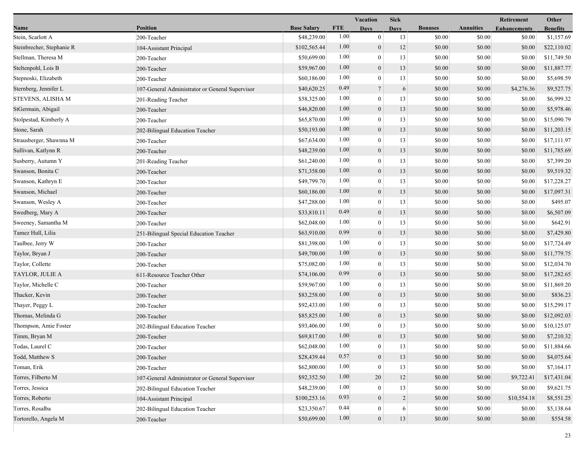|                           |                                                 |                    |            | <b>Vacation</b>  | <b>Sick</b>    |                |                  | Retirement          | Other           |
|---------------------------|-------------------------------------------------|--------------------|------------|------------------|----------------|----------------|------------------|---------------------|-----------------|
| Name                      | <b>Position</b>                                 | <b>Base Salary</b> | <b>FTE</b> | Days             | <b>Days</b>    | <b>Bonuses</b> | <b>Annuities</b> | <b>Enhancements</b> | <b>Benefits</b> |
| Stein, Scarlott A         | 200-Teacher                                     | \$48,239.00        | 1.00       | $\mathbf{0}$     | 13             | \$0.00         | \$0.00           | \$0.00              | \$1,157.69      |
| Steinbrecher, Stephanie R | 104-Assistant Principal                         | \$102,565.44       | 1.00       | $\boldsymbol{0}$ | 12             | \$0.00         | \$0.00           | \$0.00              | \$22,110.02     |
| Stellman, Theresa M       | 200-Teacher                                     | \$50,699.00        | 1.00       | $\boldsymbol{0}$ | 13             | \$0.00         | \$0.00           | \$0.00              | \$11,749.50     |
| Steltenpohl, Lois B       | 200-Teacher                                     | \$59,967.00        | 1.00       | $\boldsymbol{0}$ | 13             | \$0.00         | \$0.00           | \$0.00              | \$11,887.77     |
| Stepnoski, Elizabeth      | 200-Teacher                                     | \$60,186.00        | 1.00       | $\boldsymbol{0}$ | 13             | \$0.00         | \$0.00           | \$0.00              | \$5,698.59      |
| Sternberg, Jennifer L     | 107-General Administrator or General Supervisor | \$40,620.25        | 0.49       | $7\phantom{.0}$  | 6              | \$0.00         | \$0.00           | \$4,276.36          | \$9,527.75      |
| STEVENS, ALISHA M         | 201-Reading Teacher                             | \$58,325.00        | 1.00       | $\mathbf{0}$     | 13             | \$0.00         | \$0.00           | \$0.00              | \$6,999.32      |
| StGermain, Abigail        | 200-Teacher                                     | \$46,820.00        | 1.00       | $\boldsymbol{0}$ | 13             | \$0.00         | \$0.00           | \$0.00              | \$5,978.46      |
| Stolpestad, Kimberly A    | 200-Teacher                                     | \$65,870.00        | 1.00       | $\boldsymbol{0}$ | 13             | \$0.00         | \$0.00           | \$0.00              | \$15,090.79     |
| Stone, Sarah              | 202-Bilingual Education Teacher                 | \$50,193.00        | 1.00       | $\boldsymbol{0}$ | 13             | \$0.00         | \$0.00           | \$0.00              | \$11,203.15     |
| Strausberger, Shawnna M   | 200-Teacher                                     | \$67,634.00        | 1.00       | $\boldsymbol{0}$ | 13             | \$0.00         | \$0.00           | \$0.00              | \$17,111.97     |
| Sullivan, Katlynn R       | 200-Teacher                                     | \$48,239.00        | 1.00       | $\boldsymbol{0}$ | 13             | \$0.00         | \$0.00           | \$0.00              | \$11,785.69     |
| Susberry, Autumn Y        | 201-Reading Teacher                             | \$61,240.00        | 1.00       | $\mathbf{0}$     | 13             | \$0.00         | \$0.00           | \$0.00              | \$7,399.20      |
| Swanson, Bonita C         | 200-Teacher                                     | \$71,358.00        | 1.00       | $\boldsymbol{0}$ | 13             | \$0.00         | \$0.00           | \$0.00              | \$9,519.32      |
| Swanson, Kathryn E        | 200-Teacher                                     | \$49,799.70        | 1.00       | $\boldsymbol{0}$ | 13             | \$0.00         | \$0.00           | \$0.00              | \$17,228.27     |
| Swanson, Michael          | 200-Teacher                                     | \$60,186.00        | 1.00       | $\boldsymbol{0}$ | 13             | \$0.00         | \$0.00           | \$0.00              | \$17,097.31     |
| Swanson, Wesley A         | 200-Teacher                                     | \$47,288.00        | 1.00       | $\boldsymbol{0}$ | 13             | \$0.00         | \$0.00           | \$0.00              | \$495.07        |
| Swedberg, Mary A          | 200-Teacher                                     | \$33,810.11        | 0.49       | $\boldsymbol{0}$ | 13             | \$0.00         | \$0.00           | \$0.00              | \$6,507.09      |
| Sweeney, Samantha M       | 200-Teacher                                     | \$62,048.00        | 1.00       | $\boldsymbol{0}$ | 13             | \$0.00         | \$0.00           | \$0.00              | \$642.91        |
| Tamez Hull, Lilia         | 251-Bilingual Special Education Teacher         | \$63,910.00        | 0.99       | $\boldsymbol{0}$ | 13             | \$0.00         | \$0.00           | \$0.00              | \$7,429.80      |
| Taulbee, Jerry W          | 200-Teacher                                     | \$81,398.00        | 1.00       | $\mathbf{0}$     | 13             | \$0.00         | \$0.00           | \$0.00              | \$17,724.49     |
| Taylor, Bryan J           | 200-Teacher                                     | \$49,700.00        | 1.00       | $\boldsymbol{0}$ | 13             | \$0.00         | \$0.00           | \$0.00              | \$11,779.75     |
| Taylor, Collette          | 200-Teacher                                     | \$75,082.00        | 1.00       | $\boldsymbol{0}$ | 13             | \$0.00         | \$0.00           | \$0.00              | \$12,034.70     |
| TAYLOR, JULIE A           | 611-Resource Teacher Other                      | \$74,106.00        | 0.99       | $\boldsymbol{0}$ | 13             | \$0.00         | \$0.00           | \$0.00              | \$17,282.65     |
| Taylor, Michelle C        | 200-Teacher                                     | \$59,967.00        | 1.00       | $\boldsymbol{0}$ | 13             | \$0.00         | \$0.00           | \$0.00              | \$11,869.20     |
| Thacker, Kevin            | 200-Teacher                                     | \$83,258.00        | 1.00       | $\boldsymbol{0}$ | 13             | \$0.00         | \$0.00           | \$0.00              | \$836.23        |
| Thayer, Peggy L           | 200-Teacher                                     | \$92,433.00        | 1.00       | $\boldsymbol{0}$ | 13             | \$0.00         | \$0.00           | \$0.00              | \$15,299.17     |
| Thomas, Melinda G         | 200-Teacher                                     | \$85,825.00        | 1.00       | $\boldsymbol{0}$ | 13             | \$0.00         | \$0.00           | \$0.00              | \$12,092.03     |
| Thompson, Amie Foster     | 202-Bilingual Education Teacher                 | \$93,406.00        | 1.00       | $\theta$         | 13             | \$0.00         | \$0.00           | \$0.00              | \$10,125.07     |
| Timm, Bryan M             | 200-Teacher                                     | \$69,817.00        | 1.00       | $\boldsymbol{0}$ | 13             | \$0.00         | \$0.00           | \$0.00              | \$7,210.32      |
| Todas, Laurel C           | 200-Teacher                                     | \$62,048.00        | $1.00\,$   | $\overline{0}$   | 13             | \$0.00         | \$0.00           | \$0.00              | \$11,884.66     |
| Todd, Matthew S           | 200-Teacher                                     | \$28,439.44        | 0.57       | $\boldsymbol{0}$ | 13             | \$0.00         | \$0.00           | \$0.00              | \$4,075.64      |
| Toman, Erik               | 200-Teacher                                     | \$62,800.00        | 1.00       | $\boldsymbol{0}$ | 13             | \$0.00         | \$0.00           | \$0.00              | \$7,164.17      |
| Torres, Filberto M        | 107-General Administrator or General Supervisor | \$92,352.50        | 1.00       | 20               | 12             | \$0.00         | \$0.00           | \$9,722.41          | \$17,431.04     |
| Torres, Jessica           | 202-Bilingual Education Teacher                 | \$48,239.00        | 1.00       | $\mathbf{0}$     | 13             | \$0.00         | \$0.00           | \$0.00              | \$9,621.75      |
| Torres, Roberto           | 104-Assistant Principal                         | \$100,253.16       | 0.93       | $\boldsymbol{0}$ | $\overline{2}$ | \$0.00         | \$0.00           | \$10,554.18         | \$8,551.25      |
| Torres, Rosalba           | 202-Bilingual Education Teacher                 | \$23,350.67        | 0.44       | $\boldsymbol{0}$ | 6              | \$0.00         | \$0.00           | \$0.00              | \$5,138.64      |
| Tortorello, Angela M      | 200-Teacher                                     | \$50,699.00        | 1.00       | $\mathbf{0}$     | 13             | \$0.00         | \$0.00           | \$0.00              | \$554.58        |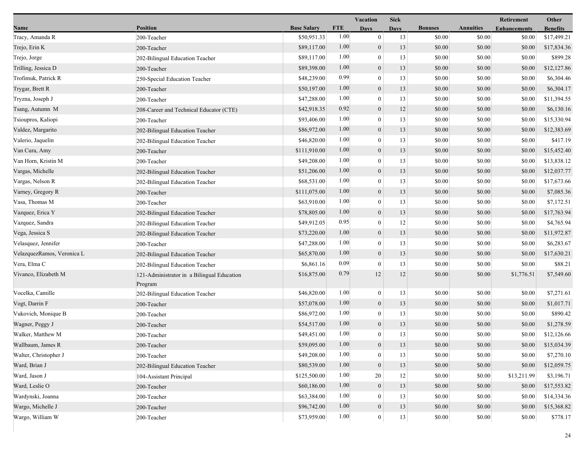|                            |                                                       |                    |            | Vacation         | <b>Sick</b> |                |                  | <b>Retirement</b>   | Other           |
|----------------------------|-------------------------------------------------------|--------------------|------------|------------------|-------------|----------------|------------------|---------------------|-----------------|
| Name                       | <b>Position</b>                                       | <b>Base Salary</b> | <b>FTE</b> | <b>Days</b>      | <b>Days</b> | <b>Bonuses</b> | <b>Annuities</b> | <b>Enhancements</b> | <b>Benefits</b> |
| Tracy, Amanda R            | 200-Teacher                                           | \$50,951.33        | 1.00       | $\mathbf{0}$     | 13          | \$0.00         | \$0.00           | \$0.00              | \$17,499.21     |
| Trejo, Erin K              | 200-Teacher                                           | \$89,117.00        | 1.00       | $\mathbf{0}$     | 13          | \$0.00         | \$0.00           | \$0.00              | \$17,834.36     |
| Trejo, Jorge               | 202-Bilingual Education Teacher                       | \$89,117.00        | 1.00       | $\overline{0}$   | 13          | \$0.00         | \$0.00           | \$0.00              | \$899.28        |
| Trilling, Jessica D        | 200-Teacher                                           | \$89,398.00        | 1.00       | $\boldsymbol{0}$ | 13          | \$0.00         | \$0.00           | \$0.00              | \$12,127.86     |
| Trofimuk, Patrick R        | 250-Special Education Teacher                         | \$48,239.00        | 0.99       | $\overline{0}$   | 13          | \$0.00         | \$0.00           | \$0.00              | \$6,304.46      |
| Trygar, Brett R            | 200-Teacher                                           | \$50,197.00        | 1.00       | $\boldsymbol{0}$ | 13          | \$0.00         | \$0.00           | \$0.00              | \$6,304.17      |
| Tryzna, Joseph J           | 200-Teacher                                           | \$47,288.00        | 1.00       | $\theta$         | 13          | \$0.00         | \$0.00           | \$0.00              | \$11,394.55     |
| Tsang, Autumn M            | 208-Career and Technical Educator (CTE)               | \$42,918.35        | 0.92       | $\mathbf{0}$     | 12          | \$0.00         | \$0.00           | \$0.00              | \$6,130.16      |
| Tsioupros, Kaliopi         | 200-Teacher                                           | \$93,406.00        | 1.00       | $\mathbf{0}$     | 13          | \$0.00         | \$0.00           | \$0.00              | \$15,330.94     |
| Valdez, Margarito          | 202-Bilingual Education Teacher                       | \$86,972.00        | 1.00       | $\boldsymbol{0}$ | 13          | \$0.00         | \$0.00           | \$0.00              | \$12,383.69     |
| Valerio, Jaquelin          | 202-Bilingual Education Teacher                       | \$46,820.00        | 1.00       | $\overline{0}$   | 13          | \$0.00         | \$0.00           | \$0.00              | \$417.19        |
| Van Cura, Amy              | 200-Teacher                                           | \$111,910.00       | 1.00       | $\mathbf{0}$     | 13          | \$0.00         | \$0.00           | \$0.00              | \$15,452.40     |
| Van Horn, Kristin M        | 200-Teacher                                           | \$49,208.00        | 1.00       | $\theta$         | 13          | \$0.00         | \$0.00           | \$0.00              | \$13,838.12     |
| Vargas, Michelle           | 202-Bilingual Education Teacher                       | \$51,206.00        | 1.00       | $\boldsymbol{0}$ | 13          | \$0.00         | \$0.00           | \$0.00              | \$12,037.77     |
| Vargas, Nelson R           | 202-Bilingual Education Teacher                       | \$68,531.00        | 1.00       | $\mathbf{0}$     | 13          | \$0.00         | \$0.00           | \$0.00              | \$17,673.66     |
| Varney, Gregory R          | 200-Teacher                                           | \$111,075.00       | 1.00       | $\boldsymbol{0}$ | 13          | \$0.00         | \$0.00           | \$0.00              | \$7,085.36      |
| Vasa, Thomas M             | 200-Teacher                                           | \$63,910.00        | 1.00       | $\mathbf{0}$     | 13          | \$0.00         | \$0.00           | \$0.00              | \$7,172.51      |
| Vazquez, Erica Y           | 202-Bilingual Education Teacher                       | \$78,805.00        | 1.00       | $\mathbf{0}$     | 13          | \$0.00         | \$0.00           | \$0.00              | \$17,763.94     |
| Vazquez, Sandra            | 202-Bilingual Education Teacher                       | \$49,912.05        | 0.95       | $\theta$         | 12          | \$0.00         | \$0.00           | \$0.00              | \$4,765.94      |
| Vega, Jessica S            | 202-Bilingual Education Teacher                       | \$73,220.00        | 1.00       | $\boldsymbol{0}$ | 13          | \$0.00         | \$0.00           | \$0.00              | \$11,972.87     |
| Velasquez, Jennifer        | 200-Teacher                                           | \$47,288.00        | 1.00       | $\boldsymbol{0}$ | 13          | \$0.00         | \$0.00           | \$0.00              | \$6,283.67      |
| VelazquezRamos, Veronica L | 202-Bilingual Education Teacher                       | \$65,870.00        | 1.00       | $\mathbf{0}$     | 13          | \$0.00         | \$0.00           | \$0.00              | \$17,630.21     |
| Vera, Elma C               | 202-Bilingual Education Teacher                       | \$6,861.16         | 0.09       | $\theta$         | 13          | \$0.00         | \$0.00           | \$0.00              | \$88.21         |
| Vivanco, Elizabeth M       | 121-Administrator in a Bilingual Education<br>Program | \$16,875.00        | 0.79       | 12               | 12          | \$0.00         | \$0.00           | \$1,776.51          | \$7,549.60      |
| Vocelka, Camille           | 202-Bilingual Education Teacher                       | \$46,820.00        | 1.00       | $\mathbf{0}$     | 13          | \$0.00         | \$0.00           | \$0.00              | \$7,271.61      |
| Vogt, Darrin F             | 200-Teacher                                           | \$57,078.00        | 1.00       | $\mathbf{0}$     | 13          | \$0.00         | \$0.00           | \$0.00              | \$1,017.71      |
| Vukovich, Monique B        | 200-Teacher                                           | \$86,972.00        | 1.00       | $\overline{0}$   | 13          | \$0.00         | \$0.00           | \$0.00              | \$890.42        |
| Wagner, Peggy J            | 200-Teacher                                           | \$54,517.00        | 1.00       | $\boldsymbol{0}$ | 13          | \$0.00         | \$0.00           | \$0.00              | \$1,278.59      |
| Walker, Matthew M          | 200-Teacher                                           | \$49,451.00        | 1.00       | $\overline{0}$   | 13          | \$0.00         | \$0.00           | \$0.00              | \$12,126.66     |
| Wallbaum, James R          | 200-Teacher                                           | \$59,095.00        | 1.00       | $\mathbf{0}$     | 13          | \$0.00         | \$0.00           | \$0.00              | \$15,034.39     |
| Walter, Christopher J      | 200-Teacher                                           | \$49,208.00        | 1.00       | $\mathbf{0}$     | 13          | \$0.00         | \$0.00           | \$0.00              | \$7,270.10      |
| Ward, Brian J              | 202-Bilingual Education Teacher                       | \$80,539.00        | 1.00       | $\boldsymbol{0}$ | 13          | \$0.00         | \$0.00           | \$0.00              | \$12,059.75     |
| Ward, Jason J              | 104-Assistant Principal                               | \$125,500.00       | 1.00       | 20               | 12          | \$0.00         | \$0.00           | \$13,211.99         | \$3,196.71      |
| Ward, Leslie O             | 200-Teacher                                           | \$60,186.00        | 1.00       | $\boldsymbol{0}$ | 13          | \$0.00         | \$0.00           | \$0.00              | \$17,553.82     |
| Wardynski, Joanna          | 200-Teacher                                           | \$63,384.00        | 1.00       | $\Omega$         | 13          | \$0.00         | \$0.00           | \$0.00              | \$14,334.36     |
| Wargo, Michelle J          | 200-Teacher                                           | \$96,742.00        | 1.00       | $\boldsymbol{0}$ | 13          | \$0.00         | \$0.00           | \$0.00              | \$15,368.82     |
| Wargo, William W           | 200-Teacher                                           | \$73,959.00        | 1.00       | $\mathbf{0}$     | 13          | \$0.00         | \$0.00           | \$0.00              | \$778.17        |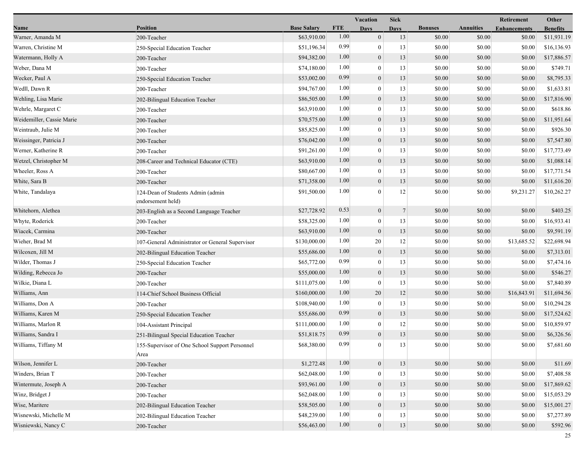|                           |                                                        |                    |            | Vacation         | <b>Sick</b> |                |                  | Retirement          | Other           |
|---------------------------|--------------------------------------------------------|--------------------|------------|------------------|-------------|----------------|------------------|---------------------|-----------------|
| Name                      | <b>Position</b>                                        | <b>Base Salary</b> | <b>FTE</b> | <b>Days</b>      | Days        | <b>Bonuses</b> | <b>Annuities</b> | <b>Enhancements</b> | <b>Benefits</b> |
| Warner, Amanda M          | 200-Teacher                                            | \$63,910.00        | 1.00       | $\mathbf{0}$     | 13          | \$0.00         | \$0.00           | \$0.00              | \$11,931.19     |
| Warren, Christine M       | 250-Special Education Teacher                          | \$51,196.34        | 0.99       | $\overline{0}$   | 13          | \$0.00         | \$0.00           | \$0.00              | \$16,136.93     |
| Watermann, Holly A        | 200-Teacher                                            | \$94,382.00        | 1.00       | $\overline{0}$   | 13          | \$0.00         | \$0.00           | \$0.00              | \$17,886.57     |
| Weber, Dana M             | 200-Teacher                                            | \$74,180.00        | 1.00       | $\overline{0}$   | 13          | \$0.00         | \$0.00           | \$0.00              | \$749.71        |
| Wecker, Paul A            | 250-Special Education Teacher                          | \$53,002.00        | 0.99       | $\boldsymbol{0}$ | 13          | \$0.00         | \$0.00           | \$0.00              | \$8,795.33      |
| Wedll, Dawn R             | 200-Teacher                                            | \$94,767.00        | 1.00       | $\boldsymbol{0}$ | 13          | \$0.00         | \$0.00           | \$0.00              | \$1,633.81      |
| Wehling, Lisa Marie       | 202-Bilingual Education Teacher                        | \$86,505.00        | 1.00       | $\mathbf{0}$     | 13          | \$0.00         | \$0.00           | \$0.00              | \$17,816.90     |
| Wehrle, Margaret C        | 200-Teacher                                            | \$63,910.00        | 1.00       | $\overline{0}$   | 13          | \$0.00         | \$0.00           | \$0.00              | \$618.86        |
| Weidemiller, Cassie Marie | 200-Teacher                                            | \$70,575.00        | 1.00       | $\overline{0}$   | 13          | \$0.00         | \$0.00           | \$0.00              | \$11,951.64     |
| Weintraub, Julie M        | 200-Teacher                                            | \$85,825.00        | 1.00       | $\overline{0}$   | 13          | \$0.00         | \$0.00           | \$0.00              | \$926.30        |
| Weissinger, Patricia J    | 200-Teacher                                            | \$76,042.00        | 1.00       | $\overline{0}$   | 13          | \$0.00         | \$0.00           | \$0.00              | \$7,547.80      |
| Werner, Katherine R       | 200-Teacher                                            | \$91,261.00        | 1.00       | $\overline{0}$   | 13          | \$0.00         | \$0.00           | \$0.00              | \$17,773.49     |
| Wetzel, Christopher M     | 208-Career and Technical Educator (CTE)                | \$63,910.00        | 1.00       | $\mathbf{0}$     | 13          | \$0.00         | \$0.00           | \$0.00              | \$1,088.14      |
| Wheeler, Ross A           | 200-Teacher                                            | \$80,667.00        | 1.00       | $\overline{0}$   | 13          | \$0.00         | \$0.00           | \$0.00              | \$17,771.54     |
| White, Sara B             | 200-Teacher                                            | \$71,358.00        | 1.00       | $\boldsymbol{0}$ | 13          | \$0.00         | \$0.00           | \$0.00              | \$11,616.20     |
| White, Tandalaya          | 124-Dean of Students Admin (admin<br>endorsement held) | \$91,500.00        | 1.00       | 0                | 12          | \$0.00         | \$0.00           | \$9,231.27          | \$10,262.27     |
| Whitehorn, Alethea        | 203-English as a Second Language Teacher               | \$27,728.92        | 0.53       | $\boldsymbol{0}$ | $\tau$      | \$0.00         | \$0.00           | \$0.00              | \$403.25        |
| Whyte, Roderick           | 200-Teacher                                            | \$58,325.00        | 1.00       | $\overline{0}$   | 13          | \$0.00         | \$0.00           | \$0.00              | \$16,933.41     |
| Wiacek, Carmina           | 200-Teacher                                            | \$63,910.00        | 1.00       | $\overline{0}$   | 13          | \$0.00         | \$0.00           | \$0.00              | \$9,591.19      |
| Wieher, Brad M            | 107-General Administrator or General Supervisor        | \$130,000.00       | 1.00       | 20               | 12          | \$0.00         | \$0.00           | \$13,685.52         | \$22,698.94     |
| Wilcoxen, Jill M          | 202-Bilingual Education Teacher                        | \$55,686.00        | 1.00       | $\boldsymbol{0}$ | 13          | \$0.00         | \$0.00           | \$0.00              | \$7,313.01      |
| Wilder, Thomas J          | 250-Special Education Teacher                          | \$65,772.00        | 0.99       | $\overline{0}$   | 13          | \$0.00         | \$0.00           | \$0.00              | \$7,474.16      |
| Wilding, Rebecca Jo       | 200-Teacher                                            | \$55,000.00        | 1.00       | $\overline{0}$   | 13          | \$0.00         | \$0.00           | \$0.00              | \$546.27        |
| Wilkie, Diana L           | 200-Teacher                                            | \$111,075.00       | 1.00       | $\overline{0}$   | 13          | \$0.00         | \$0.00           | \$0.00              | \$7,840.89      |
| Williams, Ann             | 114-Chief School Business Official                     | \$160,000.00       | 1.00       | 20               | 12          | \$0.00         | \$0.00           | \$16,843.91         | \$11,694.56     |
| Williams, Don A           | 200-Teacher                                            | \$108,940.00       | 1.00       | $\overline{0}$   | 13          | \$0.00         | \$0.00           | \$0.00              | \$10,294.28     |
| Williams, Karen M         | 250-Special Education Teacher                          | \$55,686.00        | 0.99       | $\boldsymbol{0}$ | 13          | \$0.00         | \$0.00           | \$0.00              | \$17,524.62     |
| Williams, Marlon R        | 104-Assistant Principal                                | \$111,000.00       | 1.00       | $\bf{0}$         | 12          | \$0.00         | \$0.00           | \$0.00              | \$10,859.97     |
| Williams, Sandra I        | 251-Bilingual Special Education Teacher                | \$51,818.75        | 0.99       | $\boldsymbol{0}$ | 13          | \$0.00         | \$0.00           | \$0.00              | \$6,326.56      |
| Williams, Tiffany M       | 155-Supervisor of One School Support Personnel<br>Area | \$68,380.00        | 0.99       | $\mathbf{0}$     | 13          | \$0.00         | \$0.00           | $\$0.00$            | \$7,681.60      |
| Wilson, Jennifer L        | 200-Teacher                                            | \$1,272.48         | 1.00       | $\boldsymbol{0}$ | 13          | \$0.00         | \$0.00           | \$0.00              | \$11.69         |
| Winders, Brian T          | 200-Teacher                                            | \$62,048.00        | 1.00       | $\theta$         | 13          | \$0.00         | \$0.00           | \$0.00              | \$7,408.58      |
| Wintermute, Joseph A      | 200-Teacher                                            | \$93,961.00        | 1.00       | $\overline{0}$   | 13          | \$0.00         | \$0.00           | \$0.00              | \$17,869.62     |
| Winz, Bridget J           | 200-Teacher                                            | \$62,048.00        | 1.00       | $\overline{0}$   | 13          | \$0.00         | \$0.00           | \$0.00              | \$15,053.29     |
| Wise, Maritere            | 202-Bilingual Education Teacher                        | \$58,505.00        | 1.00       | $\mathbf{0}$     | 13          | \$0.00         | \$0.00           | \$0.00              | \$15,001.27     |
| Wisnewski, Michelle M     | 202-Bilingual Education Teacher                        | \$48,239.00        | 1.00       | $\theta$         | 13          | \$0.00         | \$0.00           | \$0.00              | \$7,277.89      |
| Wisniewski, Nancy C       | 200-Teacher                                            | \$56,463.00        | 1.00       | $\mathbf{0}$     | 13          | \$0.00         | \$0.00           | \$0.00              | \$592.96        |